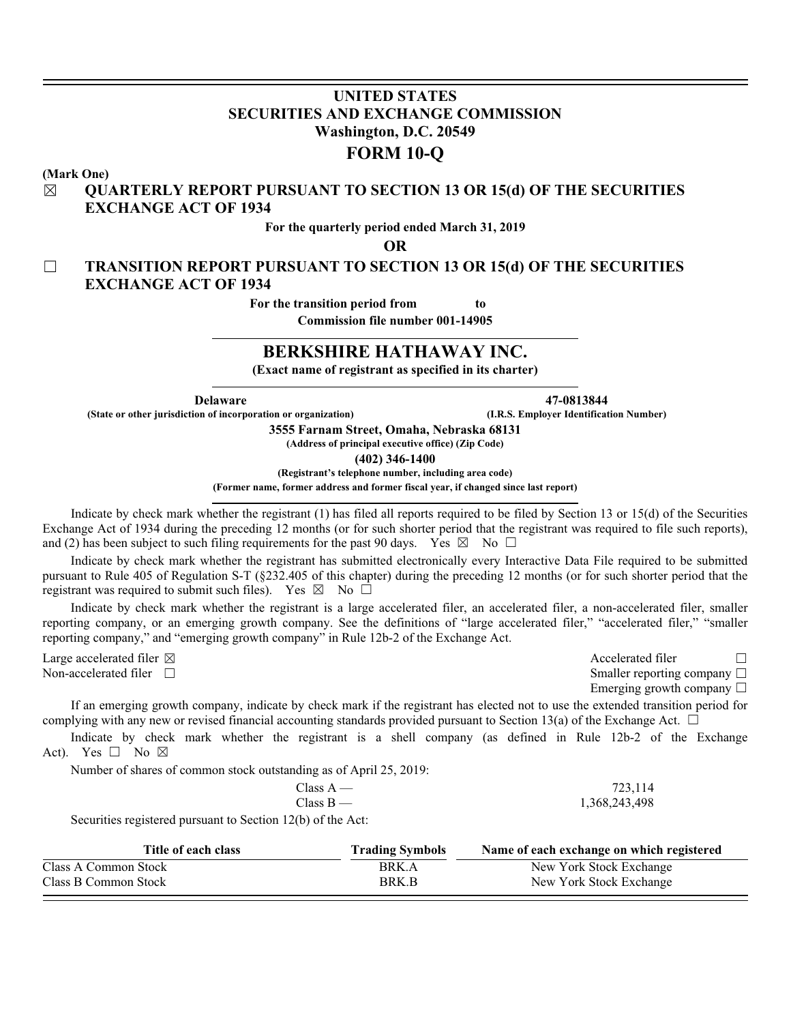# **UNITED STATES SECURITIES AND EXCHANGE COMMISSION Washington, D.C. 20549 FORM 10-Q**

**(Mark One)** 

# ☒ **QUARTERLY REPORT PURSUANT TO SECTION 13 OR 15(d) OF THE SECURITIES EXCHANGE ACT OF 1934**

**For the quarterly period ended March 31, 2019** 

**OR** 

# ☐ **TRANSITION REPORT PURSUANT TO SECTION 13 OR 15(d) OF THE SECURITIES EXCHANGE ACT OF 1934**

**For the transition period from to** 

**Commission file number 001-14905** 

# **BERKSHIRE HATHAWAY INC.**

**(Exact name of registrant as specified in its charter)** 

**Delaware** 47-0813844<br>
ion of incorporation or organization) (I.R.S. Employer Identification Number) (State or other jurisdiction of incorporation or organization)

**3555 Farnam Street, Omaha, Nebraska 68131** 

**(Address of principal executive office) (Zip Code) (402) 346-1400** 

**(Registrant's telephone number, including area code)** 

**(Former name, former address and former fiscal year, if changed since last report)** 

Indicate by check mark whether the registrant (1) has filed all reports required to be filed by Section 13 or 15(d) of the Securities Exchange Act of 1934 during the preceding 12 months (or for such shorter period that the registrant was required to file such reports), and (2) has been subject to such filing requirements for the past 90 days. Yes  $\boxtimes$  No  $\Box$ 

Indicate by check mark whether the registrant has submitted electronically every Interactive Data File required to be submitted pursuant to Rule 405 of Regulation S-T (§232.405 of this chapter) during the preceding 12 months (or for such shorter period that the registrant was required to submit such files). Yes  $\boxtimes$  No  $\Box$ 

Indicate by check mark whether the registrant is a large accelerated filer, an accelerated filer, a non-accelerated filer, smaller reporting company, or an emerging growth company. See the definitions of "large accelerated filer," "accelerated filer," "smaller reporting company," and "emerging growth company" in Rule 12b-2 of the Exchange Act.

Large accelerated filer  $\boxtimes$ Non-accelerated filer <del>□</del> Emerging growth company □

If an emerging growth company, indicate by check mark if the registrant has elected not to use the extended transition period for complying with any new or revised financial accounting standards provided pursuant to Section 13(a) of the Exchange Act.  $\Box$ 

Indicate by check mark whether the registrant is a shell company (as defined in Rule 12b-2 of the Exchange Act). Yes  $\square$  No  $\square$ 

Number of shares of common stock outstanding as of April 25, 2019:

| Class $A$ —      | 723,114       |
|------------------|---------------|
| Class $\rm{B}$ — | 1,368,243,498 |
|                  |               |

Securities registered pursuant to Section 12(b) of the Act:

| Title of each class  | <b>Trading Symbols</b> | Name of each exchange on which registered |
|----------------------|------------------------|-------------------------------------------|
| Class A Common Stock | BRK.A                  | New York Stock Exchange                   |
| Class B Common Stock | BRK.B                  | New York Stock Exchange                   |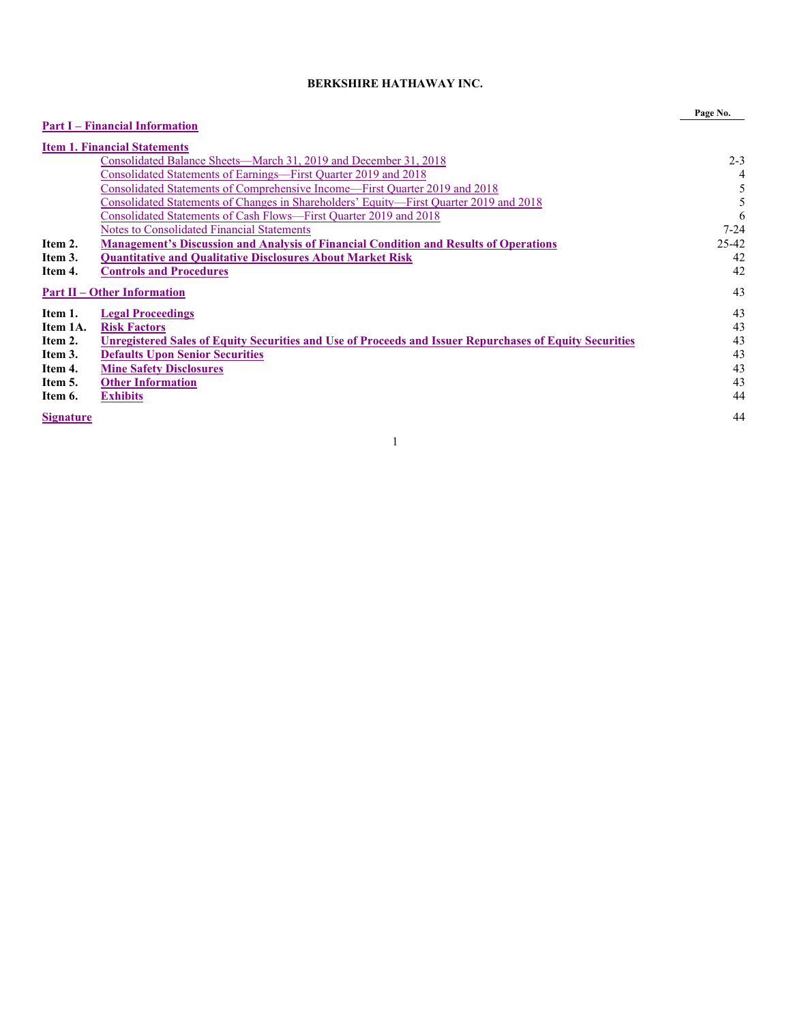# **BERKSHIRE HATHAWAY INC.**

|                  |                                                                                                         | Page No. |
|------------------|---------------------------------------------------------------------------------------------------------|----------|
|                  | <b>Part I – Financial Information</b>                                                                   |          |
|                  | <b>Item 1. Financial Statements</b>                                                                     |          |
|                  | Consolidated Balance Sheets—March 31, 2019 and December 31, 2018                                        | $2 - 3$  |
|                  | Consolidated Statements of Earnings—First Quarter 2019 and 2018                                         | 4        |
|                  | Consolidated Statements of Comprehensive Income—First Ouarter 2019 and 2018                             |          |
|                  | Consolidated Statements of Changes in Shareholders' Equity—First Quarter 2019 and 2018                  | ∋        |
|                  | Consolidated Statements of Cash Flows—First Quarter 2019 and 2018                                       | 6        |
|                  | Notes to Consolidated Financial Statements                                                              | $7 - 24$ |
| Item 2.          | <b>Management's Discussion and Analysis of Financial Condition and Results of Operations</b>            | 25-42    |
| Item 3.          | <b>Ouantitative and Qualitative Disclosures About Market Risk</b>                                       | 42       |
| Item 4.          | <b>Controls and Procedures</b>                                                                          | 42       |
|                  | <b>Part II – Other Information</b>                                                                      | 43       |
| Item 1.          | <b>Legal Proceedings</b>                                                                                | 43       |
| Item 1A.         | <b>Risk Factors</b>                                                                                     | 43       |
| Item 2.          | Unregistered Sales of Equity Securities and Use of Proceeds and Issuer Repurchases of Equity Securities | 43       |
| Item 3.          | <b>Defaults Upon Senior Securities</b>                                                                  | 43       |
| Item 4.          | <b>Mine Safety Disclosures</b>                                                                          | 43       |
| Item 5.          | <b>Other Information</b>                                                                                | 43       |
| Item 6.          | <b>Exhibits</b>                                                                                         | 44       |
| <b>Signature</b> |                                                                                                         | 44       |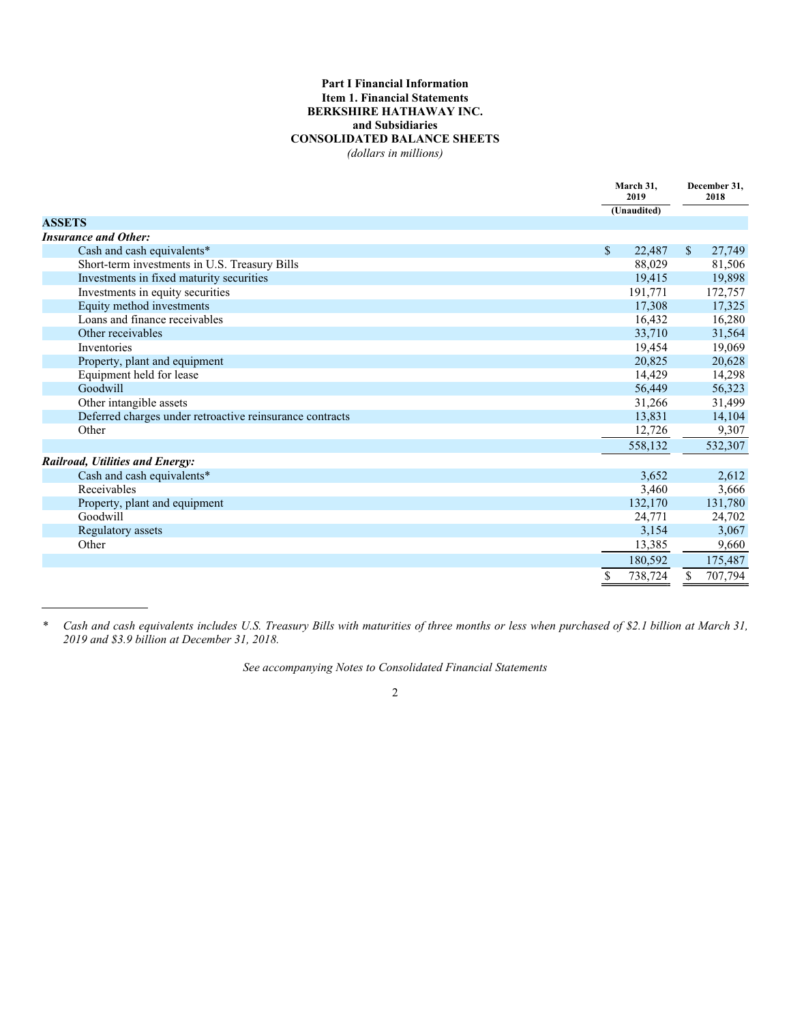### **Part I Financial Information Item 1. Financial Statements BERKSHIRE HATHAWAY INC. and Subsidiaries CONSOLIDATED BALANCE SHEETS**  *(dollars in millions)*

|               |                                                          | March 31,<br>2019 |         |              | December 31,<br>2018 |
|---------------|----------------------------------------------------------|-------------------|---------|--------------|----------------------|
|               |                                                          | (Unaudited)       |         |              |                      |
| <b>ASSETS</b> |                                                          |                   |         |              |                      |
|               | <b>Insurance and Other:</b>                              |                   |         |              |                      |
|               | Cash and cash equivalents*                               | $\mathbb{S}$      | 22,487  | $\mathbb{S}$ | 27,749               |
|               | Short-term investments in U.S. Treasury Bills            |                   | 88.029  |              | 81,506               |
|               | Investments in fixed maturity securities                 |                   | 19.415  |              | 19,898               |
|               | Investments in equity securities                         |                   | 191,771 |              | 172,757              |
|               | Equity method investments                                |                   | 17,308  |              | 17,325               |
|               | Loans and finance receivables                            |                   | 16,432  |              | 16,280               |
|               | Other receivables                                        |                   | 33,710  |              | 31,564               |
|               | Inventories                                              |                   | 19,454  |              | 19,069               |
|               | Property, plant and equipment                            |                   | 20,825  |              | 20,628               |
|               | Equipment held for lease                                 |                   | 14,429  |              | 14,298               |
|               | Goodwill                                                 |                   | 56,449  |              | 56,323               |
|               | Other intangible assets                                  |                   | 31,266  |              | 31,499               |
|               | Deferred charges under retroactive reinsurance contracts |                   | 13,831  |              | 14,104               |
|               | Other                                                    |                   | 12,726  |              | 9,307                |
|               |                                                          |                   | 558,132 |              | 532,307              |
|               | <b>Railroad, Utilities and Energy:</b>                   |                   |         |              |                      |
|               | Cash and cash equivalents*                               |                   | 3,652   |              | 2,612                |
|               | Receivables                                              |                   | 3,460   |              | 3,666                |
|               | Property, plant and equipment                            |                   | 132,170 |              | 131,780              |
|               | Goodwill                                                 |                   | 24,771  |              | 24,702               |
|               | Regulatory assets                                        |                   | 3,154   |              | 3,067                |
|               | Other                                                    |                   | 13,385  |              | 9,660                |
|               |                                                          |                   | 180,592 |              | 175,487              |
|               |                                                          | \$                | 738,724 | \$           | 707,794              |

*\* Cash and cash equivalents includes U.S. Treasury Bills with maturities of three months or less when purchased of \$2.1 billion at March 31, 2019 and \$3.9 billion at December 31, 2018.* 

> *See accompanying Notes to Consolidated Financial Statements*  2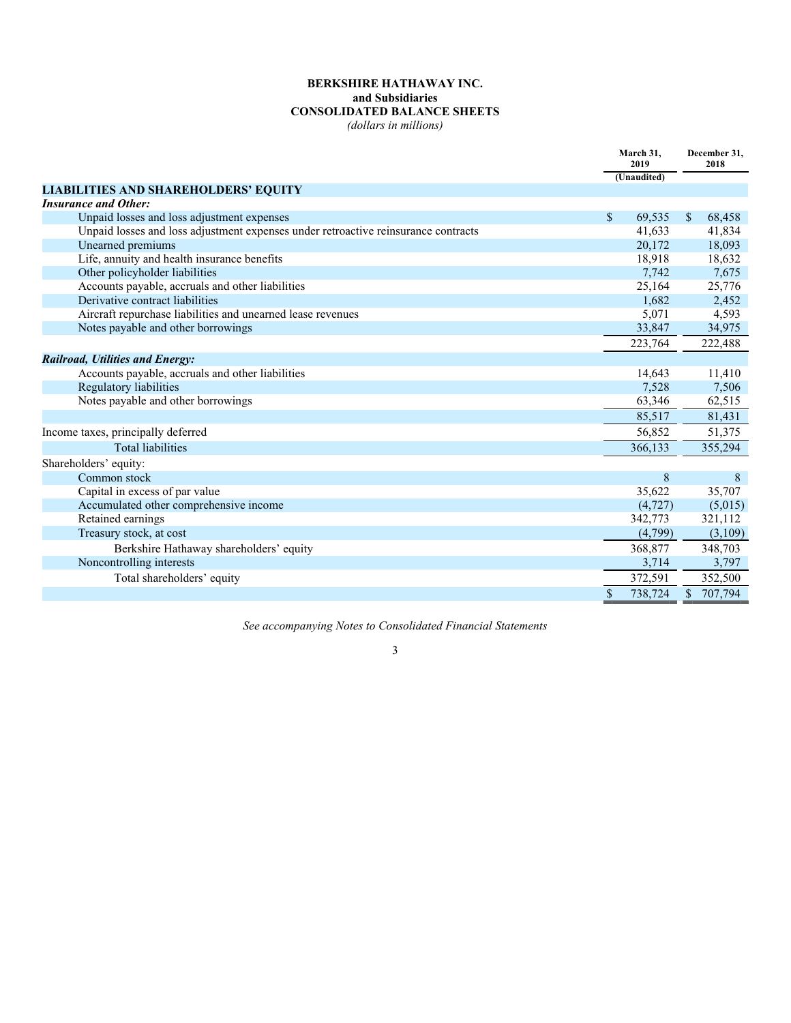## **BERKSHIRE HATHAWAY INC. and Subsidiaries CONSOLIDATED BALANCE SHEETS**

*(dollars in millions)* 

|                                                                                    | March 31,<br>2019 |             |              | December 31,<br>2018 |
|------------------------------------------------------------------------------------|-------------------|-------------|--------------|----------------------|
|                                                                                    |                   | (Unaudited) |              |                      |
| <b>LIABILITIES AND SHAREHOLDERS' EQUITY</b>                                        |                   |             |              |                      |
| <b>Insurance and Other:</b>                                                        |                   |             |              |                      |
| Unpaid losses and loss adjustment expenses                                         | $\mathbb{S}$      | 69,535      | $\mathbb{S}$ | 68,458               |
| Unpaid losses and loss adjustment expenses under retroactive reinsurance contracts |                   | 41,633      |              | 41,834               |
| Unearned premiums                                                                  |                   | 20,172      |              | 18,093               |
| Life, annuity and health insurance benefits                                        |                   | 18,918      |              | 18,632               |
| Other policyholder liabilities                                                     |                   | 7,742       |              | 7,675                |
| Accounts payable, accruals and other liabilities                                   |                   | 25,164      |              | 25,776               |
| Derivative contract liabilities                                                    |                   | 1,682       |              | 2,452                |
| Aircraft repurchase liabilities and unearned lease revenues                        |                   | 5,071       |              | 4,593                |
| Notes payable and other borrowings                                                 |                   | 33,847      |              | 34,975               |
|                                                                                    |                   | 223,764     |              | 222,488              |
| <b>Railroad, Utilities and Energy:</b>                                             |                   |             |              |                      |
| Accounts payable, accruals and other liabilities                                   |                   | 14,643      |              | 11,410               |
| Regulatory liabilities                                                             |                   | 7,528       |              | 7,506                |
| Notes payable and other borrowings                                                 |                   | 63,346      |              | 62,515               |
|                                                                                    |                   | 85,517      |              | 81,431               |
| Income taxes, principally deferred                                                 |                   | 56,852      |              | 51,375               |
| <b>Total liabilities</b>                                                           |                   | 366,133     |              | 355,294              |
| Shareholders' equity:                                                              |                   |             |              |                      |
| Common stock                                                                       |                   | 8           |              | 8                    |
| Capital in excess of par value                                                     |                   | 35,622      |              | 35,707               |
| Accumulated other comprehensive income                                             |                   | (4, 727)    |              | (5,015)              |
| Retained earnings                                                                  |                   | 342,773     |              | 321,112              |
| Treasury stock, at cost                                                            |                   | (4,799)     |              | (3,109)              |
| Berkshire Hathaway shareholders' equity                                            |                   | 368,877     |              | 348,703              |
| Noncontrolling interests                                                           |                   | 3,714       |              | 3,797                |
| Total shareholders' equity                                                         |                   | 372,591     |              | 352,500              |
|                                                                                    | $\mathbf S$       | 738,724     | $\mathbb{S}$ | 707,794              |

*See accompanying Notes to Consolidated Financial Statements*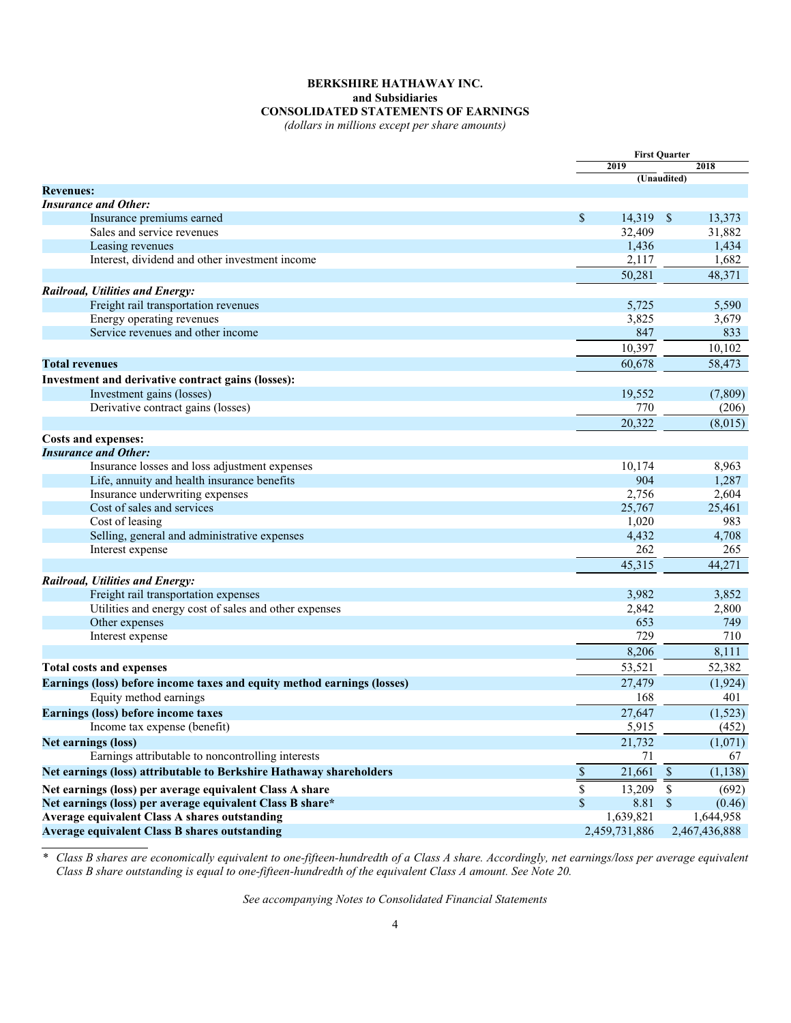### **BERKSHIRE HATHAWAY INC. and Subsidiaries CONSOLIDATED STATEMENTS OF EARNINGS**

*(dollars in millions except per share amounts)* 

|                                                                                 | <b>First Quarter</b> |               |                           |               |  |  |
|---------------------------------------------------------------------------------|----------------------|---------------|---------------------------|---------------|--|--|
|                                                                                 |                      | 2019          |                           | 2018          |  |  |
|                                                                                 |                      |               | (Unaudited)               |               |  |  |
| <b>Revenues:</b>                                                                |                      |               |                           |               |  |  |
| <b>Insurance and Other:</b>                                                     |                      |               |                           |               |  |  |
| Insurance premiums earned                                                       | \$                   | 14,319 \$     |                           | 13,373        |  |  |
| Sales and service revenues                                                      |                      | 32,409        |                           | 31,882        |  |  |
| Leasing revenues                                                                |                      | 1,436         |                           | 1,434         |  |  |
| Interest, dividend and other investment income                                  |                      | 2,117         |                           | 1,682         |  |  |
|                                                                                 |                      | 50,281        |                           | 48,371        |  |  |
| Railroad, Utilities and Energy:                                                 |                      |               |                           |               |  |  |
| Freight rail transportation revenues                                            |                      | 5,725         |                           | 5,590         |  |  |
| Energy operating revenues                                                       |                      | 3,825         |                           | 3,679         |  |  |
| Service revenues and other income                                               |                      | 847           |                           | 833           |  |  |
|                                                                                 |                      | 10,397        |                           | 10,102        |  |  |
| <b>Total revenues</b>                                                           |                      | 60,678        |                           | 58,473        |  |  |
| Investment and derivative contract gains (losses):                              |                      |               |                           |               |  |  |
| Investment gains (losses)                                                       |                      | 19,552        |                           | (7,809)       |  |  |
| Derivative contract gains (losses)                                              |                      | 770           |                           | (206)         |  |  |
|                                                                                 |                      | 20,322        |                           |               |  |  |
|                                                                                 |                      |               |                           | (8,015)       |  |  |
| <b>Costs and expenses:</b>                                                      |                      |               |                           |               |  |  |
| <b>Insurance and Other:</b>                                                     |                      |               |                           |               |  |  |
| Insurance losses and loss adjustment expenses                                   |                      | 10,174        |                           | 8,963         |  |  |
| Life, annuity and health insurance benefits                                     |                      | 904           |                           | 1,287         |  |  |
| Insurance underwriting expenses                                                 |                      | 2,756         |                           | 2,604         |  |  |
| Cost of sales and services                                                      |                      | 25,767        |                           | 25,461        |  |  |
| Cost of leasing                                                                 |                      | 1,020         |                           | 983           |  |  |
| Selling, general and administrative expenses                                    |                      | 4,432         |                           | 4,708         |  |  |
| Interest expense                                                                |                      | 262           |                           | 265           |  |  |
|                                                                                 |                      | 45,315        |                           | 44,271        |  |  |
| Railroad, Utilities and Energy:                                                 |                      |               |                           |               |  |  |
| Freight rail transportation expenses                                            |                      | 3,982         |                           | 3,852         |  |  |
| Utilities and energy cost of sales and other expenses                           |                      | 2,842         |                           | 2,800         |  |  |
| Other expenses                                                                  |                      | 653           |                           | 749           |  |  |
| Interest expense                                                                |                      | 729           |                           | 710           |  |  |
|                                                                                 |                      | 8,206         |                           | 8,111         |  |  |
| <b>Total costs and expenses</b>                                                 |                      | 53,521        |                           | 52,382        |  |  |
| Earnings (loss) before income taxes and equity method earnings (losses)         |                      | 27,479        |                           | (1, 924)      |  |  |
| Equity method earnings                                                          |                      | 168           |                           | 401           |  |  |
| Earnings (loss) before income taxes                                             |                      | 27,647        |                           | (1,523)       |  |  |
| Income tax expense (benefit)                                                    |                      | 5,915         |                           | (452)         |  |  |
|                                                                                 |                      |               |                           |               |  |  |
| <b>Net earnings (loss)</b><br>Earnings attributable to noncontrolling interests |                      | 21,732        |                           | (1,071)       |  |  |
|                                                                                 |                      | 71            |                           | 67            |  |  |
| Net earnings (loss) attributable to Berkshire Hathaway shareholders             | $\$$                 | 21,661        | $\boldsymbol{\mathsf{S}}$ | (1, 138)      |  |  |
| Net earnings (loss) per average equivalent Class A share                        | \$                   | 13,209        | \$                        | (692)         |  |  |
| Net earnings (loss) per average equivalent Class B share*                       | \$                   | 8.81          | \$                        | (0.46)        |  |  |
| <b>Average equivalent Class A shares outstanding</b>                            |                      | 1,639,821     |                           | 1,644,958     |  |  |
| <b>Average equivalent Class B shares outstanding</b>                            |                      | 2,459,731,886 |                           | 2,467,436,888 |  |  |

*\* Class B shares are economically equivalent to one-fifteen-hundredth of a Class A share. Accordingly, net earnings/loss per average equivalent Class B share outstanding is equal to one-fifteen-hundredth of the equivalent Class A amount. See Note 20.* 

*See accompanying Notes to Consolidated Financial Statements*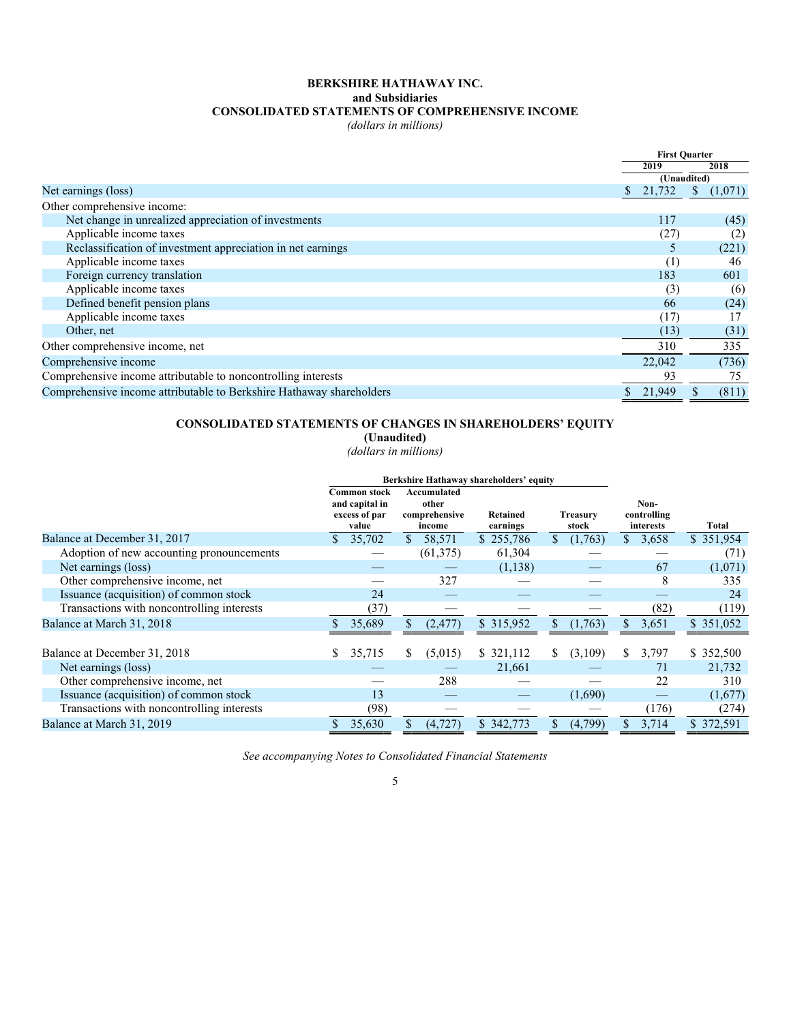## **BERKSHIRE HATHAWAY INC. and Subsidiaries CONSOLIDATED STATEMENTS OF COMPREHENSIVE INCOME**

*(dollars in millions)* 

|                                                                      | <b>First Quarter</b> |             |         |
|----------------------------------------------------------------------|----------------------|-------------|---------|
|                                                                      | 2019                 |             | 2018    |
|                                                                      |                      | (Unaudited) |         |
| Net earnings (loss)                                                  | 21,732               |             | (1,071) |
| Other comprehensive income:                                          |                      |             |         |
| Net change in unrealized appreciation of investments                 | 117                  |             | (45)    |
| Applicable income taxes                                              | (27)                 |             | (2)     |
| Reclassification of investment appreciation in net earnings          |                      |             | (221)   |
| Applicable income taxes                                              | (1)                  |             | 46      |
| Foreign currency translation                                         | 183                  |             | 601     |
| Applicable income taxes                                              | (3)                  |             | (6)     |
| Defined benefit pension plans                                        | 66                   |             | (24)    |
| Applicable income taxes                                              | (17)                 |             | 17      |
| Other, net                                                           | (13)                 |             | (31)    |
| Other comprehensive income, net                                      | 310                  |             | 335     |
| Comprehensive income                                                 | 22,042               |             | (736)   |
| Comprehensive income attributable to noncontrolling interests        | 93                   |             | 75      |
| Comprehensive income attributable to Berkshire Hathaway shareholders | 21,949               |             | (811)   |

## **CONSOLIDATED STATEMENTS OF CHANGES IN SHAREHOLDERS' EQUITY**

**(Unaudited)** 

*(dollars in millions)* 

|                                            | Berkshire Hathaway shareholders' equity |                                                          |               |                                                 |                                           |    |         |                                  |       |           |
|--------------------------------------------|-----------------------------------------|----------------------------------------------------------|---------------|-------------------------------------------------|-------------------------------------------|----|---------|----------------------------------|-------|-----------|
|                                            |                                         | Common stock<br>and capital in<br>excess of par<br>value |               | Accumulated<br>other<br>comprehensive<br>income | Retained<br>Treasury<br>stock<br>earnings |    |         | Non-<br>controlling<br>interests | Total |           |
| Balance at December 31, 2017               | \$                                      | 35,702                                                   | $\mathcal{S}$ | 58,571                                          | \$255,786                                 | \$ | (1,763) | \$.                              | 3,658 | \$351,954 |
| Adoption of new accounting pronouncements  |                                         |                                                          |               | (61, 375)                                       | 61,304                                    |    |         |                                  |       | (71)      |
| Net earnings (loss)                        |                                         |                                                          |               |                                                 | (1,138)                                   |    |         |                                  | 67    | (1,071)   |
| Other comprehensive income, net            |                                         |                                                          |               | 327                                             |                                           |    |         |                                  | 8     | 335       |
| Issuance (acquisition) of common stock     |                                         | 24                                                       |               |                                                 |                                           |    |         |                                  |       | 24        |
| Transactions with noncontrolling interests |                                         | (37)                                                     |               |                                                 |                                           |    |         |                                  | (82)  | (119)     |
| Balance at March 31, 2018                  |                                         | 35,689                                                   | S.            | (2, 477)                                        | \$315,952                                 | \$ | (1,763) | S.                               | 3,651 | \$351,052 |
| Balance at December 31, 2018               | S.                                      | 35,715                                                   | S.            | (5,015)                                         | \$321,112                                 | S. | (3,109) | S.                               | 3,797 | \$352,500 |
| Net earnings (loss)                        |                                         |                                                          |               |                                                 | 21,661                                    |    |         |                                  | 71    | 21,732    |
| Other comprehensive income, net            |                                         |                                                          |               | 288                                             |                                           |    |         |                                  | 22    | 310       |
| Issuance (acquisition) of common stock     |                                         | 13                                                       |               |                                                 |                                           |    | (1,690) |                                  |       | (1,677)   |
| Transactions with noncontrolling interests |                                         | (98)                                                     |               |                                                 |                                           |    |         |                                  | (176) | (274)     |
| Balance at March 31, 2019                  |                                         | 35,630                                                   |               | (4, 727)                                        | \$342,773                                 | \$ | (4,799) |                                  | 3,714 | \$372,591 |

*See accompanying Notes to Consolidated Financial Statements*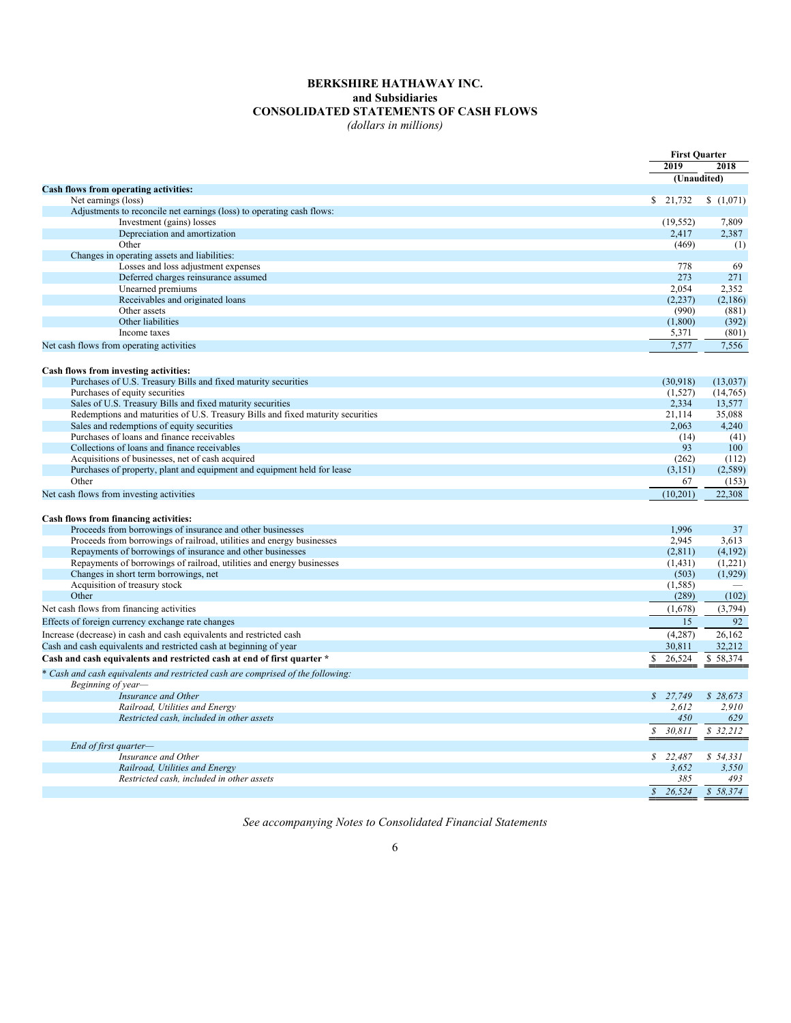## **BERKSHIRE HATHAWAY INC. and Subsidiaries CONSOLIDATED STATEMENTS OF CASH FLOWS**

*(dollars in millions)* 

|                                                                                 | <b>First Quarter</b>    |           |
|---------------------------------------------------------------------------------|-------------------------|-----------|
|                                                                                 | 2019                    | 2018      |
|                                                                                 | (Unaudited)             |           |
| Cash flows from operating activities:                                           |                         |           |
| Net earnings (loss)                                                             | \$21,732                | \$(1,071) |
| Adjustments to reconcile net earnings (loss) to operating cash flows:           |                         |           |
| Investment (gains) losses                                                       | (19, 552)               | 7,809     |
| Depreciation and amortization                                                   | 2.417                   | 2.387     |
| Other                                                                           | (469)                   | (1)       |
| Changes in operating assets and liabilities:                                    |                         |           |
| Losses and loss adjustment expenses                                             | 778                     | 69        |
| Deferred charges reinsurance assumed                                            | 273                     | 271       |
| Unearned premiums                                                               | 2,054                   | 2,352     |
| Receivables and originated loans                                                | (2,237)                 | (2,186)   |
| Other assets                                                                    | (990)                   | (881)     |
| Other liabilities                                                               | (1,800)                 | (392)     |
| Income taxes                                                                    | 5,371                   | (801)     |
| Net cash flows from operating activities                                        | 7,577                   | 7,556     |
|                                                                                 |                         |           |
| Cash flows from investing activities:                                           |                         |           |
| Purchases of U.S. Treasury Bills and fixed maturity securities                  | (30,918)                | (13, 037) |
| Purchases of equity securities                                                  | (1,527)                 | (14,765)  |
| Sales of U.S. Treasury Bills and fixed maturity securities                      | 2,334                   | 13,577    |
| Redemptions and maturities of U.S. Treasury Bills and fixed maturity securities | 21,114                  | 35,088    |
| Sales and redemptions of equity securities                                      | 2,063                   | 4,240     |
| Purchases of loans and finance receivables                                      | (14)                    | (41)      |
| Collections of loans and finance receivables                                    | 93                      | 100       |
| Acquisitions of businesses, net of cash acquired                                | (262)                   | (112)     |
| Purchases of property, plant and equipment and equipment held for lease         | (3, 151)                | (2,589)   |
| Other                                                                           | 67                      | (153)     |
| Net cash flows from investing activities                                        | (10, 201)               | 22,308    |
|                                                                                 |                         |           |
| Cash flows from financing activities:                                           |                         |           |
| Proceeds from borrowings of insurance and other businesses                      | 1.996                   | 37        |
| Proceeds from borrowings of railroad, utilities and energy businesses           | 2,945                   | 3,613     |
| Repayments of borrowings of insurance and other businesses                      | (2,811)                 | (4,192)   |
| Repayments of borrowings of railroad, utilities and energy businesses           | (1, 431)                | (1,221)   |
| Changes in short term borrowings, net                                           | (503)                   | (1,929)   |
| Acquisition of treasury stock                                                   | (1, 585)                |           |
| Other                                                                           | (289)                   | (102)     |
| Net cash flows from financing activities                                        | (1,678)                 | (3,794)   |
| Effects of foreign currency exchange rate changes                               | 15                      | 92        |
| Increase (decrease) in cash and cash equivalents and restricted cash            | (4,287)                 | 26,162    |
| Cash and cash equivalents and restricted cash at beginning of year              | 30,811                  | 32,212    |
| Cash and cash equivalents and restricted cash at end of first quarter *         | 26,524                  | \$58,374  |
| * Cash and cash equivalents and restricted cash are comprised of the following: |                         |           |
| Beginning of year-                                                              |                         |           |
| Insurance and Other                                                             | \$27,749                | \$28,673  |
| Railroad, Utilities and Energy                                                  | 2,612                   | 2.910     |
| Restricted cash, included in other assets                                       | 450                     | 629       |
|                                                                                 | $\mathcal{S}$<br>30,811 | \$32,212  |
|                                                                                 |                         |           |
| End of first quarter-                                                           |                         |           |
| Insurance and Other                                                             | \$22,487                | \$54,331  |
| Railroad, Utilities and Energy                                                  | 3,652                   | 3,550     |
| Restricted cash, included in other assets                                       | 385                     | 493       |
|                                                                                 | $\mathcal{S}$<br>26,524 | \$58,374  |

*See accompanying Notes to Consolidated Financial Statements*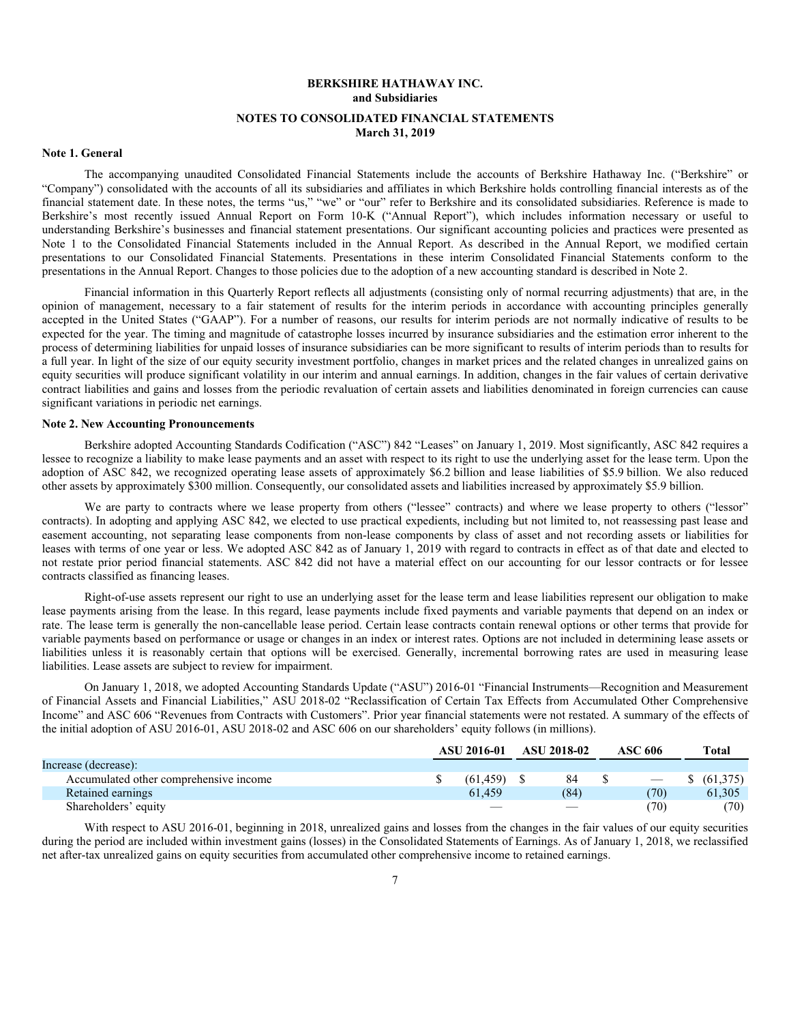## **BERKSHIRE HATHAWAY INC. and Subsidiaries NOTES TO CONSOLIDATED FINANCIAL STATEMENTS March 31, 2019**

### **Note 1. General**

The accompanying unaudited Consolidated Financial Statements include the accounts of Berkshire Hathaway Inc. ("Berkshire" or "Company") consolidated with the accounts of all its subsidiaries and affiliates in which Berkshire holds controlling financial interests as of the financial statement date. In these notes, the terms "us," "we" or "our" refer to Berkshire and its consolidated subsidiaries. Reference is made to Berkshire's most recently issued Annual Report on Form 10-K ("Annual Report"), which includes information necessary or useful to understanding Berkshire's businesses and financial statement presentations. Our significant accounting policies and practices were presented as Note 1 to the Consolidated Financial Statements included in the Annual Report. As described in the Annual Report, we modified certain presentations to our Consolidated Financial Statements. Presentations in these interim Consolidated Financial Statements conform to the presentations in the Annual Report. Changes to those policies due to the adoption of a new accounting standard is described in Note 2.

Financial information in this Quarterly Report reflects all adjustments (consisting only of normal recurring adjustments) that are, in the opinion of management, necessary to a fair statement of results for the interim periods in accordance with accounting principles generally accepted in the United States ("GAAP"). For a number of reasons, our results for interim periods are not normally indicative of results to be expected for the year. The timing and magnitude of catastrophe losses incurred by insurance subsidiaries and the estimation error inherent to the process of determining liabilities for unpaid losses of insurance subsidiaries can be more significant to results of interim periods than to results for a full year. In light of the size of our equity security investment portfolio, changes in market prices and the related changes in unrealized gains on equity securities will produce significant volatility in our interim and annual earnings. In addition, changes in the fair values of certain derivative contract liabilities and gains and losses from the periodic revaluation of certain assets and liabilities denominated in foreign currencies can cause significant variations in periodic net earnings.

### **Note 2. New Accounting Pronouncements**

Berkshire adopted Accounting Standards Codification ("ASC") 842 "Leases" on January 1, 2019. Most significantly, ASC 842 requires a lessee to recognize a liability to make lease payments and an asset with respect to its right to use the underlying asset for the lease term. Upon the adoption of ASC 842, we recognized operating lease assets of approximately \$6.2 billion and lease liabilities of \$5.9 billion. We also reduced other assets by approximately \$300 million. Consequently, our consolidated assets and liabilities increased by approximately \$5.9 billion.

We are party to contracts where we lease property from others ("lessee" contracts) and where we lease property to others ("lessor" contracts). In adopting and applying ASC 842, we elected to use practical expedients, including but not limited to, not reassessing past lease and easement accounting, not separating lease components from non-lease components by class of asset and not recording assets or liabilities for leases with terms of one year or less. We adopted ASC 842 as of January 1, 2019 with regard to contracts in effect as of that date and elected to not restate prior period financial statements. ASC 842 did not have a material effect on our accounting for our lessor contracts or for lessee contracts classified as financing leases.

Right-of-use assets represent our right to use an underlying asset for the lease term and lease liabilities represent our obligation to make lease payments arising from the lease. In this regard, lease payments include fixed payments and variable payments that depend on an index or rate. The lease term is generally the non-cancellable lease period. Certain lease contracts contain renewal options or other terms that provide for variable payments based on performance or usage or changes in an index or interest rates. Options are not included in determining lease assets or liabilities unless it is reasonably certain that options will be exercised. Generally, incremental borrowing rates are used in measuring lease liabilities. Lease assets are subject to review for impairment.

On January 1, 2018, we adopted Accounting Standards Update ("ASU") 2016-01 "Financial Instruments—Recognition and Measurement of Financial Assets and Financial Liabilities," ASU 2018-02 "Reclassification of Certain Tax Effects from Accumulated Other Comprehensive Income" and ASC 606 "Revenues from Contracts with Customers". Prior year financial statements were not restated. A summary of the effects of the initial adoption of ASU 2016-01, ASU 2018-02 and ASC 606 on our shareholders' equity follows (in millions).

|                                        | <b>ASU 2016-01</b> | ASU 2018-02 | ASC 606                         |                       |
|----------------------------------------|--------------------|-------------|---------------------------------|-----------------------|
| Increase (decrease):                   |                    |             |                                 |                       |
| Accumulated other comprehensive income | (61.459)           | 84          | $\hspace{0.1mm}-\hspace{0.1mm}$ | $\frac{1}{2}(61,375)$ |
| Retained earnings                      | 61.459             | (84)        | (70)                            | 61.305                |
| Shareholders' equity                   |                    |             | (70)                            | (70)                  |

With respect to ASU 2016-01, beginning in 2018, unrealized gains and losses from the changes in the fair values of our equity securities during the period are included within investment gains (losses) in the Consolidated Statements of Earnings. As of January 1, 2018, we reclassified net after-tax unrealized gains on equity securities from accumulated other comprehensive income to retained earnings.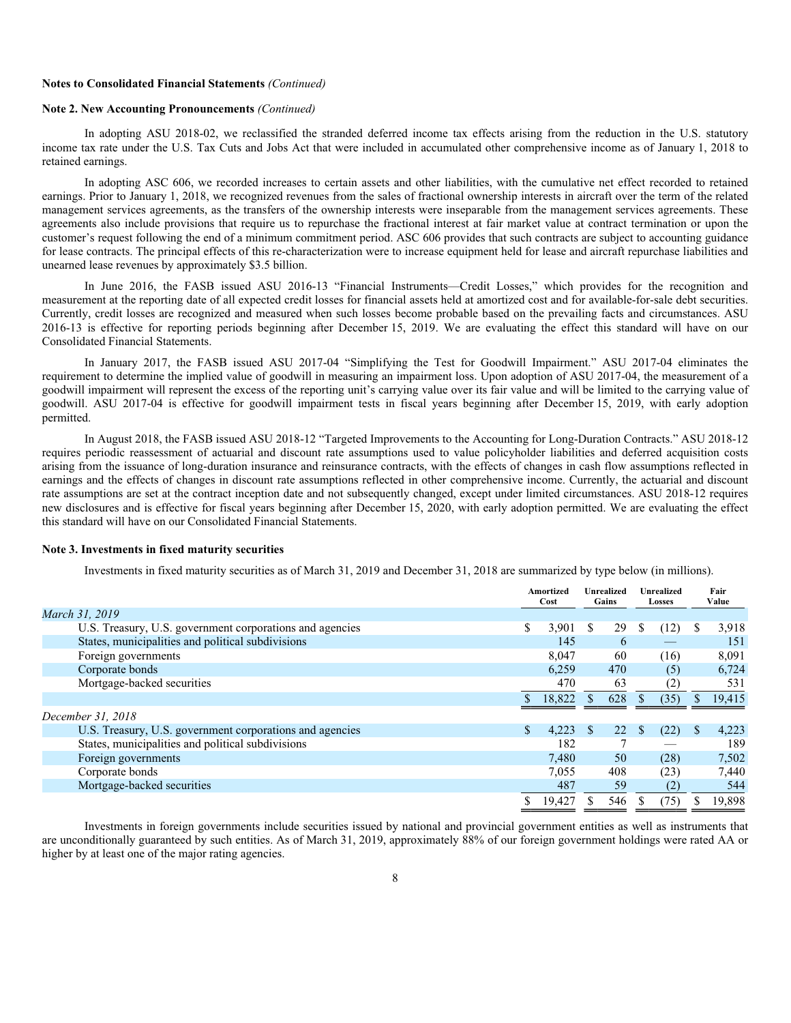### **Note 2. New Accounting Pronouncements** *(Continued)*

In adopting ASU 2018-02, we reclassified the stranded deferred income tax effects arising from the reduction in the U.S. statutory income tax rate under the U.S. Tax Cuts and Jobs Act that were included in accumulated other comprehensive income as of January 1, 2018 to retained earnings.

In adopting ASC 606, we recorded increases to certain assets and other liabilities, with the cumulative net effect recorded to retained earnings. Prior to January 1, 2018, we recognized revenues from the sales of fractional ownership interests in aircraft over the term of the related management services agreements, as the transfers of the ownership interests were inseparable from the management services agreements. These agreements also include provisions that require us to repurchase the fractional interest at fair market value at contract termination or upon the customer's request following the end of a minimum commitment period. ASC 606 provides that such contracts are subject to accounting guidance for lease contracts. The principal effects of this re-characterization were to increase equipment held for lease and aircraft repurchase liabilities and unearned lease revenues by approximately \$3.5 billion.

In June 2016, the FASB issued ASU 2016-13 "Financial Instruments—Credit Losses," which provides for the recognition and measurement at the reporting date of all expected credit losses for financial assets held at amortized cost and for available-for-sale debt securities. Currently, credit losses are recognized and measured when such losses become probable based on the prevailing facts and circumstances. ASU 2016-13 is effective for reporting periods beginning after December 15, 2019. We are evaluating the effect this standard will have on our Consolidated Financial Statements.

In January 2017, the FASB issued ASU 2017-04 "Simplifying the Test for Goodwill Impairment." ASU 2017-04 eliminates the requirement to determine the implied value of goodwill in measuring an impairment loss. Upon adoption of ASU 2017-04, the measurement of a goodwill impairment will represent the excess of the reporting unit's carrying value over its fair value and will be limited to the carrying value of goodwill. ASU 2017-04 is effective for goodwill impairment tests in fiscal years beginning after December 15, 2019, with early adoption permitted.

In August 2018, the FASB issued ASU 2018-12 "Targeted Improvements to the Accounting for Long-Duration Contracts." ASU 2018-12 requires periodic reassessment of actuarial and discount rate assumptions used to value policyholder liabilities and deferred acquisition costs arising from the issuance of long-duration insurance and reinsurance contracts, with the effects of changes in cash flow assumptions reflected in earnings and the effects of changes in discount rate assumptions reflected in other comprehensive income. Currently, the actuarial and discount rate assumptions are set at the contract inception date and not subsequently changed, except under limited circumstances. ASU 2018-12 requires new disclosures and is effective for fiscal years beginning after December 15, 2020, with early adoption permitted. We are evaluating the effect this standard will have on our Consolidated Financial Statements.

### **Note 3. Investments in fixed maturity securities**

Investments in fixed maturity securities as of March 31, 2019 and December 31, 2018 are summarized by type below (in millions).

|                                                          | Amortized<br>Cost |        |          |     | Unrealized<br>Gains |      | Unrealized<br>Losses |        |  | Fair<br>Value |
|----------------------------------------------------------|-------------------|--------|----------|-----|---------------------|------|----------------------|--------|--|---------------|
| March 31, 2019                                           |                   |        |          |     |                     |      |                      |        |  |               |
| U.S. Treasury, U.S. government corporations and agencies | \$                | 3,901  | S.       | 29  | -S                  | (12) | S.                   | 3,918  |  |               |
| States, municipalities and political subdivisions        |                   | 145    |          | 6   |                     |      |                      | 151    |  |               |
| Foreign governments                                      |                   | 8,047  |          | 60  |                     | (16) |                      | 8,091  |  |               |
| Corporate bonds                                          |                   | 6,259  |          | 470 |                     | (5)  |                      | 6,724  |  |               |
| Mortgage-backed securities                               |                   | 470    |          | 63  |                     | (2)  |                      | 531    |  |               |
|                                                          | S.                | 18,822 |          | 628 |                     | (35) | S                    | 19,415 |  |               |
| December 31, 2018                                        |                   |        |          |     |                     |      |                      |        |  |               |
| U.S. Treasury, U.S. government corporations and agencies | S                 | 4.223  | <b>S</b> | 22  |                     | (22) | <b>S</b>             | 4,223  |  |               |
| States, municipalities and political subdivisions        |                   | 182    |          |     |                     |      |                      | 189    |  |               |
| Foreign governments                                      |                   | 7,480  |          | 50  |                     | (28) |                      | 7,502  |  |               |
| Corporate bonds                                          |                   | 7,055  |          | 408 |                     | (23) |                      | 7,440  |  |               |
| Mortgage-backed securities                               |                   | 487    |          | 59  |                     | (2)  |                      | 544    |  |               |
|                                                          |                   | 19,427 |          | 546 |                     | (75) | S                    | 19,898 |  |               |

Investments in foreign governments include securities issued by national and provincial government entities as well as instruments that are unconditionally guaranteed by such entities. As of March 31, 2019, approximately 88% of our foreign government holdings were rated AA or higher by at least one of the major rating agencies.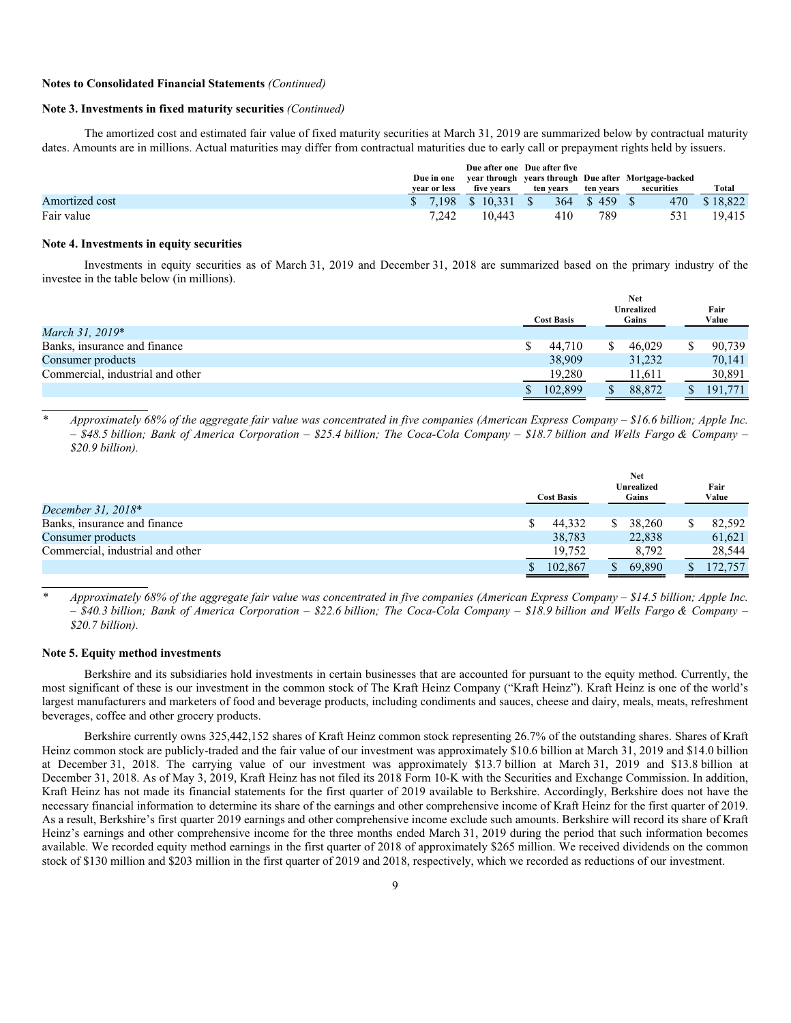#### **Note 3. Investments in fixed maturity securities** *(Continued)*

The amortized cost and estimated fair value of fixed maturity securities at March 31, 2019 are summarized below by contractual maturity dates. Amounts are in millions. Actual maturities may differ from contractual maturities due to early call or prepayment rights held by issuers.

|                | Due after one Due after five |              |                                                      |           |     |           |            |     |          |  |
|----------------|------------------------------|--------------|------------------------------------------------------|-----------|-----|-----------|------------|-----|----------|--|
|                | Due in one                   |              | year through years through Due after Mortgage-backed |           |     |           |            |     |          |  |
|                |                              | vear or less | five vears                                           | ten years |     | ten vears | securities |     | Total    |  |
| Amortized cost |                              |              | $\frac{1}{2}$ 7.198 \$ 10.331 \$                     |           |     | 364 \$459 |            | 470 | \$18.822 |  |
| Fair value     |                              | 7.242        | 10.443                                               |           | 410 | 789       |            | 531 | 19.415   |  |

#### **Note 4. Investments in equity securities**

Investments in equity securities as of March 31, 2019 and December 31, 2018 are summarized based on the primary industry of the investee in the table below (in millions).

|                                  |                   | <b>Net</b><br>Unrealized | Fair    |
|----------------------------------|-------------------|--------------------------|---------|
|                                  | <b>Cost Basis</b> | Gains                    | Value   |
| March 31, 2019*                  |                   |                          |         |
| Banks, insurance and finance     | 44.710            | 46,029                   | 90,739  |
| Consumer products                | 38,909            | 31,232                   | 70,141  |
| Commercial, industrial and other | 19.280            | 11.611                   | 30,891  |
|                                  | 102,899           | 88,872                   | 191.771 |

*\* Approximately 68% of the aggregate fair value was concentrated in five companies (American Express Company – \$16.6 billion; Apple Inc. – \$48.5 billion; Bank of America Corporation – \$25.4 billion; The Coca-Cola Company – \$18.7 billion and Wells Fargo & Company – \$20.9 billion).* 

|                                  |                   | <b>Net</b><br><b>Unrealized</b> | Fair    |
|----------------------------------|-------------------|---------------------------------|---------|
|                                  | <b>Cost Basis</b> | Gains                           | Value   |
| December 31, 2018*               |                   |                                 |         |
| Banks, insurance and finance     | 44.332            | 38,260                          | 82.592  |
| Consumer products                | 38,783            | 22,838                          | 61,621  |
| Commercial, industrial and other | 19.752            | 8.792                           | 28,544  |
|                                  | 102,867           | 69.890                          | 172.757 |

*\* Approximately 68% of the aggregate fair value was concentrated in five companies (American Express Company – \$14.5 billion; Apple Inc. – \$40.3 billion; Bank of America Corporation – \$22.6 billion; The Coca-Cola Company – \$18.9 billion and Wells Fargo & Company – \$20.7 billion).* 

### **Note 5. Equity method investments**

Berkshire and its subsidiaries hold investments in certain businesses that are accounted for pursuant to the equity method. Currently, the most significant of these is our investment in the common stock of The Kraft Heinz Company ("Kraft Heinz"). Kraft Heinz is one of the world's largest manufacturers and marketers of food and beverage products, including condiments and sauces, cheese and dairy, meals, meats, refreshment beverages, coffee and other grocery products.

Berkshire currently owns 325,442,152 shares of Kraft Heinz common stock representing 26.7% of the outstanding shares. Shares of Kraft Heinz common stock are publicly-traded and the fair value of our investment was approximately \$10.6 billion at March 31, 2019 and \$14.0 billion at December 31, 2018. The carrying value of our investment was approximately \$13.7 billion at March 31, 2019 and \$13.8 billion at December 31, 2018. As of May 3, 2019, Kraft Heinz has not filed its 2018 Form 10-K with the Securities and Exchange Commission. In addition, Kraft Heinz has not made its financial statements for the first quarter of 2019 available to Berkshire. Accordingly, Berkshire does not have the necessary financial information to determine its share of the earnings and other comprehensive income of Kraft Heinz for the first quarter of 2019. As a result, Berkshire's first quarter 2019 earnings and other comprehensive income exclude such amounts. Berkshire will record its share of Kraft Heinz's earnings and other comprehensive income for the three months ended March 31, 2019 during the period that such information becomes available. We recorded equity method earnings in the first quarter of 2018 of approximately \$265 million. We received dividends on the common stock of \$130 million and \$203 million in the first quarter of 2019 and 2018, respectively, which we recorded as reductions of our investment.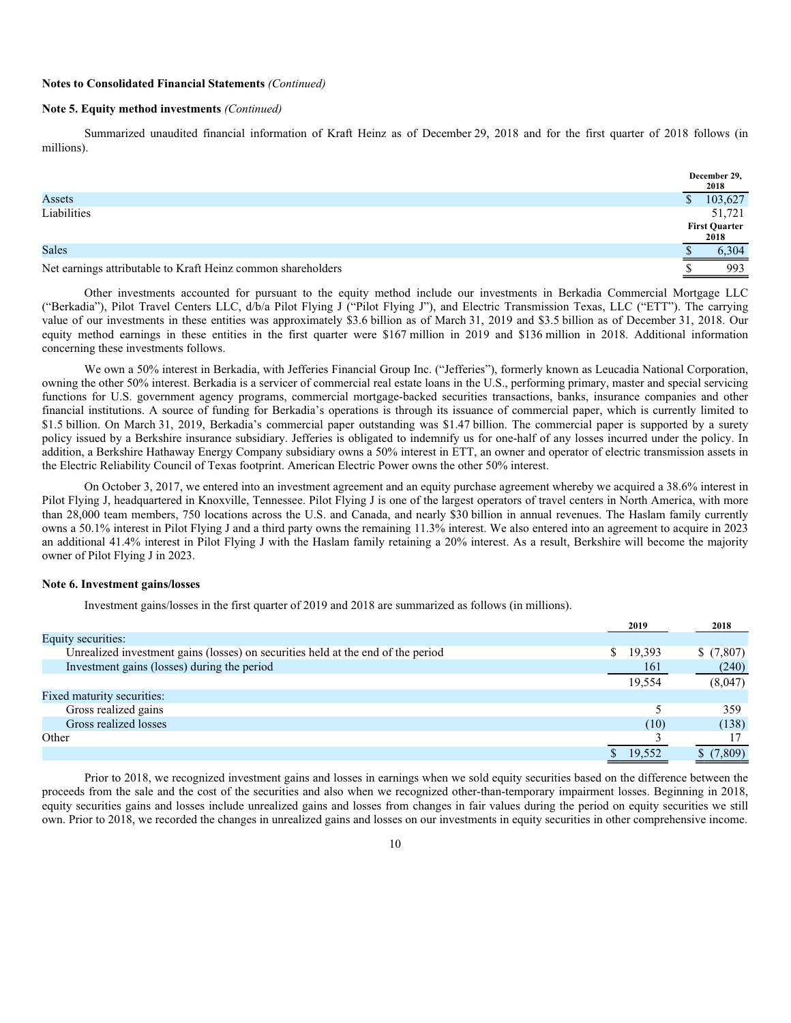#### **Note 5. Equity method investments** *(Continued)*

Summarized unaudited financial information of Kraft Heinz as of December 29, 2018 and for the first quarter of 2018 follows (in millions).

|                                                              | December 29,<br>2018                   |
|--------------------------------------------------------------|----------------------------------------|
| Assets                                                       | 103,627                                |
| Liabilities                                                  | 51,721<br><b>First Quarter</b><br>2018 |
| <b>Sales</b>                                                 | 6,304                                  |
| Net earnings attributable to Kraft Heinz common shareholders | 993                                    |

Other investments accounted for pursuant to the equity method include our investments in Berkadia Commercial Mortgage LLC ("Berkadia"), Pilot Travel Centers LLC, d/b/a Pilot Flying J ("Pilot Flying J"), and Electric Transmission Texas, LLC ("ETT"). The carrying value of our investments in these entities was approximately \$3.6 billion as of March 31, 2019 and \$3.5 billion as of December 31, 2018. Our equity method earnings in these entities in the first quarter were \$167 million in 2019 and \$136 million in 2018. Additional information concerning these investments follows.

We own a 50% interest in Berkadia, with Jefferies Financial Group Inc. ("Jefferies"), formerly known as Leucadia National Corporation, owning the other 50% interest. Berkadia is a servicer of commercial real estate loans in the U.S., performing primary, master and special servicing functions for U.S. government agency programs, commercial mortgage-backed securities transactions, banks, insurance companies and other financial institutions. A source of funding for Berkadia's operations is through its issuance of commercial paper, which is currently limited to \$1.5 billion. On March 31, 2019, Berkadia's commercial paper outstanding was \$1.47 billion. The commercial paper is supported by a surety policy issued by a Berkshire insurance subsidiary. Jefferies is obligated to indemnify us for one-half of any losses incurred under the policy. In addition, a Berkshire Hathaway Energy Company subsidiary owns a 50% interest in ETT, an owner and operator of electric transmission assets in the Electric Reliability Council of Texas footprint. American Electric Power owns the other 50% interest.

On October 3, 2017, we entered into an investment agreement and an equity purchase agreement whereby we acquired a 38.6% interest in Pilot Flying J, headquartered in Knoxville, Tennessee. Pilot Flying J is one of the largest operators of travel centers in North America, with more than 28,000 team members, 750 locations across the U.S. and Canada, and nearly \$30 billion in annual revenues. The Haslam family currently owns a 50.1% interest in Pilot Flying J and a third party owns the remaining 11.3% interest. We also entered into an agreement to acquire in 2023 an additional 41.4% interest in Pilot Flying J with the Haslam family retaining a 20% interest. As a result, Berkshire will become the majority owner of Pilot Flying J in 2023.

### **Note 6. Investment gains/losses**

Investment gains/losses in the first quarter of 2019 and 2018 are summarized as follows (in millions).

|                                                                                  | 2019   | 2018      |
|----------------------------------------------------------------------------------|--------|-----------|
| Equity securities:                                                               |        |           |
| Unrealized investment gains (losses) on securities held at the end of the period | 19,393 | \$(7,807) |
| Investment gains (losses) during the period                                      | 161    | (240)     |
|                                                                                  | 19.554 | (8,047)   |
| Fixed maturity securities:                                                       |        |           |
| Gross realized gains                                                             |        | 359       |
| Gross realized losses                                                            | (10)   | (138)     |
| Other                                                                            |        |           |
|                                                                                  | 19.552 | .809)     |

Prior to 2018, we recognized investment gains and losses in earnings when we sold equity securities based on the difference between the proceeds from the sale and the cost of the securities and also when we recognized other-than-temporary impairment losses. Beginning in 2018, equity securities gains and losses include unrealized gains and losses from changes in fair values during the period on equity securities we still own. Prior to 2018, we recorded the changes in unrealized gains and losses on our investments in equity securities in other comprehensive income.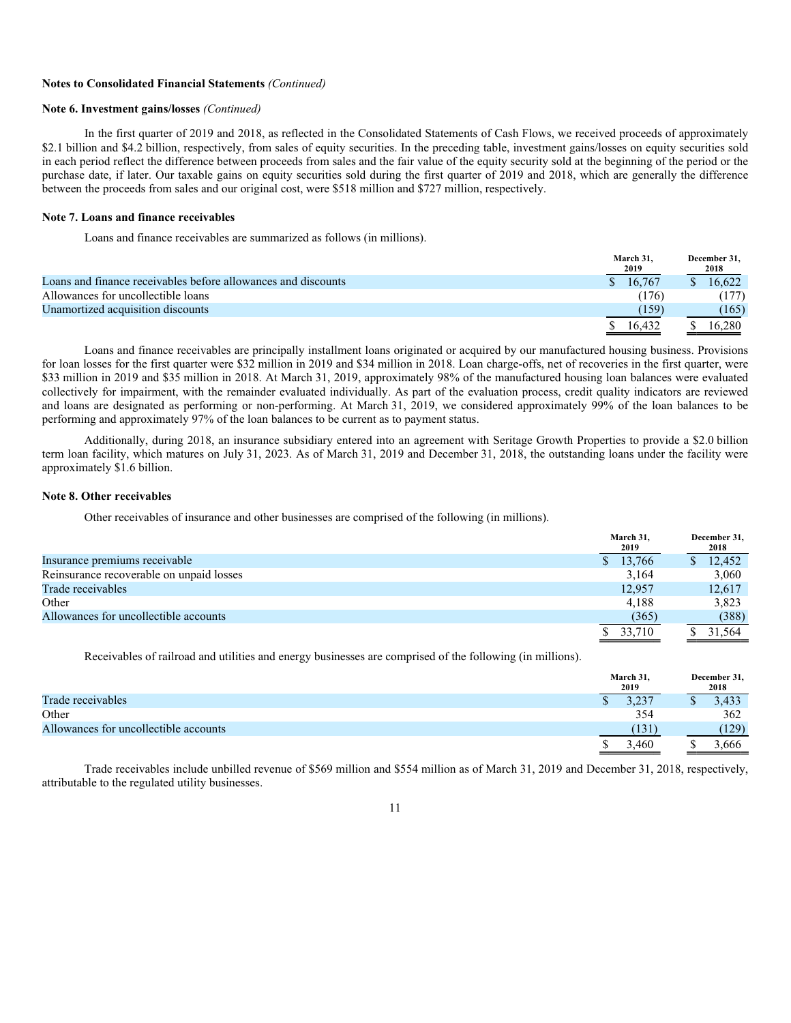### **Note 6. Investment gains/losses** *(Continued)*

In the first quarter of 2019 and 2018, as reflected in the Consolidated Statements of Cash Flows, we received proceeds of approximately \$2.1 billion and \$4.2 billion, respectively, from sales of equity securities. In the preceding table, investment gains/losses on equity securities sold in each period reflect the difference between proceeds from sales and the fair value of the equity security sold at the beginning of the period or the purchase date, if later. Our taxable gains on equity securities sold during the first quarter of 2019 and 2018, which are generally the difference between the proceeds from sales and our original cost, were \$518 million and \$727 million, respectively.

### **Note 7. Loans and finance receivables**

Loans and finance receivables are summarized as follows (in millions).

|                                                               |    | March 31.<br>2019 | December 31.<br>2018 |
|---------------------------------------------------------------|----|-------------------|----------------------|
| Loans and finance receivables before allowances and discounts | S. | 16.767            | 16.622               |
| Allowances for uncollectible loans                            |    | (176)             | (177)                |
| Unamortized acquisition discounts                             |    | 159)              | (165)                |
|                                                               |    | 16.432            | 16.280               |

Loans and finance receivables are principally installment loans originated or acquired by our manufactured housing business. Provisions for loan losses for the first quarter were \$32 million in 2019 and \$34 million in 2018. Loan charge-offs, net of recoveries in the first quarter, were \$33 million in 2019 and \$35 million in 2018. At March 31, 2019, approximately 98% of the manufactured housing loan balances were evaluated collectively for impairment, with the remainder evaluated individually. As part of the evaluation process, credit quality indicators are reviewed and loans are designated as performing or non-performing. At March 31, 2019, we considered approximately 99% of the loan balances to be performing and approximately 97% of the loan balances to be current as to payment status.

Additionally, during 2018, an insurance subsidiary entered into an agreement with Seritage Growth Properties to provide a \$2.0 billion term loan facility, which matures on July 31, 2023. As of March 31, 2019 and December 31, 2018, the outstanding loans under the facility were approximately \$1.6 billion.

### **Note 8. Other receivables**

Other receivables of insurance and other businesses are comprised of the following (in millions).

|                                          | March 31,<br>2019 | December 31,<br>2018 |
|------------------------------------------|-------------------|----------------------|
| Insurance premiums receivable            | \$13,766          | 12,452               |
| Reinsurance recoverable on unpaid losses | 3,164             | 3,060                |
| Trade receivables                        | 12.957            | 12,617               |
| Other                                    | 4.188             | 3,823                |
| Allowances for uncollectible accounts    | (365)             | (388)                |
|                                          | 33,710            | 31.564               |

Receivables of railroad and utilities and energy businesses are comprised of the following (in millions).

|                                       | March 31,<br>2019 | December 31,<br>2018 |
|---------------------------------------|-------------------|----------------------|
| Trade receivables                     |                   | 3.433                |
| Other                                 | 354               | 362                  |
| Allowances for uncollectible accounts | 131               | (129)                |
|                                       | .460              | .666ر                |

Trade receivables include unbilled revenue of \$569 million and \$554 million as of March 31, 2019 and December 31, 2018, respectively, attributable to the regulated utility businesses.

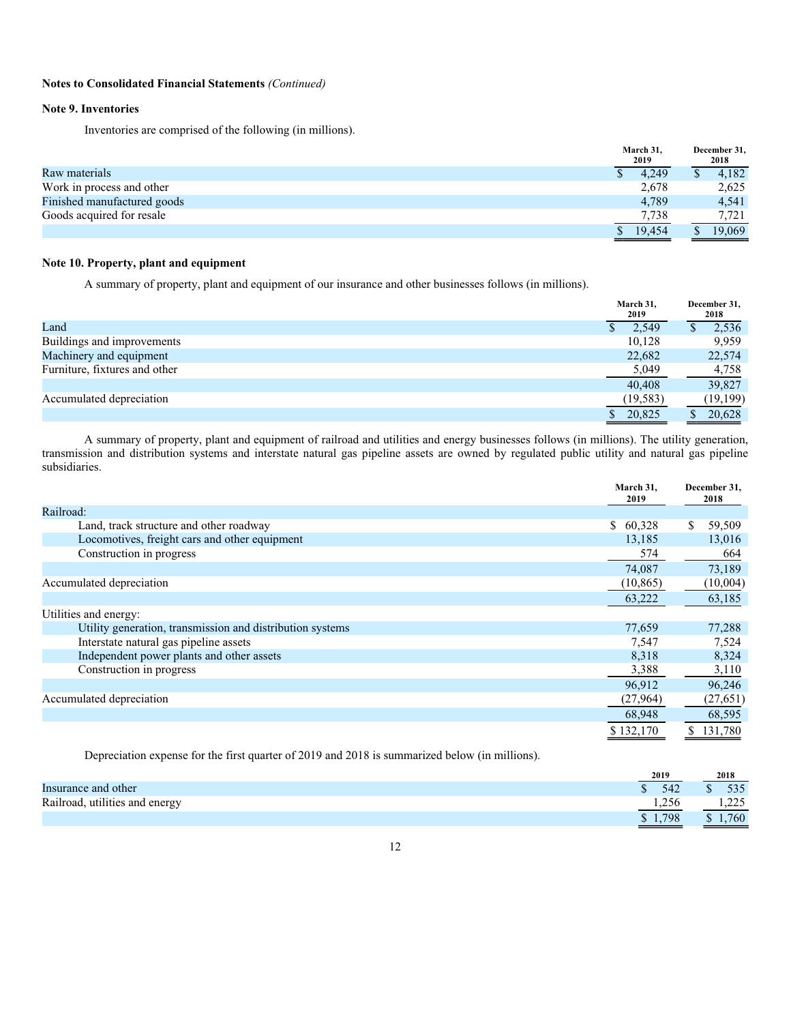### **Note 9. Inventories**

Inventories are comprised of the following (in millions).

|                             | March 31,<br>2019 | December 31,<br>2018 |
|-----------------------------|-------------------|----------------------|
| Raw materials               | 4.249             | 4,182                |
| Work in process and other   | 2,678             | 2,625                |
| Finished manufactured goods | 4.789             | 4,541                |
| Goods acquired for resale   | 7.738             | 7.721                |
|                             | 19.454            | 19.069               |

## **Note 10. Property, plant and equipment**

A summary of property, plant and equipment of our insurance and other businesses follows (in millions).

|                               | March 31,<br>2019 | December 31,<br>2018 |
|-------------------------------|-------------------|----------------------|
| Land                          | 2.549             | 2,536                |
| Buildings and improvements    | 10,128            | 9,959                |
| Machinery and equipment       | 22,682            | 22,574               |
| Furniture, fixtures and other | 5,049             | 4,758                |
|                               | 40,408            | 39,827               |
| Accumulated depreciation      | (19, 583)         | (19, 199)            |
|                               | 20,825            | 20,628               |

A summary of property, plant and equipment of railroad and utilities and energy businesses follows (in millions). The utility generation, transmission and distribution systems and interstate natural gas pipeline assets are owned by regulated public utility and natural gas pipeline subsidiaries.

|                                                           | March 31,<br>2019 | December 31,<br>2018   |
|-----------------------------------------------------------|-------------------|------------------------|
| Railroad:                                                 |                   |                        |
| Land, track structure and other roadway                   | 60,328<br>S.      | 59,509<br><sup>S</sup> |
| Locomotives, freight cars and other equipment             | 13,185            | 13,016                 |
| Construction in progress                                  | 574               | 664                    |
|                                                           | 74,087            | 73,189                 |
| Accumulated depreciation                                  | (10, 865)         | (10,004)               |
|                                                           | 63,222            | 63,185                 |
| Utilities and energy:                                     |                   |                        |
| Utility generation, transmission and distribution systems | 77,659            | 77,288                 |
| Interstate natural gas pipeline assets                    | 7,547             | 7,524                  |
| Independent power plants and other assets                 | 8,318             | 8,324                  |
| Construction in progress                                  | 3,388             | 3,110                  |
|                                                           | 96,912            | 96,246                 |
| Accumulated depreciation                                  | (27, 964)         | (27, 651)              |
|                                                           | 68,948            | 68,595                 |
|                                                           | \$132,170         | 131,780<br>\$.         |

Depreciation expense for the first quarter of 2019 and 2018 is summarized below (in millions).

|                                | 2019  | 2018  |
|--------------------------------|-------|-------|
| Insurance and other            | 542   | 535   |
| Railroad, utilities and energy | 1.256 | 1.225 |
|                                | .798  | 1,760 |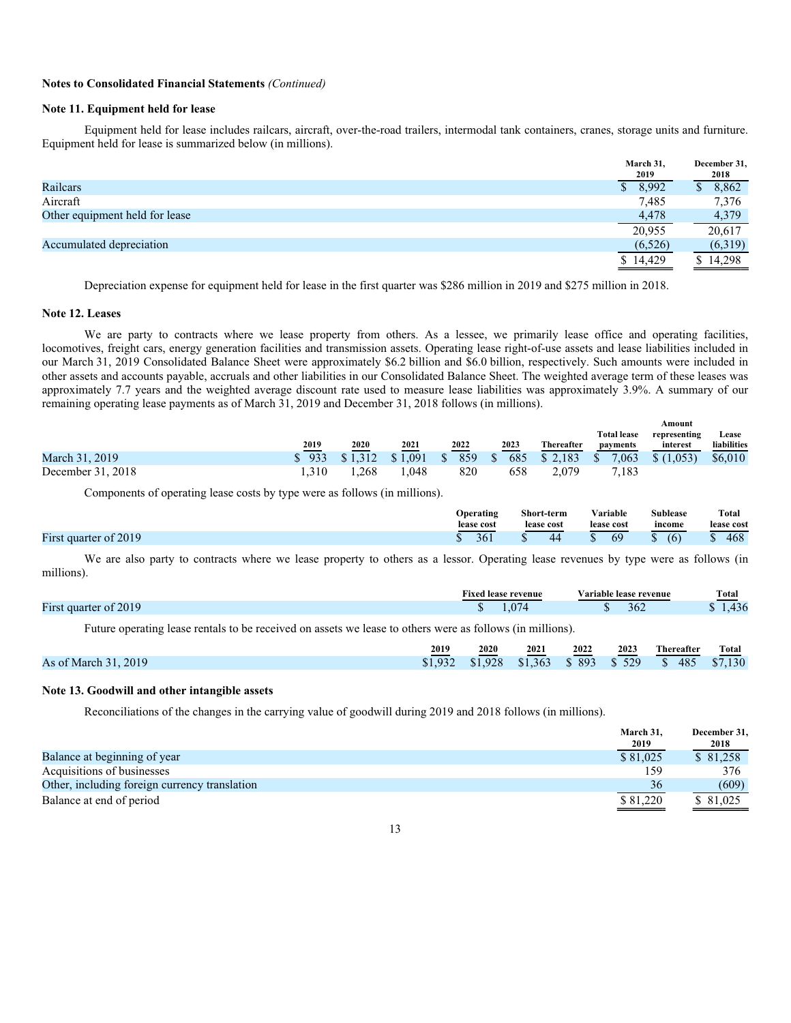### **Note 11. Equipment held for lease**

Equipment held for lease includes railcars, aircraft, over-the-road trailers, intermodal tank containers, cranes, storage units and furniture. Equipment held for lease is summarized below (in millions).

|                                | March 31,<br>2019 | December 31,<br>2018 |
|--------------------------------|-------------------|----------------------|
| Railcars                       | 8,992             | 8,862                |
| Aircraft                       | 7,485             | 7,376                |
| Other equipment held for lease | 4,478             | 4,379                |
|                                | 20.955            | 20,617               |
| Accumulated depreciation       | (6,526)           | (6,319)              |
|                                | \$14,429          | 14,298               |

Depreciation expense for equipment held for lease in the first quarter was \$286 million in 2019 and \$275 million in 2018.

### **Note 12. Leases**

We are party to contracts where we lease property from others. As a lessee, we primarily lease office and operating facilities, locomotives, freight cars, energy generation facilities and transmission assets. Operating lease right-of-use assets and lease liabilities included in our March 31, 2019 Consolidated Balance Sheet were approximately \$6.2 billion and \$6.0 billion, respectively. Such amounts were included in other assets and accounts payable, accruals and other liabilities in our Consolidated Balance Sheet. The weighted average term of these leases was approximately 7.7 years and the weighted average discount rate used to measure lease liabilities was approximately 3.9%. A summary of our remaining operating lease payments as of March 31, 2019 and December 31, 2018 follows (in millions).

|                   |      |         |         |      |       |                   |                                | Amount                   |                      |
|-------------------|------|---------|---------|------|-------|-------------------|--------------------------------|--------------------------|----------------------|
|                   | 2019 | 2020    | 2021    | 2022 | 2023  | <b>Thereafter</b> | <b>Total lease</b><br>payments | representing<br>interest | Lease<br>liabilities |
| March 31, 2019    | 933  | \$1.312 | \$1.091 | 859  | \$685 | \$2.183           | 7,063                          | \$(1.053)                | \$6,010              |
| December 31, 2018 | .310 | .268    | .048    | 820  | 658   | 2.079             | 7.183                          |                          |                      |

Components of operating lease costs by type were as follows (in millions).

|                       | Operating  | Short-term | Variable   | <b>Sublease</b> | Total      |
|-----------------------|------------|------------|------------|-----------------|------------|
|                       | lease cost | lease cost | lease cost | income          | lease cost |
| First quarter of 2019 | 361        | 44         | 69         | (6)             | 468        |

We are also party to contracts where we lease property to others as a lessor. Operating lease revenues by type were as follows (in millions).

|                                                                      | --<br><b>Fixed lease revenue</b> | : lease revenue<br>Variable | Total |
|----------------------------------------------------------------------|----------------------------------|-----------------------------|-------|
| $\sim$<br>0.010<br>F <sub>1</sub> rst<br><b>201</b><br>quarter<br>n1 | $\sim$                           | 362                         | ℸ◡    |
| $\sim$                                                               | $ -$<br>$ -$                     | .                           |       |

Future operating lease rentals to be received on assets we lease to others were as follows (in millions).

|                      | 2019 | <b>2020</b> | 2021<br>the contract of the contract of | 2022<br>the contract of the contract of the | 2023 | Thereafter                                               | Total |
|----------------------|------|-------------|-----------------------------------------|---------------------------------------------|------|----------------------------------------------------------|-------|
| As of March 31, 2019 |      |             |                                         |                                             |      | $$1,932$ $$1,928$ $$1,363$ $$893$ $$529$ $$485$ $$7,130$ |       |

### **Note 13. Goodwill and other intangible assets**

Reconciliations of the changes in the carrying value of goodwill during 2019 and 2018 follows (in millions).

|                                               | March 31,<br>2019 | December 31,<br>2018 |
|-----------------------------------------------|-------------------|----------------------|
| Balance at beginning of year                  | \$81,025          | \$81,258             |
| Acquisitions of businesses                    | 159               | 376                  |
| Other, including foreign currency translation | 36                | (609)                |
| Balance at end of period                      | \$81,220          | \$ 81,025            |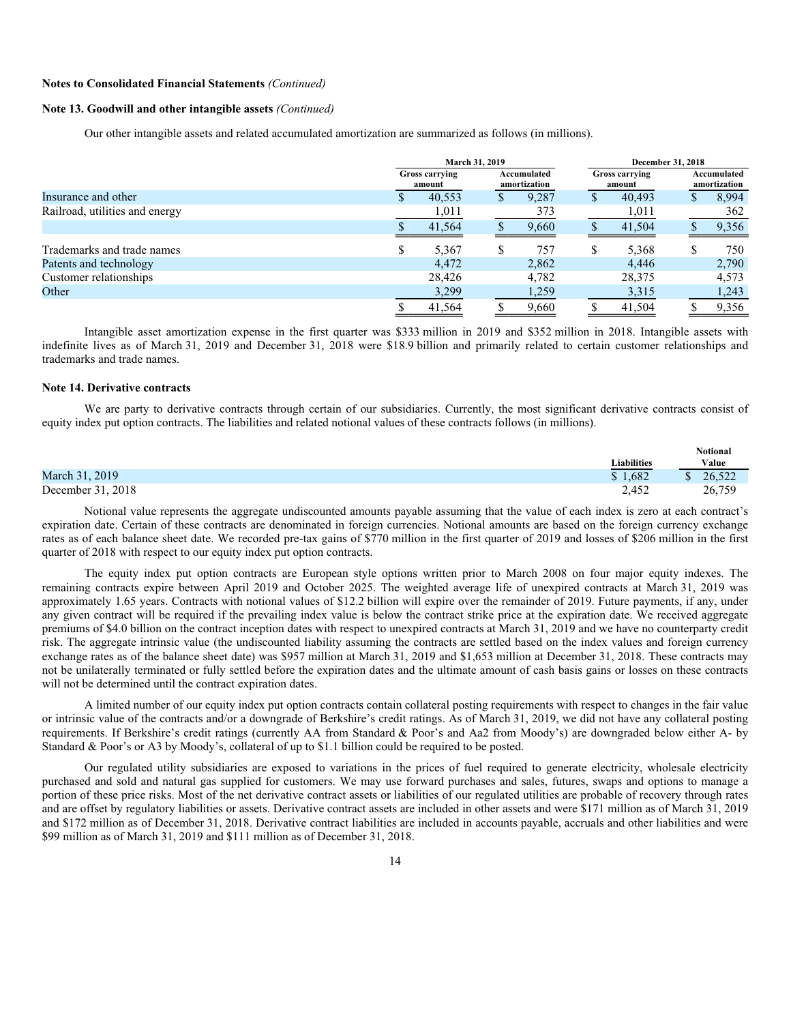#### **Note 13. Goodwill and other intangible assets** *(Continued)*

Our other intangible assets and related accumulated amortization are summarized as follows (in millions).

|                                |   | <b>March 31, 2019</b>           |              |                             |   | <b>December 31, 2018</b>        |  |                             |  |
|--------------------------------|---|---------------------------------|--------------|-----------------------------|---|---------------------------------|--|-----------------------------|--|
|                                |   | <b>Gross carrying</b><br>amount |              | Accumulated<br>amortization |   | <b>Gross carrying</b><br>amount |  | Accumulated<br>amortization |  |
| Insurance and other            |   | 40,553                          | <sup>3</sup> | 9,287                       | ъ | 40.493                          |  | 8,994                       |  |
| Railroad, utilities and energy |   | 1,011                           |              | 373                         |   | 1,011                           |  | 362                         |  |
|                                |   | 41,564                          |              | 9,660                       |   | 41,504                          |  | 9,356                       |  |
| Trademarks and trade names     | S | 5,367                           | S            | 757                         | S | 5,368                           |  | 750                         |  |
| Patents and technology         |   | 4,472                           |              | 2,862                       |   | 4.446                           |  | 2,790                       |  |
| Customer relationships         |   | 28,426                          |              | 4,782                       |   | 28,375                          |  | 4,573                       |  |
| Other                          |   | 3,299                           |              | 1,259                       |   | 3,315                           |  | 1,243                       |  |
|                                |   | 41,564                          |              | 9,660                       |   | 41,504                          |  | 9,356                       |  |

Intangible asset amortization expense in the first quarter was \$333 million in 2019 and \$352 million in 2018. Intangible assets with indefinite lives as of March 31, 2019 and December 31, 2018 were \$18.9 billion and primarily related to certain customer relationships and trademarks and trade names.

#### **Note 14. Derivative contracts**

We are party to derivative contracts through certain of our subsidiaries. Currently, the most significant derivative contracts consist of equity index put option contracts. The liabilities and related notional values of these contracts follows (in millions).

|                   |                    | <b>Notional</b>        |
|-------------------|--------------------|------------------------|
|                   | <b>Liabilities</b> | Value                  |
| March 31, 2019    | \$1.682            | 26.522<br><sup>Q</sup> |
| December 31, 2018 | 2.452              | 26,759                 |

Notional value represents the aggregate undiscounted amounts payable assuming that the value of each index is zero at each contract's expiration date. Certain of these contracts are denominated in foreign currencies. Notional amounts are based on the foreign currency exchange rates as of each balance sheet date. We recorded pre-tax gains of \$770 million in the first quarter of 2019 and losses of \$206 million in the first quarter of 2018 with respect to our equity index put option contracts.

The equity index put option contracts are European style options written prior to March 2008 on four major equity indexes. The remaining contracts expire between April 2019 and October 2025. The weighted average life of unexpired contracts at March 31, 2019 was approximately 1.65 years. Contracts with notional values of \$12.2 billion will expire over the remainder of 2019. Future payments, if any, under any given contract will be required if the prevailing index value is below the contract strike price at the expiration date. We received aggregate premiums of \$4.0 billion on the contract inception dates with respect to unexpired contracts at March 31, 2019 and we have no counterparty credit risk. The aggregate intrinsic value (the undiscounted liability assuming the contracts are settled based on the index values and foreign currency exchange rates as of the balance sheet date) was \$957 million at March 31, 2019 and \$1,653 million at December 31, 2018. These contracts may not be unilaterally terminated or fully settled before the expiration dates and the ultimate amount of cash basis gains or losses on these contracts will not be determined until the contract expiration dates.

A limited number of our equity index put option contracts contain collateral posting requirements with respect to changes in the fair value or intrinsic value of the contracts and/or a downgrade of Berkshire's credit ratings. As of March 31, 2019, we did not have any collateral posting requirements. If Berkshire's credit ratings (currently AA from Standard & Poor's and Aa2 from Moody's) are downgraded below either A- by Standard & Poor's or A3 by Moody's, collateral of up to \$1.1 billion could be required to be posted.

Our regulated utility subsidiaries are exposed to variations in the prices of fuel required to generate electricity, wholesale electricity purchased and sold and natural gas supplied for customers. We may use forward purchases and sales, futures, swaps and options to manage a portion of these price risks. Most of the net derivative contract assets or liabilities of our regulated utilities are probable of recovery through rates and are offset by regulatory liabilities or assets. Derivative contract assets are included in other assets and were \$171 million as of March 31, 2019 and \$172 million as of December 31, 2018. Derivative contract liabilities are included in accounts payable, accruals and other liabilities and were \$99 million as of March 31, 2019 and \$111 million as of December 31, 2018.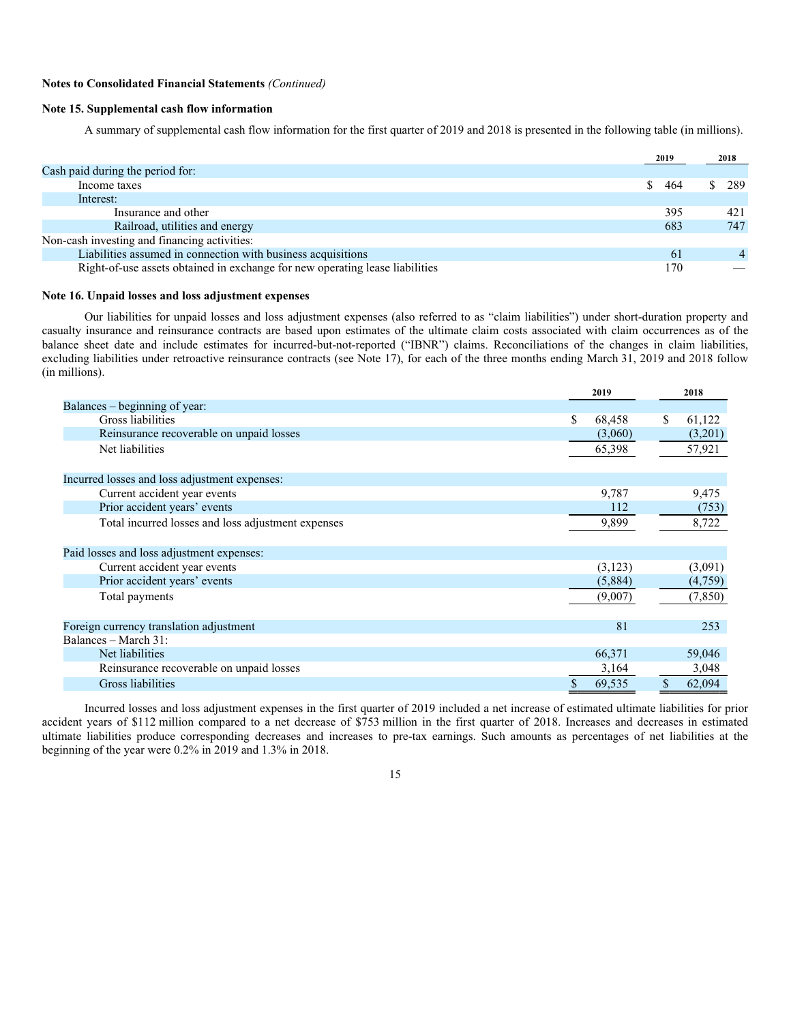### **Note 15. Supplemental cash flow information**

A summary of supplemental cash flow information for the first quarter of 2019 and 2018 is presented in the following table (in millions).

|                                                                              | 2019 | 2018           |
|------------------------------------------------------------------------------|------|----------------|
| Cash paid during the period for:                                             |      |                |
| Income taxes                                                                 | 464  | \$289          |
| Interest:                                                                    |      |                |
| Insurance and other                                                          | 395  | 421            |
| Railroad, utilities and energy                                               | 683  | 747            |
| Non-cash investing and financing activities:                                 |      |                |
| Liabilities assumed in connection with business acquisitions                 | 61   | $\overline{4}$ |
| Right-of-use assets obtained in exchange for new operating lease liabilities | 170  |                |

## **Note 16. Unpaid losses and loss adjustment expenses**

Our liabilities for unpaid losses and loss adjustment expenses (also referred to as "claim liabilities") under short-duration property and casualty insurance and reinsurance contracts are based upon estimates of the ultimate claim costs associated with claim occurrences as of the balance sheet date and include estimates for incurred-but-not-reported ("IBNR") claims. Reconciliations of the changes in claim liabilities, excluding liabilities under retroactive reinsurance contracts (see Note 17), for each of the three months ending March 31, 2019 and 2018 follow (in millions).

|                                                    | 2019         | 2018         |
|----------------------------------------------------|--------------|--------------|
| Balances – beginning of year:                      |              |              |
| Gross liabilities                                  | \$<br>68,458 | \$<br>61,122 |
| Reinsurance recoverable on unpaid losses           | (3,060)      | (3,201)      |
| Net liabilities                                    | 65,398       | 57,921       |
| Incurred losses and loss adjustment expenses:      |              |              |
| Current accident year events                       | 9,787        | 9,475        |
| Prior accident years' events                       | 112          | (753)        |
| Total incurred losses and loss adjustment expenses | 9,899        | 8,722        |
| Paid losses and loss adjustment expenses:          |              |              |
| Current accident year events                       | (3,123)      | (3,091)      |
| Prior accident years' events                       | (5,884)      | (4, 759)     |
| Total payments                                     | (9,007)      | (7, 850)     |
|                                                    |              |              |
| Foreign currency translation adjustment            | 81           | 253          |
| Balances – March 31:                               |              |              |
| Net liabilities                                    | 66,371       | 59,046       |
| Reinsurance recoverable on unpaid losses           | 3,164        | 3,048        |
| Gross liabilities                                  | 69,535       | \$<br>62,094 |

Incurred losses and loss adjustment expenses in the first quarter of 2019 included a net increase of estimated ultimate liabilities for prior accident years of \$112 million compared to a net decrease of \$753 million in the first quarter of 2018. Increases and decreases in estimated ultimate liabilities produce corresponding decreases and increases to pre-tax earnings. Such amounts as percentages of net liabilities at the beginning of the year were 0.2% in 2019 and 1.3% in 2018.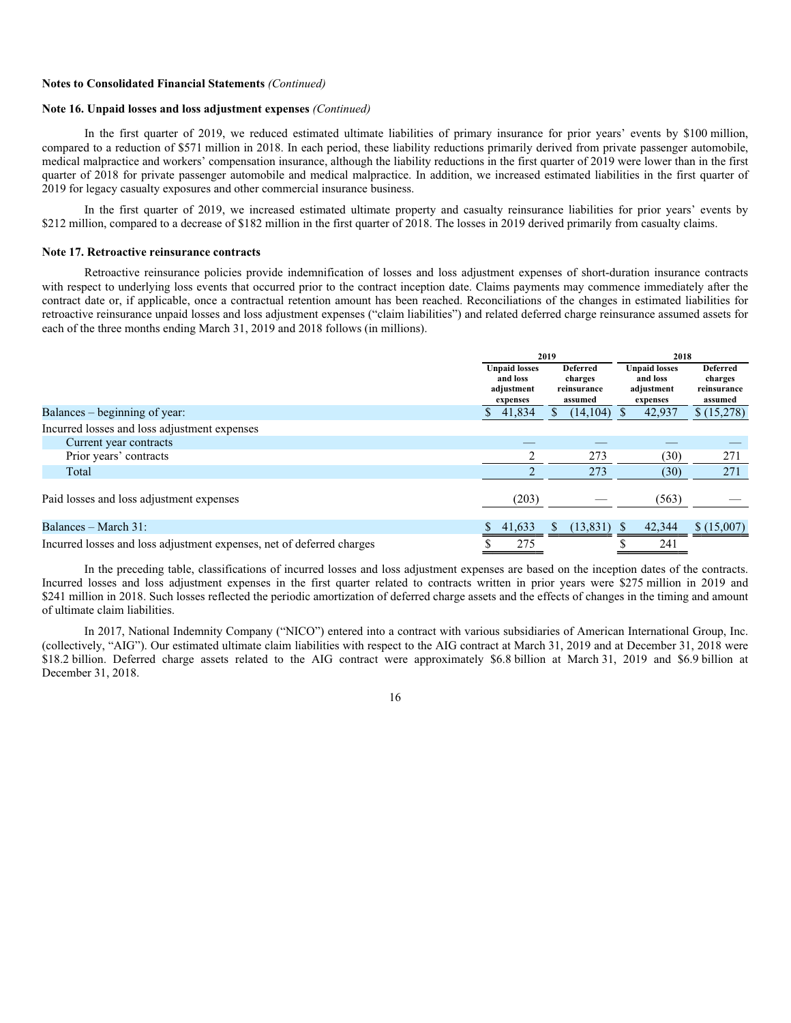### **Note 16. Unpaid losses and loss adjustment expenses** *(Continued)*

In the first quarter of 2019, we reduced estimated ultimate liabilities of primary insurance for prior years' events by \$100 million, compared to a reduction of \$571 million in 2018. In each period, these liability reductions primarily derived from private passenger automobile, medical malpractice and workers' compensation insurance, although the liability reductions in the first quarter of 2019 were lower than in the first quarter of 2018 for private passenger automobile and medical malpractice. In addition, we increased estimated liabilities in the first quarter of 2019 for legacy casualty exposures and other commercial insurance business.

In the first quarter of 2019, we increased estimated ultimate property and casualty reinsurance liabilities for prior years' events by \$212 million, compared to a decrease of \$182 million in the first quarter of 2018. The losses in 2019 derived primarily from casualty claims.

#### **Note 17. Retroactive reinsurance contracts**

Retroactive reinsurance policies provide indemnification of losses and loss adjustment expenses of short-duration insurance contracts with respect to underlying loss events that occurred prior to the contract inception date. Claims payments may commence immediately after the contract date or, if applicable, once a contractual retention amount has been reached. Reconciliations of the changes in estimated liabilities for retroactive reinsurance unpaid losses and loss adjustment expenses ("claim liabilities") and related deferred charge reinsurance assumed assets for each of the three months ending March 31, 2019 and 2018 follows (in millions).

|                                                                       |                                                                                                                    | 2019          | 2018                                                       |                                                      |  |
|-----------------------------------------------------------------------|--------------------------------------------------------------------------------------------------------------------|---------------|------------------------------------------------------------|------------------------------------------------------|--|
|                                                                       | <b>Unpaid losses</b><br><b>Deferred</b><br>and loss<br>charges<br>adjustment<br>reinsurance<br>assumed<br>expenses |               | <b>Unpaid losses</b><br>and loss<br>adjustment<br>expenses | <b>Deferred</b><br>charges<br>reinsurance<br>assumed |  |
| Balances – beginning of year:                                         | 41,834                                                                                                             | (14, 104)     | 42,937                                                     | \$(15,278)                                           |  |
| Incurred losses and loss adjustment expenses                          |                                                                                                                    |               |                                                            |                                                      |  |
| Current year contracts                                                |                                                                                                                    |               |                                                            |                                                      |  |
| Prior years' contracts                                                |                                                                                                                    | 273           | (30)                                                       | 271                                                  |  |
| Total                                                                 |                                                                                                                    | 273           | (30)                                                       | 271                                                  |  |
| Paid losses and loss adjustment expenses                              | (203)                                                                                                              |               | (563)                                                      |                                                      |  |
| $Balances - March 31$ :                                               | 41,633                                                                                                             | $(13,831)$ \$ | 42,344                                                     | \$(15,007)                                           |  |
| Incurred losses and loss adjustment expenses, net of deferred charges | 275                                                                                                                |               | 241                                                        |                                                      |  |

In the preceding table, classifications of incurred losses and loss adjustment expenses are based on the inception dates of the contracts. Incurred losses and loss adjustment expenses in the first quarter related to contracts written in prior years were \$275 million in 2019 and \$241 million in 2018. Such losses reflected the periodic amortization of deferred charge assets and the effects of changes in the timing and amount of ultimate claim liabilities.

In 2017, National Indemnity Company ("NICO") entered into a contract with various subsidiaries of American International Group, Inc. (collectively, "AIG"). Our estimated ultimate claim liabilities with respect to the AIG contract at March 31, 2019 and at December 31, 2018 were \$18.2 billion. Deferred charge assets related to the AIG contract were approximately \$6.8 billion at March 31, 2019 and \$6.9 billion at December 31, 2018.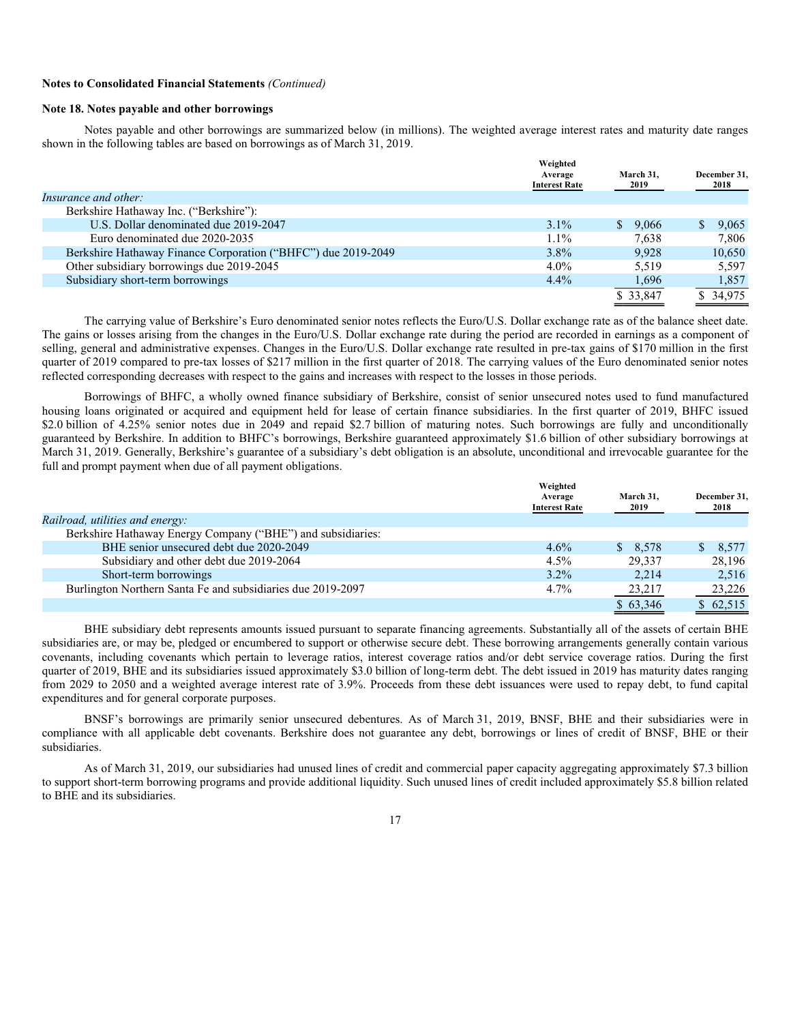### **Note 18. Notes payable and other borrowings**

Notes payable and other borrowings are summarized below (in millions). The weighted average interest rates and maturity date ranges shown in the following tables are based on borrowings as of March 31, 2019.

|                                                               | Weighted<br>Average<br><b>Interest Rate</b> | March 31.<br>2019 | December 31,<br>2018 |
|---------------------------------------------------------------|---------------------------------------------|-------------------|----------------------|
| Insurance and other:                                          |                                             |                   |                      |
| Berkshire Hathaway Inc. ("Berkshire"):                        |                                             |                   |                      |
| U.S. Dollar denominated due 2019-2047                         | $3.1\%$                                     | 9.066<br>S.       | 9,065                |
| Euro denominated due 2020-2035                                | $1.1\%$                                     | 7.638             | 7.806                |
| Berkshire Hathaway Finance Corporation ("BHFC") due 2019-2049 | $3.8\%$                                     | 9.928             | 10,650               |
| Other subsidiary borrowings due 2019-2045                     | $4.0\%$                                     | 5.519             | 5,597                |
| Subsidiary short-term borrowings                              | 4.4%                                        | 1,696             | 1,857                |
|                                                               |                                             | \$ 33,847         | \$ 34,975            |

The carrying value of Berkshire's Euro denominated senior notes reflects the Euro/U.S. Dollar exchange rate as of the balance sheet date. The gains or losses arising from the changes in the Euro/U.S. Dollar exchange rate during the period are recorded in earnings as a component of selling, general and administrative expenses. Changes in the Euro/U.S. Dollar exchange rate resulted in pre-tax gains of \$170 million in the first quarter of 2019 compared to pre-tax losses of \$217 million in the first quarter of 2018. The carrying values of the Euro denominated senior notes reflected corresponding decreases with respect to the gains and increases with respect to the losses in those periods.

Borrowings of BHFC, a wholly owned finance subsidiary of Berkshire, consist of senior unsecured notes used to fund manufactured housing loans originated or acquired and equipment held for lease of certain finance subsidiaries. In the first quarter of 2019, BHFC issued \$2.0 billion of 4.25% senior notes due in 2049 and repaid \$2.7 billion of maturing notes. Such borrowings are fully and unconditionally guaranteed by Berkshire. In addition to BHFC's borrowings, Berkshire guaranteed approximately \$1.6 billion of other subsidiary borrowings at March 31, 2019. Generally, Berkshire's guarantee of a subsidiary's debt obligation is an absolute, unconditional and irrevocable guarantee for the full and prompt payment when due of all payment obligations.

|                                                             | Weighted<br>Average<br><b>Interest Rate</b> | March 31.<br>2019 | December 31,<br>2018 |
|-------------------------------------------------------------|---------------------------------------------|-------------------|----------------------|
| Railroad, utilities and energy:                             |                                             |                   |                      |
| Berkshire Hathaway Energy Company ("BHE") and subsidiaries: |                                             |                   |                      |
| BHE senior unsecured debt due 2020-2049                     | $4.6\%$                                     | \$ 8.578          | \$8,577              |
| Subsidiary and other debt due 2019-2064                     | $4.5\%$                                     | 29.337            | 28.196               |
| Short-term borrowings                                       | $3.2\%$                                     | 2.214             | 2,516                |
| Burlington Northern Santa Fe and subsidiaries due 2019-2097 | $4.7\%$                                     | 23,217            | 23,226               |
|                                                             |                                             | \$63,346          | \$62,515             |

BHE subsidiary debt represents amounts issued pursuant to separate financing agreements. Substantially all of the assets of certain BHE subsidiaries are, or may be, pledged or encumbered to support or otherwise secure debt. These borrowing arrangements generally contain various covenants, including covenants which pertain to leverage ratios, interest coverage ratios and/or debt service coverage ratios. During the first quarter of 2019, BHE and its subsidiaries issued approximately \$3.0 billion of long-term debt. The debt issued in 2019 has maturity dates ranging from 2029 to 2050 and a weighted average interest rate of 3.9%. Proceeds from these debt issuances were used to repay debt, to fund capital expenditures and for general corporate purposes.

BNSF's borrowings are primarily senior unsecured debentures. As of March 31, 2019, BNSF, BHE and their subsidiaries were in compliance with all applicable debt covenants. Berkshire does not guarantee any debt, borrowings or lines of credit of BNSF, BHE or their subsidiaries.

As of March 31, 2019, our subsidiaries had unused lines of credit and commercial paper capacity aggregating approximately \$7.3 billion to support short-term borrowing programs and provide additional liquidity. Such unused lines of credit included approximately \$5.8 billion related to BHE and its subsidiaries.

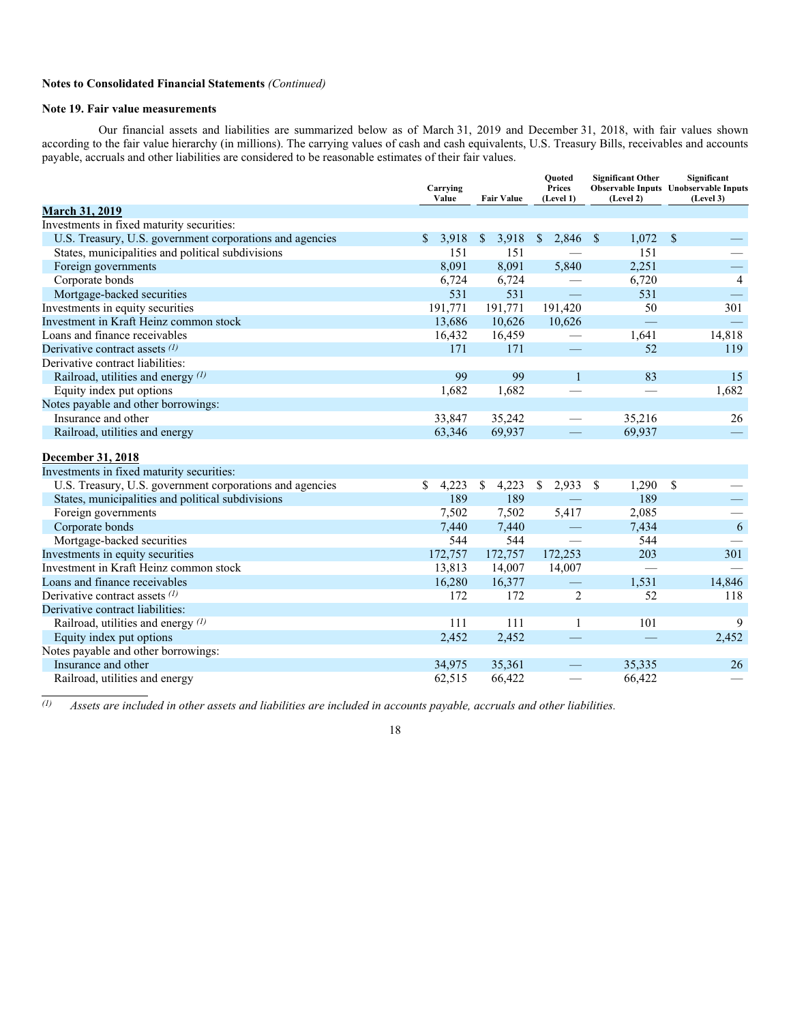## **Note 19. Fair value measurements**

Our financial assets and liabilities are summarized below as of March 31, 2019 and December 31, 2018, with fair values shown according to the fair value hierarchy (in millions). The carrying values of cash and cash equivalents, U.S. Treasury Bills, receivables and accounts payable, accruals and other liabilities are considered to be reasonable estimates of their fair values.

|                                                          | Carrying<br>Value      | <b>Fair Value</b> | <b>Ouoted</b><br><b>Prices</b><br>(Level 1) | <b>Significant Other</b><br>(Level 2) | Significant<br><b>Observable Inputs</b> Unobservable Inputs<br>(Level 3) |
|----------------------------------------------------------|------------------------|-------------------|---------------------------------------------|---------------------------------------|--------------------------------------------------------------------------|
| <b>March 31, 2019</b>                                    |                        |                   |                                             |                                       |                                                                          |
| Investments in fixed maturity securities:                |                        |                   |                                             |                                       |                                                                          |
| U.S. Treasury, U.S. government corporations and agencies | 3,918<br><sup>\$</sup> | 3,918<br>\$       | 2,846 \$<br>$\mathbb{S}$                    | 1,072                                 | \$                                                                       |
| States, municipalities and political subdivisions        | 151                    | 151               |                                             | 151                                   |                                                                          |
| Foreign governments                                      | 8,091                  | 8,091             | 5,840                                       | 2,251                                 |                                                                          |
| Corporate bonds                                          | 6,724                  | 6,724             |                                             | 6,720                                 | $\overline{4}$                                                           |
| Mortgage-backed securities                               | 531                    | 531               | $\equiv$                                    | 531                                   |                                                                          |
| Investments in equity securities                         | 191,771                | 191,771           | 191,420                                     | 50                                    | 301                                                                      |
| Investment in Kraft Heinz common stock                   | 13,686                 | 10,626            | 10,626                                      | $\equiv$                              |                                                                          |
| Loans and finance receivables                            | 16,432                 | 16,459            |                                             | 1,641                                 | 14,818                                                                   |
| Derivative contract assets $(1)$                         | 171                    | 171               | 二                                           | 52                                    | 119                                                                      |
| Derivative contract liabilities:                         |                        |                   |                                             |                                       |                                                                          |
| Railroad, utilities and energy (1)                       | 99                     | 99                | $\mathbf{1}$                                | 83                                    | 15                                                                       |
| Equity index put options                                 | 1,682                  | 1,682             |                                             |                                       | 1,682                                                                    |
| Notes payable and other borrowings:                      |                        |                   |                                             |                                       |                                                                          |
| Insurance and other                                      | 33,847                 | 35,242            |                                             | 35,216                                | 26                                                                       |
| Railroad, utilities and energy                           | 63,346                 | 69,937            |                                             | 69,937                                |                                                                          |
| December 31, 2018                                        |                        |                   |                                             |                                       |                                                                          |
| Investments in fixed maturity securities:                |                        |                   |                                             |                                       |                                                                          |
| U.S. Treasury, U.S. government corporations and agencies | 4,223<br>S.            | 4,223<br>\$       | 2,933<br>\$                                 | 1,290<br><b>S</b>                     | \$                                                                       |
| States, municipalities and political subdivisions        | 189                    | 189               |                                             | 189                                   |                                                                          |
| Foreign governments                                      | 7,502                  | 7,502             | 5,417                                       | 2,085                                 |                                                                          |
| Corporate bonds                                          | 7,440                  | 7,440             |                                             | 7,434                                 | 6                                                                        |
| Mortgage-backed securities                               | 544                    | 544               | $\overline{\phantom{0}}$                    | 544                                   |                                                                          |
| Investments in equity securities                         | 172,757                | 172,757           | 172,253                                     | 203                                   | 301                                                                      |
| Investment in Kraft Heinz common stock                   | 13,813                 | 14,007            | 14,007                                      |                                       |                                                                          |
| Loans and finance receivables                            | 16,280                 | 16,377            |                                             | 1,531                                 | 14,846                                                                   |
| Derivative contract assets $(1)$                         | 172                    | 172               | $\overline{2}$                              | 52                                    | 118                                                                      |
| Derivative contract liabilities:                         |                        |                   |                                             |                                       |                                                                          |
| Railroad, utilities and energy (1)                       | 111                    | 111               | 1                                           | 101                                   | 9                                                                        |
| Equity index put options                                 | 2,452                  | 2,452             |                                             | 二                                     | 2,452                                                                    |
| Notes payable and other borrowings:                      |                        |                   |                                             |                                       |                                                                          |
| Insurance and other                                      | 34,975                 | 35,361            |                                             | 35,335                                | 26                                                                       |
| Railroad, utilities and energy                           | 62,515                 | 66,422            | $\overline{\phantom{0}}$                    | 66,422                                |                                                                          |

*(1) Assets are included in other assets and liabilities are included in accounts payable, accruals and other liabilities.*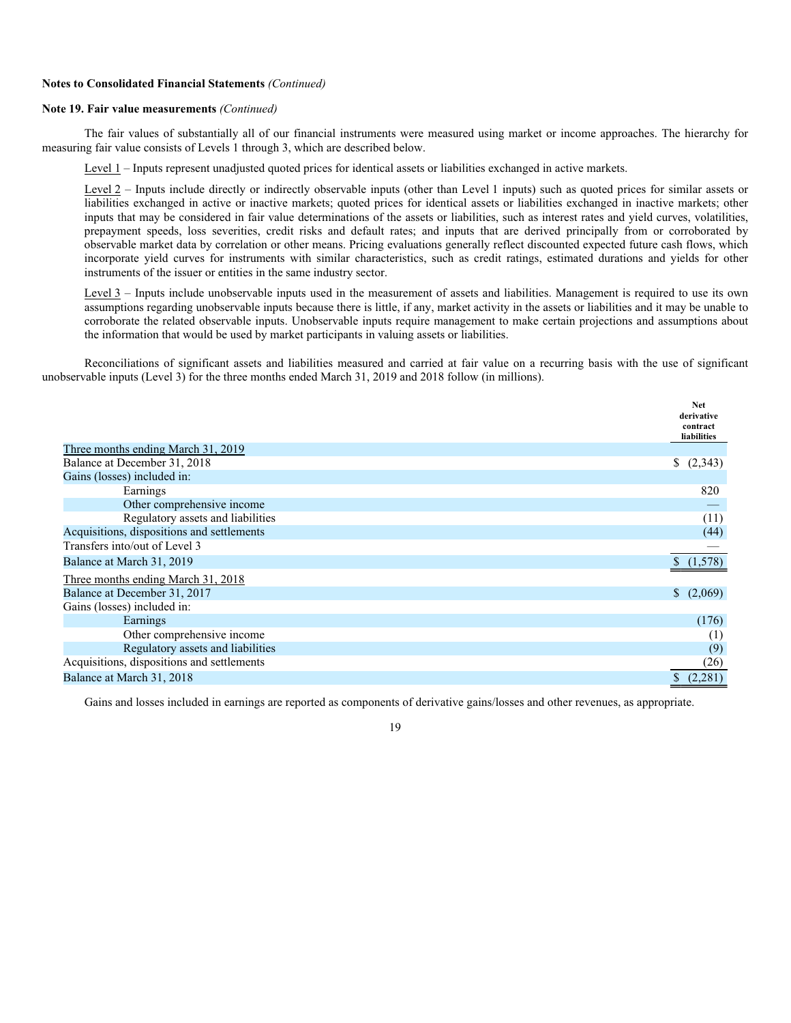#### **Note 19. Fair value measurements** *(Continued)*

The fair values of substantially all of our financial instruments were measured using market or income approaches. The hierarchy for measuring fair value consists of Levels 1 through 3, which are described below.

Level 1 – Inputs represent unadjusted quoted prices for identical assets or liabilities exchanged in active markets.

Level 2 – Inputs include directly or indirectly observable inputs (other than Level 1 inputs) such as quoted prices for similar assets or liabilities exchanged in active or inactive markets; quoted prices for identical assets or liabilities exchanged in inactive markets; other inputs that may be considered in fair value determinations of the assets or liabilities, such as interest rates and yield curves, volatilities, prepayment speeds, loss severities, credit risks and default rates; and inputs that are derived principally from or corroborated by observable market data by correlation or other means. Pricing evaluations generally reflect discounted expected future cash flows, which incorporate yield curves for instruments with similar characteristics, such as credit ratings, estimated durations and yields for other instruments of the issuer or entities in the same industry sector.

Level 3 – Inputs include unobservable inputs used in the measurement of assets and liabilities. Management is required to use its own assumptions regarding unobservable inputs because there is little, if any, market activity in the assets or liabilities and it may be unable to corroborate the related observable inputs. Unobservable inputs require management to make certain projections and assumptions about the information that would be used by market participants in valuing assets or liabilities.

Reconciliations of significant assets and liabilities measured and carried at fair value on a recurring basis with the use of significant unobservable inputs (Level 3) for the three months ended March 31, 2019 and 2018 follow (in millions).

|                                            | <b>Net</b>              |
|--------------------------------------------|-------------------------|
|                                            | derivative<br>contract  |
|                                            | liabilities             |
| Three months ending March 31, 2019         |                         |
| Balance at December 31, 2018               | (2,343)<br>S.           |
| Gains (losses) included in:                |                         |
| Earnings                                   | 820                     |
| Other comprehensive income                 |                         |
| Regulatory assets and liabilities          | (11)                    |
| Acquisitions, dispositions and settlements | (44)                    |
| Transfers into/out of Level 3              |                         |
| Balance at March 31, 2019                  | (1,578)                 |
| Three months ending March 31, 2018         |                         |
| Balance at December 31, 2017               | (2,069)<br>$\mathbb{S}$ |
| Gains (losses) included in:                |                         |
| Earnings                                   | (176)                   |
| Other comprehensive income                 | (1)                     |
| Regulatory assets and liabilities          | (9)                     |
| Acquisitions, dispositions and settlements | (26)                    |
| Balance at March 31, 2018                  | (2,281)                 |

Gains and losses included in earnings are reported as components of derivative gains/losses and other revenues, as appropriate.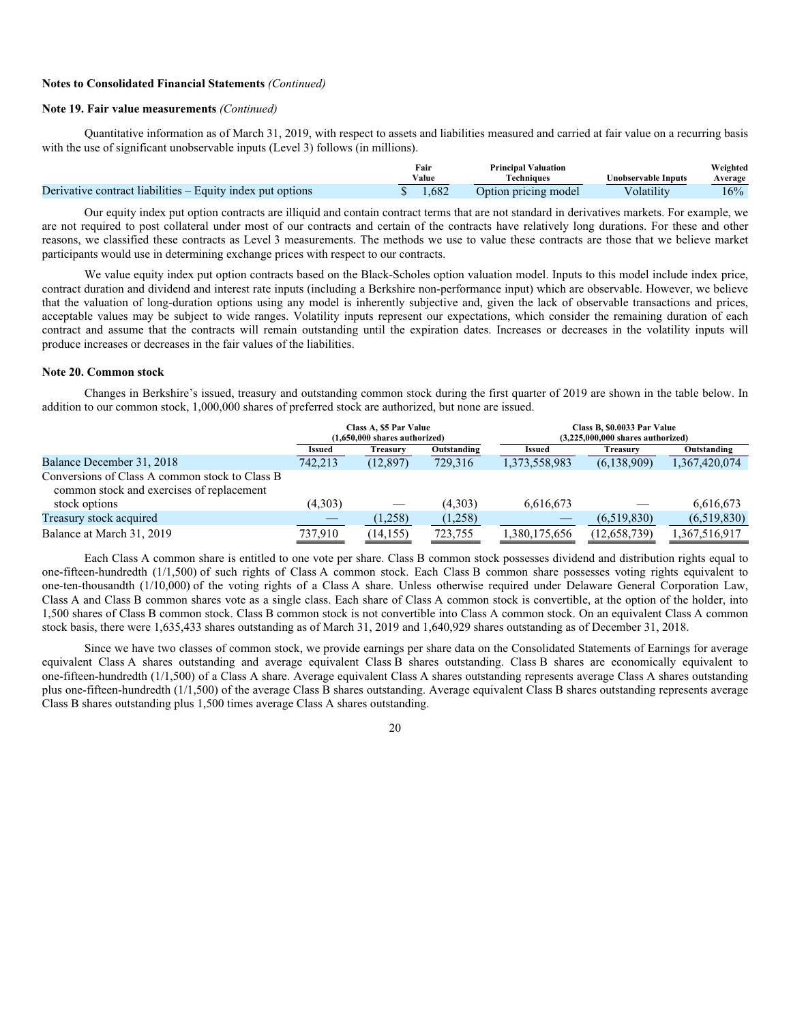### **Note 19. Fair value measurements** *(Continued)*

Quantitative information as of March 31, 2019, with respect to assets and liabilities measured and carried at fair value on a recurring basis with the use of significant unobservable inputs (Level 3) follows (in millions).

|                                                              | Fair  | <b>Principal Valuation</b> |                            | Weighted |
|--------------------------------------------------------------|-------|----------------------------|----------------------------|----------|
|                                                              | Value | Fechniques                 | <b>Unobservable Inputs</b> | Average  |
| Derivative contract liabilities $-$ Equity index put options | 1.682 | Option pricing model       | Volatility                 | $16\%$   |

Our equity index put option contracts are illiquid and contain contract terms that are not standard in derivatives markets. For example, we are not required to post collateral under most of our contracts and certain of the contracts have relatively long durations. For these and other reasons, we classified these contracts as Level 3 measurements. The methods we use to value these contracts are those that we believe market participants would use in determining exchange prices with respect to our contracts.

We value equity index put option contracts based on the Black-Scholes option valuation model. Inputs to this model include index price, contract duration and dividend and interest rate inputs (including a Berkshire non-performance input) which are observable. However, we believe that the valuation of long-duration options using any model is inherently subjective and, given the lack of observable transactions and prices, acceptable values may be subject to wide ranges. Volatility inputs represent our expectations, which consider the remaining duration of each contract and assume that the contracts will remain outstanding until the expiration dates. Increases or decreases in the volatility inputs will produce increases or decreases in the fair values of the liabilities.

### **Note 20. Common stock**

Changes in Berkshire's issued, treasury and outstanding common stock during the first quarter of 2019 are shown in the table below. In addition to our common stock, 1,000,000 shares of preferred stock are authorized, but none are issued.

|                                                                                             |               | Class A, \$5 Par Value<br>$(1,650,000$ shares authorized) |             |               | Class B, \$0.0033 Par Value<br>$(3,225,000,000$ shares authorized) |               |
|---------------------------------------------------------------------------------------------|---------------|-----------------------------------------------------------|-------------|---------------|--------------------------------------------------------------------|---------------|
|                                                                                             | <b>Issued</b> | <b>Treasury</b>                                           | Outstanding | Issued        | Treasurv                                                           | Outstanding   |
| Balance December 31, 2018                                                                   | 742.213       | (12, 897)                                                 | 729.316     | 1,373,558,983 | (6,138,909)                                                        | 1,367,420,074 |
| Conversions of Class A common stock to Class B<br>common stock and exercises of replacement |               |                                                           |             |               |                                                                    |               |
| stock options                                                                               | (4,303)       |                                                           | (4,303)     | 6,616,673     |                                                                    | 6,616,673     |
| Treasury stock acquired                                                                     |               | (1,258)                                                   | (1,258)     |               | (6,519,830)                                                        | (6,519,830)   |
| Balance at March 31, 2019                                                                   | 737,910       | (14, 155)                                                 | 723,755     | 1,380,175,656 | (12,658,739)                                                       | 1,367,516,917 |

Each Class A common share is entitled to one vote per share. Class B common stock possesses dividend and distribution rights equal to one-fifteen-hundredth (1/1,500) of such rights of Class A common stock. Each Class B common share possesses voting rights equivalent to one-ten-thousandth (1/10,000) of the voting rights of a Class A share. Unless otherwise required under Delaware General Corporation Law, Class A and Class B common shares vote as a single class. Each share of Class A common stock is convertible, at the option of the holder, into 1,500 shares of Class B common stock. Class B common stock is not convertible into Class A common stock. On an equivalent Class A common stock basis, there were 1,635,433 shares outstanding as of March 31, 2019 and 1,640,929 shares outstanding as of December 31, 2018.

Since we have two classes of common stock, we provide earnings per share data on the Consolidated Statements of Earnings for average equivalent Class A shares outstanding and average equivalent Class B shares outstanding. Class B shares are economically equivalent to one-fifteen-hundredth (1/1,500) of a Class A share. Average equivalent Class A shares outstanding represents average Class A shares outstanding plus one-fifteen-hundredth (1/1,500) of the average Class B shares outstanding. Average equivalent Class B shares outstanding represents average Class B shares outstanding plus 1,500 times average Class A shares outstanding.

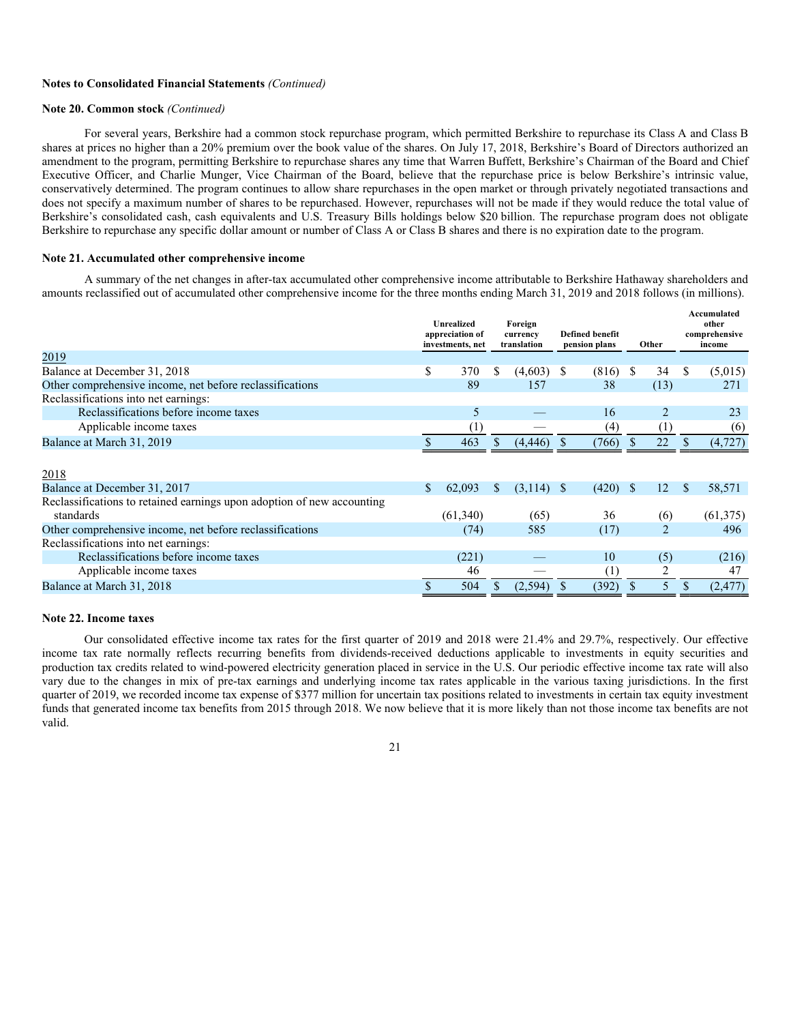#### **Note 20. Common stock** *(Continued)*

For several years, Berkshire had a common stock repurchase program, which permitted Berkshire to repurchase its Class A and Class B shares at prices no higher than a 20% premium over the book value of the shares. On July 17, 2018, Berkshire's Board of Directors authorized an amendment to the program, permitting Berkshire to repurchase shares any time that Warren Buffett, Berkshire's Chairman of the Board and Chief Executive Officer, and Charlie Munger, Vice Chairman of the Board, believe that the repurchase price is below Berkshire's intrinsic value, conservatively determined. The program continues to allow share repurchases in the open market or through privately negotiated transactions and does not specify a maximum number of shares to be repurchased. However, repurchases will not be made if they would reduce the total value of Berkshire's consolidated cash, cash equivalents and U.S. Treasury Bills holdings below \$20 billion. The repurchase program does not obligate Berkshire to repurchase any specific dollar amount or number of Class A or Class B shares and there is no expiration date to the program.

#### **Note 21. Accumulated other comprehensive income**

A summary of the net changes in after-tax accumulated other comprehensive income attributable to Berkshire Hathaway shareholders and amounts reclassified out of accumulated other comprehensive income for the three months ending March 31, 2019 and 2018 follows (in millions).

| 2019<br>\$<br>Balance at December 31, 2018<br>\$<br>34<br>\$<br>370<br>$(4,603)$ \$<br>$(816)$ \$<br>Other comprehensive income, net before reclassifications<br>89<br>38<br>(13)<br>157<br>271<br>Reclassifications into net earnings:<br>Reclassifications before income taxes<br>5<br>16<br>$\overline{2}$<br>23<br>Applicable income taxes<br>(4)<br>(1)<br>$\left(1\right)$<br>463<br>22<br>$\mathcal{S}$<br>Balance at March 31, 2019<br>(4, 446)<br>(766)<br><sup>\$</sup><br><sup>\$</sup><br>-S<br>2018<br>12<br>58,571<br>$\mathbb{S}$<br>62,093<br>(420)<br>\$<br>Balance at December 31, 2017<br>\$.<br>(3,114)<br>-S<br><sup>S</sup><br>Reclassifications to retained earnings upon adoption of new accounting<br>(61, 340)<br>36<br>standards<br>(6)<br>(65)<br>$\overline{2}$<br>Other comprehensive income, net before reclassifications<br>585<br>(17)<br>(74)<br>Reclassifications into net earnings:<br>Reclassifications before income taxes<br>(221)<br>10<br>(5)<br>47<br>Applicable income taxes<br>(1)<br>46 |                           | <b>Unrealized</b><br>appreciation of<br>investments, net |     | Foreign<br>currency<br>translation |  | <b>Defined benefit</b><br>pension plans | Other |   | Accumulated<br>other<br>comprehensive<br>income |
|--------------------------------------------------------------------------------------------------------------------------------------------------------------------------------------------------------------------------------------------------------------------------------------------------------------------------------------------------------------------------------------------------------------------------------------------------------------------------------------------------------------------------------------------------------------------------------------------------------------------------------------------------------------------------------------------------------------------------------------------------------------------------------------------------------------------------------------------------------------------------------------------------------------------------------------------------------------------------------------------------------------------------------------|---------------------------|----------------------------------------------------------|-----|------------------------------------|--|-----------------------------------------|-------|---|-------------------------------------------------|
|                                                                                                                                                                                                                                                                                                                                                                                                                                                                                                                                                                                                                                                                                                                                                                                                                                                                                                                                                                                                                                      |                           |                                                          |     |                                    |  |                                         |       |   |                                                 |
|                                                                                                                                                                                                                                                                                                                                                                                                                                                                                                                                                                                                                                                                                                                                                                                                                                                                                                                                                                                                                                      |                           |                                                          |     |                                    |  |                                         |       |   | (5,015)                                         |
|                                                                                                                                                                                                                                                                                                                                                                                                                                                                                                                                                                                                                                                                                                                                                                                                                                                                                                                                                                                                                                      |                           |                                                          |     |                                    |  |                                         |       |   |                                                 |
|                                                                                                                                                                                                                                                                                                                                                                                                                                                                                                                                                                                                                                                                                                                                                                                                                                                                                                                                                                                                                                      |                           |                                                          |     |                                    |  |                                         |       |   |                                                 |
|                                                                                                                                                                                                                                                                                                                                                                                                                                                                                                                                                                                                                                                                                                                                                                                                                                                                                                                                                                                                                                      |                           |                                                          |     |                                    |  |                                         |       |   |                                                 |
|                                                                                                                                                                                                                                                                                                                                                                                                                                                                                                                                                                                                                                                                                                                                                                                                                                                                                                                                                                                                                                      |                           |                                                          |     |                                    |  |                                         |       |   | (6)                                             |
|                                                                                                                                                                                                                                                                                                                                                                                                                                                                                                                                                                                                                                                                                                                                                                                                                                                                                                                                                                                                                                      |                           |                                                          |     |                                    |  |                                         |       |   | (4, 727)                                        |
|                                                                                                                                                                                                                                                                                                                                                                                                                                                                                                                                                                                                                                                                                                                                                                                                                                                                                                                                                                                                                                      |                           |                                                          |     |                                    |  |                                         |       |   |                                                 |
|                                                                                                                                                                                                                                                                                                                                                                                                                                                                                                                                                                                                                                                                                                                                                                                                                                                                                                                                                                                                                                      |                           |                                                          |     |                                    |  |                                         |       |   |                                                 |
|                                                                                                                                                                                                                                                                                                                                                                                                                                                                                                                                                                                                                                                                                                                                                                                                                                                                                                                                                                                                                                      |                           |                                                          |     |                                    |  |                                         |       |   |                                                 |
|                                                                                                                                                                                                                                                                                                                                                                                                                                                                                                                                                                                                                                                                                                                                                                                                                                                                                                                                                                                                                                      |                           |                                                          |     |                                    |  |                                         |       |   | (61, 375)                                       |
|                                                                                                                                                                                                                                                                                                                                                                                                                                                                                                                                                                                                                                                                                                                                                                                                                                                                                                                                                                                                                                      |                           |                                                          |     |                                    |  |                                         |       |   | 496                                             |
|                                                                                                                                                                                                                                                                                                                                                                                                                                                                                                                                                                                                                                                                                                                                                                                                                                                                                                                                                                                                                                      |                           |                                                          |     |                                    |  |                                         |       |   |                                                 |
|                                                                                                                                                                                                                                                                                                                                                                                                                                                                                                                                                                                                                                                                                                                                                                                                                                                                                                                                                                                                                                      |                           |                                                          |     |                                    |  |                                         |       |   | (216)                                           |
|                                                                                                                                                                                                                                                                                                                                                                                                                                                                                                                                                                                                                                                                                                                                                                                                                                                                                                                                                                                                                                      |                           |                                                          |     |                                    |  |                                         |       |   |                                                 |
|                                                                                                                                                                                                                                                                                                                                                                                                                                                                                                                                                                                                                                                                                                                                                                                                                                                                                                                                                                                                                                      | Balance at March 31, 2018 |                                                          | 504 | (2, 594)                           |  | (392)                                   |       | 5 | \$<br>(2, 477)                                  |

### **Note 22. Income taxes**

Our consolidated effective income tax rates for the first quarter of 2019 and 2018 were 21.4% and 29.7%, respectively. Our effective income tax rate normally reflects recurring benefits from dividends-received deductions applicable to investments in equity securities and production tax credits related to wind-powered electricity generation placed in service in the U.S. Our periodic effective income tax rate will also vary due to the changes in mix of pre-tax earnings and underlying income tax rates applicable in the various taxing jurisdictions. In the first quarter of 2019, we recorded income tax expense of \$377 million for uncertain tax positions related to investments in certain tax equity investment funds that generated income tax benefits from 2015 through 2018. We now believe that it is more likely than not those income tax benefits are not valid.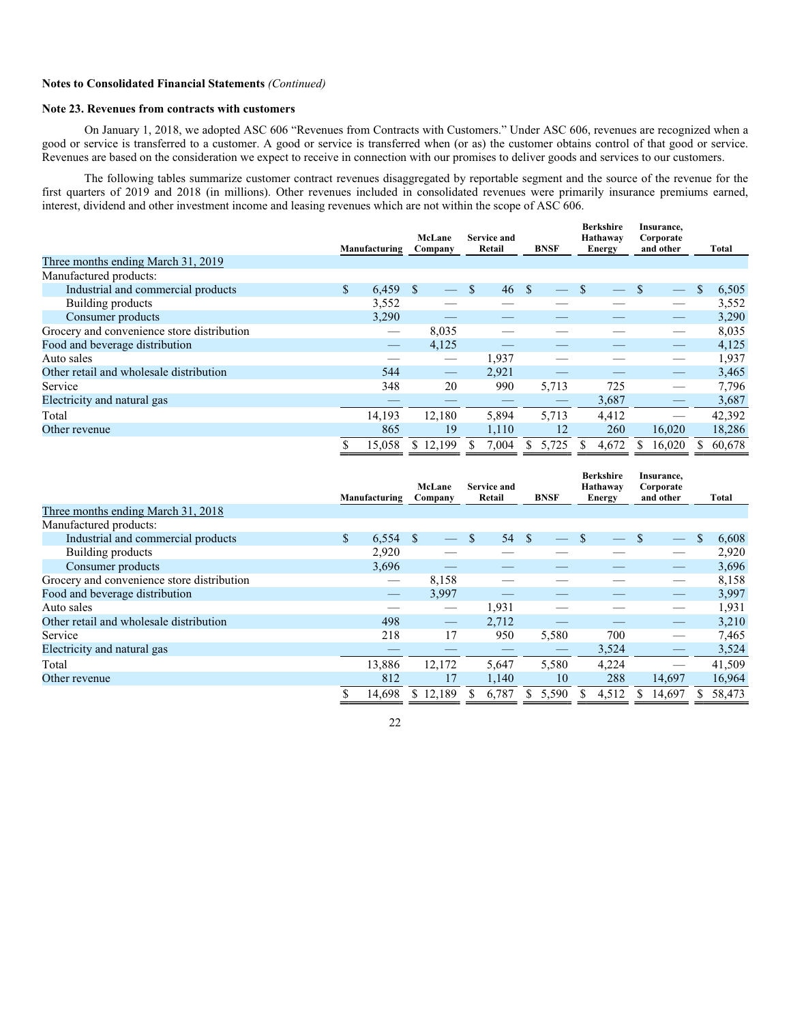### **Note 23. Revenues from contracts with customers**

On January 1, 2018, we adopted ASC 606 "Revenues from Contracts with Customers." Under ASC 606, revenues are recognized when a good or service is transferred to a customer. A good or service is transferred when (or as) the customer obtains control of that good or service. Revenues are based on the consideration we expect to receive in connection with our promises to deliver goods and services to our customers.

The following tables summarize customer contract revenues disaggregated by reportable segment and the source of the revenue for the first quarters of 2019 and 2018 (in millions). Other revenues included in consolidated revenues were primarily insurance premiums earned, interest, dividend and other investment income and leasing revenues which are not within the scope of ASC 606.

|                                            | Manufacturing |        |     | McLane<br>Company               |    | Service and<br>Retail |      | <b>BNSF</b> |               | <b>Berkshire</b><br>Hathaway<br><b>Energy</b> |            | Insurance,<br>Corporate<br>and other |    | Total  |
|--------------------------------------------|---------------|--------|-----|---------------------------------|----|-----------------------|------|-------------|---------------|-----------------------------------------------|------------|--------------------------------------|----|--------|
| Three months ending March 31, 2019         |               |        |     |                                 |    |                       |      |             |               |                                               |            |                                      |    |        |
| Manufactured products:                     |               |        |     |                                 |    |                       |      |             |               |                                               |            |                                      |    |        |
| Industrial and commercial products         | $\mathbb{S}$  | 6,459  | -\$ |                                 | -S | 46                    | - \$ |             | <sup>\$</sup> |                                               | $\sqrt{s}$ | $\overline{\phantom{0}}$             | \$ | 6,505  |
| Building products                          |               | 3,552  |     |                                 |    |                       |      |             |               |                                               |            |                                      |    | 3,552  |
| Consumer products                          |               | 3,290  |     |                                 |    |                       |      |             |               |                                               |            |                                      |    | 3,290  |
| Grocery and convenience store distribution |               |        |     | 8,035                           |    |                       |      |             |               |                                               |            |                                      |    | 8,035  |
| Food and beverage distribution             |               |        |     | 4,125                           |    |                       |      |             |               |                                               |            |                                      |    | 4,125  |
| Auto sales                                 |               |        |     |                                 |    | 1,937                 |      |             |               |                                               |            |                                      |    | 1,937  |
| Other retail and wholesale distribution    |               | 544    |     | $\hspace{0.1mm}-\hspace{0.1mm}$ |    | 2,921                 |      |             |               |                                               |            |                                      |    | 3,465  |
| Service                                    |               | 348    |     | 20                              |    | 990                   |      | 5,713       |               | 725                                           |            |                                      |    | 7,796  |
| Electricity and natural gas                |               |        |     |                                 |    |                       |      |             |               | 3,687                                         |            |                                      |    | 3,687  |
| Total                                      |               | 14.193 |     | 12.180                          |    | 5,894                 |      | 5,713       |               | 4,412                                         |            |                                      |    | 42,392 |
| Other revenue                              |               | 865    |     | 19                              |    | 1,110                 |      | 12          |               | 260                                           |            | 16,020                               |    | 18,286 |
|                                            | \$            | 15,058 | S.  | 12.199                          |    | 7,004                 | S    | 5,725       | S             | 4,672                                         | S          | 16.020                               |    | 60.678 |

|                                            | Manufacturing |        | McLane<br>Company |                                   | Service and<br>Retail |       | <b>BNSF</b>   |       |     | <b>Berkshire</b><br>Hathaway<br>Energy |    | Insurance,<br>Corporate<br>and other |   | Total  |
|--------------------------------------------|---------------|--------|-------------------|-----------------------------------|-----------------------|-------|---------------|-------|-----|----------------------------------------|----|--------------------------------------|---|--------|
| Three months ending March 31, 2018         |               |        |                   |                                   |                       |       |               |       |     |                                        |    |                                      |   |        |
| Manufactured products:                     |               |        |                   |                                   |                       |       |               |       |     |                                        |    |                                      |   |        |
| Industrial and commercial products         | $\mathbb{S}$  | 6,554  | -S                | $\hspace{0.1mm}-\hspace{0.1mm}$   | <sup>S</sup>          | 54    | <sup>\$</sup> |       | \$. |                                        | S  |                                      | S | 6,608  |
| Building products                          |               | 2,920  |                   |                                   |                       |       |               |       |     |                                        |    |                                      |   | 2,920  |
| Consumer products                          |               | 3,696  |                   |                                   |                       |       |               |       |     |                                        |    |                                      |   | 3,696  |
| Grocery and convenience store distribution |               |        |                   | 8,158                             |                       |       |               |       |     |                                        |    |                                      |   | 8,158  |
| Food and beverage distribution             |               |        |                   | 3,997                             |                       |       |               |       |     |                                        |    |                                      |   | 3,997  |
| Auto sales                                 |               |        |                   | $\hspace{1.0cm} \overbrace{ }^{}$ |                       | 1,931 |               |       |     |                                        |    |                                      |   | 1,931  |
| Other retail and wholesale distribution    |               | 498    |                   | $\hspace{0.1mm}-\hspace{0.1mm}$   |                       | 2,712 |               |       |     |                                        |    |                                      |   | 3,210  |
| Service                                    |               | 218    |                   | 17                                |                       | 950   |               | 5,580 |     | 700                                    |    |                                      |   | 7,465  |
| Electricity and natural gas                |               |        |                   |                                   |                       | __    |               |       |     | 3,524                                  |    |                                      |   | 3,524  |
| Total                                      |               | 13.886 |                   | 12,172                            |                       | 5,647 |               | 5,580 |     | 4,224                                  |    |                                      |   | 41,509 |
| Other revenue                              |               | 812    |                   | 17                                |                       | 1,140 |               | 10    |     | 288                                    |    | 14,697                               |   | 16,964 |
|                                            | S             | 14,698 | S.                | 12.189                            | S                     | 6,787 | S             | 5,590 | S.  | 4,512                                  | S. | 14.697                               |   | 58,473 |

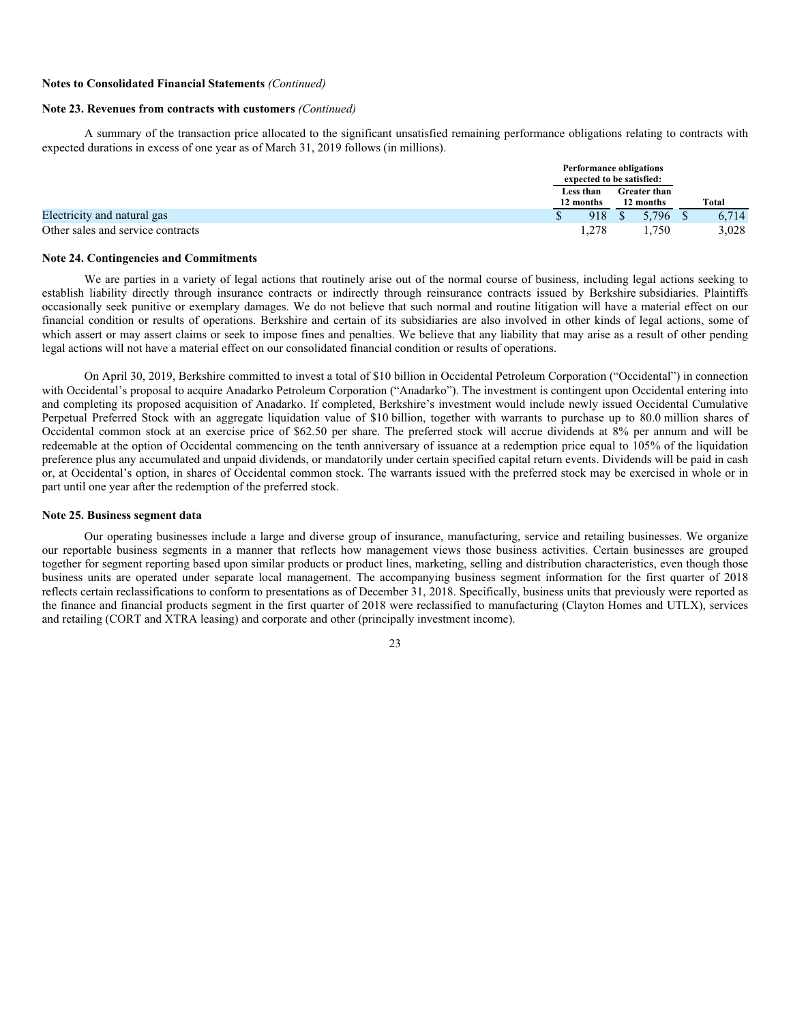### **Note 23. Revenues from contracts with customers** *(Continued)*

A summary of the transaction price allocated to the significant unsatisfied remaining performance obligations relating to contracts with expected durations in excess of one year as of March 31, 2019 follows (in millions).

|                                   |           | <b>Performance obligations</b> |              |
|-----------------------------------|-----------|--------------------------------|--------------|
|                                   |           | expected to be satisfied:      |              |
|                                   | Less than | <b>Greater than</b>            |              |
|                                   | 12 months | 12 months                      | <b>Total</b> |
| Electricity and natural gas       | 918       | 5.796                          | 6.714        |
| Other sales and service contracts | 1.278     | 1.750                          | 3,028        |

#### **Note 24. Contingencies and Commitments**

We are parties in a variety of legal actions that routinely arise out of the normal course of business, including legal actions seeking to establish liability directly through insurance contracts or indirectly through reinsurance contracts issued by Berkshire subsidiaries. Plaintiffs occasionally seek punitive or exemplary damages. We do not believe that such normal and routine litigation will have a material effect on our financial condition or results of operations. Berkshire and certain of its subsidiaries are also involved in other kinds of legal actions, some of which assert or may assert claims or seek to impose fines and penalties. We believe that any liability that may arise as a result of other pending legal actions will not have a material effect on our consolidated financial condition or results of operations.

On April 30, 2019, Berkshire committed to invest a total of \$10 billion in Occidental Petroleum Corporation ("Occidental") in connection with Occidental's proposal to acquire Anadarko Petroleum Corporation ("Anadarko"). The investment is contingent upon Occidental entering into and completing its proposed acquisition of Anadarko. If completed, Berkshire's investment would include newly issued Occidental Cumulative Perpetual Preferred Stock with an aggregate liquidation value of \$10 billion, together with warrants to purchase up to 80.0 million shares of Occidental common stock at an exercise price of \$62.50 per share. The preferred stock will accrue dividends at 8% per annum and will be redeemable at the option of Occidental commencing on the tenth anniversary of issuance at a redemption price equal to 105% of the liquidation preference plus any accumulated and unpaid dividends, or mandatorily under certain specified capital return events. Dividends will be paid in cash or, at Occidental's option, in shares of Occidental common stock. The warrants issued with the preferred stock may be exercised in whole or in part until one year after the redemption of the preferred stock.

### **Note 25. Business segment data**

Our operating businesses include a large and diverse group of insurance, manufacturing, service and retailing businesses. We organize our reportable business segments in a manner that reflects how management views those business activities. Certain businesses are grouped together for segment reporting based upon similar products or product lines, marketing, selling and distribution characteristics, even though those business units are operated under separate local management. The accompanying business segment information for the first quarter of 2018 reflects certain reclassifications to conform to presentations as of December 31, 2018. Specifically, business units that previously were reported as the finance and financial products segment in the first quarter of 2018 were reclassified to manufacturing (Clayton Homes and UTLX), services and retailing (CORT and XTRA leasing) and corporate and other (principally investment income).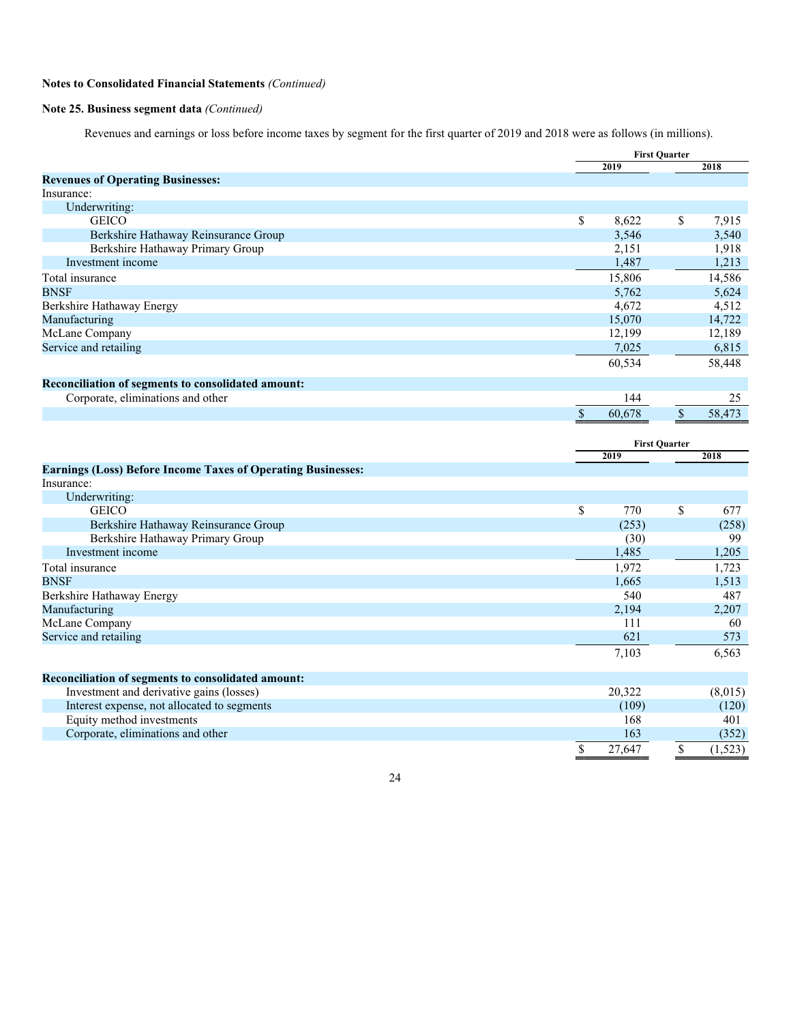## **Note 25. Business segment data** *(Continued)*

Revenues and earnings or loss before income taxes by segment for the first quarter of 2019 and 2018 were as follows (in millions).

|                                                                     |              | <b>First Quarter</b> |                      |          |
|---------------------------------------------------------------------|--------------|----------------------|----------------------|----------|
|                                                                     |              | 2019                 |                      | 2018     |
| <b>Revenues of Operating Businesses:</b>                            |              |                      |                      |          |
| Insurance:                                                          |              |                      |                      |          |
| Underwriting:                                                       |              |                      |                      |          |
| <b>GEICO</b>                                                        | \$           | 8,622                | \$                   | 7,915    |
| Berkshire Hathaway Reinsurance Group                                |              | 3,546                |                      | 3,540    |
| Berkshire Hathaway Primary Group                                    |              | 2,151                |                      | 1,918    |
| Investment income                                                   |              | 1,487                |                      | 1,213    |
| Total insurance                                                     |              | 15,806               |                      | 14,586   |
| <b>BNSF</b>                                                         |              | 5,762                |                      | 5,624    |
| Berkshire Hathaway Energy                                           |              | 4,672                |                      | 4,512    |
| Manufacturing                                                       |              | 15,070               |                      | 14,722   |
| McLane Company                                                      |              | 12,199               |                      | 12,189   |
| Service and retailing                                               |              | 7,025                |                      | 6,815    |
|                                                                     |              | 60,534               |                      | 58,448   |
| Reconciliation of segments to consolidated amount:                  |              |                      |                      |          |
| Corporate, eliminations and other                                   |              | 144                  |                      | 25       |
|                                                                     | $\mathbb{S}$ | 60,678               | $\mathbb{S}$         | 58.473   |
|                                                                     |              |                      |                      |          |
|                                                                     |              | 2019                 | <b>First Quarter</b> | 2018     |
| <b>Earnings (Loss) Before Income Taxes of Operating Businesses:</b> |              |                      |                      |          |
| Insurance:                                                          |              |                      |                      |          |
| Underwriting:                                                       |              |                      |                      |          |
| <b>GEICO</b>                                                        | $\mathbb S$  | 770                  | \$                   | 677      |
| Berkshire Hathaway Reinsurance Group                                |              | (253)                |                      | (258)    |
| Berkshire Hathaway Primary Group                                    |              | (30)                 |                      | 99       |
| Investment income                                                   |              | 1,485                |                      | 1,205    |
| Total insurance                                                     |              | 1,972                |                      | 1,723    |
| <b>BNSF</b>                                                         |              | 1,665                |                      | 1,513    |
| Berkshire Hathaway Energy                                           |              | 540                  |                      | 487      |
| Manufacturing                                                       |              | 2,194                |                      | 2,207    |
| McLane Company                                                      |              | 111                  |                      | 60       |
| Service and retailing                                               |              | 621                  |                      | 573      |
|                                                                     |              | 7,103                |                      | 6,563    |
| Reconciliation of segments to consolidated amount:                  |              |                      |                      |          |
| Investment and derivative gains (losses)                            |              | 20,322               |                      | (8,015)  |
| Interest expense, not allocated to segments                         |              | (109)                |                      | (120)    |
| Equity method investments                                           |              | 168                  |                      | 401      |
| Corporate, eliminations and other                                   |              | 163                  |                      | (352)    |
|                                                                     |              |                      |                      |          |
|                                                                     | \$           | 27,647               | $\mathbb{S}$         | (1, 523) |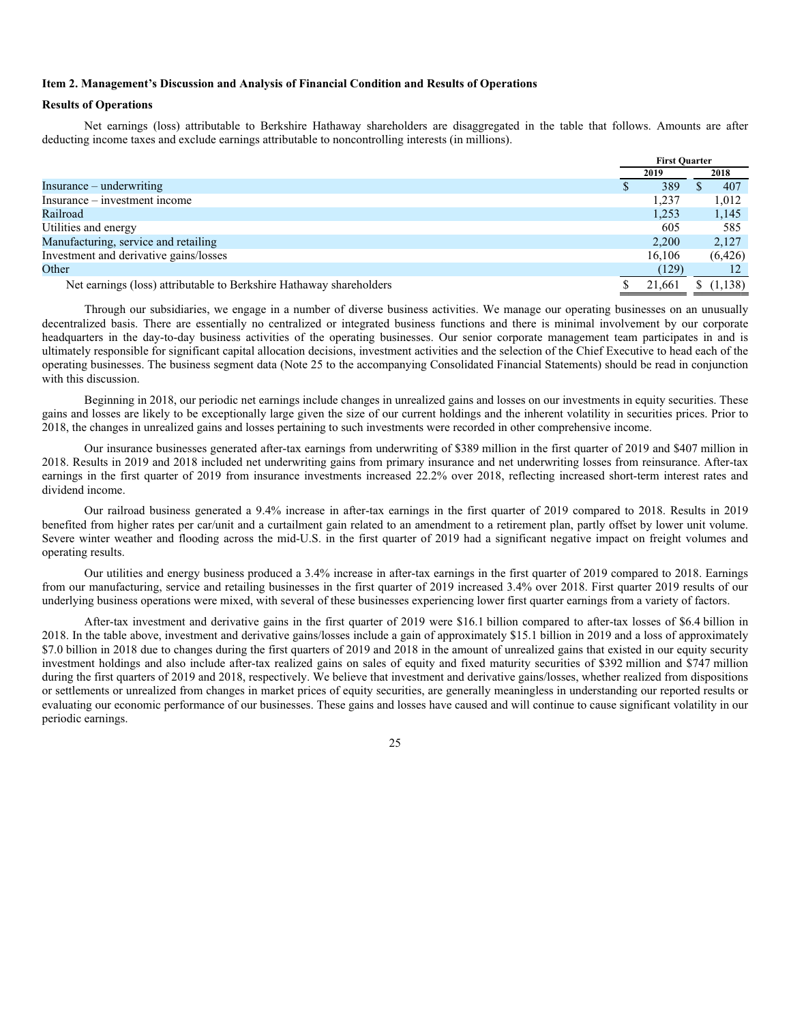### **Results of Operations**

Net earnings (loss) attributable to Berkshire Hathaway shareholders are disaggregated in the table that follows. Amounts are after deducting income taxes and exclude earnings attributable to noncontrolling interests (in millions).

|                                                                     | <b>First Ouarter</b> |    |         |
|---------------------------------------------------------------------|----------------------|----|---------|
|                                                                     | 2019                 |    | 2018    |
| $Insurance - underwriting$                                          | 389                  |    | 407     |
| Insurance – investment income                                       | 1.237                |    | 1.012   |
| Railroad                                                            | 1,253                |    | 1,145   |
| Utilities and energy                                                | 605                  |    | 585     |
| Manufacturing, service and retailing                                | 2.200                |    | 2.127   |
| Investment and derivative gains/losses                              | 16.106               |    | (6,426) |
| Other                                                               | (129)                |    |         |
| Net earnings (loss) attributable to Berkshire Hathaway shareholders | 21,661               | S. | (1,138) |

Through our subsidiaries, we engage in a number of diverse business activities. We manage our operating businesses on an unusually decentralized basis. There are essentially no centralized or integrated business functions and there is minimal involvement by our corporate headquarters in the day-to-day business activities of the operating businesses. Our senior corporate management team participates in and is ultimately responsible for significant capital allocation decisions, investment activities and the selection of the Chief Executive to head each of the operating businesses. The business segment data (Note 25 to the accompanying Consolidated Financial Statements) should be read in conjunction with this discussion.

Beginning in 2018, our periodic net earnings include changes in unrealized gains and losses on our investments in equity securities. These gains and losses are likely to be exceptionally large given the size of our current holdings and the inherent volatility in securities prices. Prior to 2018, the changes in unrealized gains and losses pertaining to such investments were recorded in other comprehensive income.

Our insurance businesses generated after-tax earnings from underwriting of \$389 million in the first quarter of 2019 and \$407 million in 2018. Results in 2019 and 2018 included net underwriting gains from primary insurance and net underwriting losses from reinsurance. After-tax earnings in the first quarter of 2019 from insurance investments increased 22.2% over 2018, reflecting increased short-term interest rates and dividend income.

Our railroad business generated a 9.4% increase in after-tax earnings in the first quarter of 2019 compared to 2018. Results in 2019 benefited from higher rates per car/unit and a curtailment gain related to an amendment to a retirement plan, partly offset by lower unit volume. Severe winter weather and flooding across the mid-U.S. in the first quarter of 2019 had a significant negative impact on freight volumes and operating results.

Our utilities and energy business produced a 3.4% increase in after-tax earnings in the first quarter of 2019 compared to 2018. Earnings from our manufacturing, service and retailing businesses in the first quarter of 2019 increased 3.4% over 2018. First quarter 2019 results of our underlying business operations were mixed, with several of these businesses experiencing lower first quarter earnings from a variety of factors.

After-tax investment and derivative gains in the first quarter of 2019 were \$16.1 billion compared to after-tax losses of \$6.4 billion in 2018. In the table above, investment and derivative gains/losses include a gain of approximately \$15.1 billion in 2019 and a loss of approximately \$7.0 billion in 2018 due to changes during the first quarters of 2019 and 2018 in the amount of unrealized gains that existed in our equity security investment holdings and also include after-tax realized gains on sales of equity and fixed maturity securities of \$392 million and \$747 million during the first quarters of 2019 and 2018, respectively. We believe that investment and derivative gains/losses, whether realized from dispositions or settlements or unrealized from changes in market prices of equity securities, are generally meaningless in understanding our reported results or evaluating our economic performance of our businesses. These gains and losses have caused and will continue to cause significant volatility in our periodic earnings.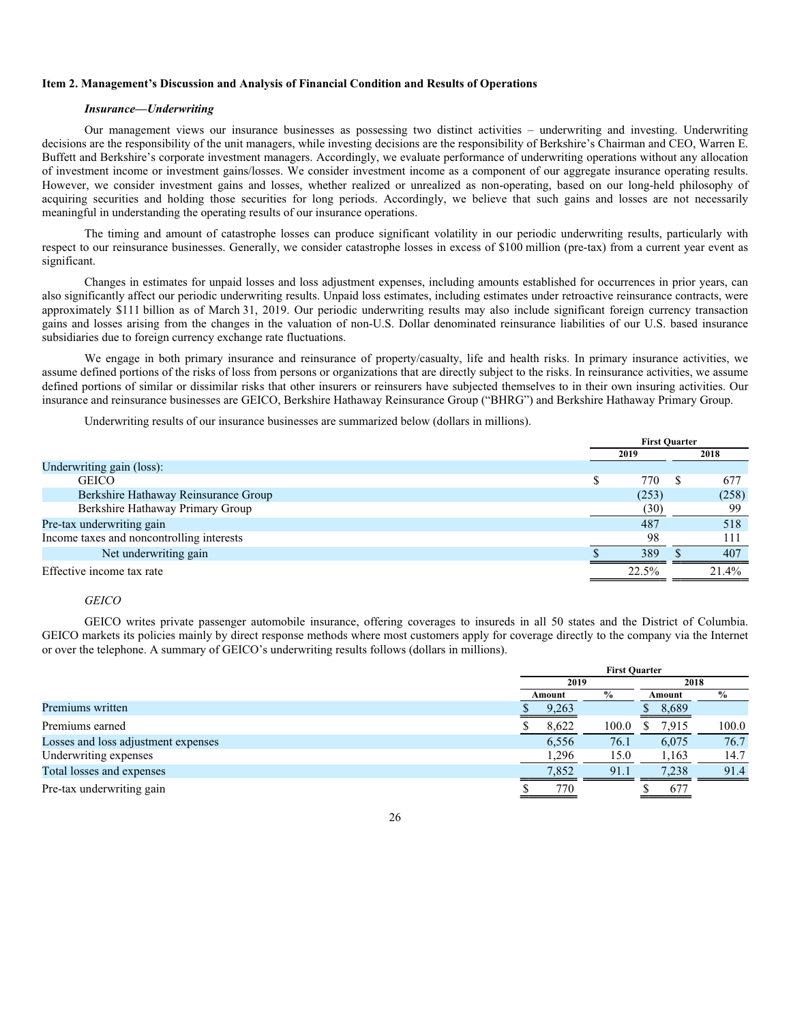#### *Insurance—Underwriting*

Our management views our insurance businesses as possessing two distinct activities – underwriting and investing. Underwriting decisions are the responsibility of the unit managers, while investing decisions are the responsibility of Berkshire's Chairman and CEO, Warren E. Buffett and Berkshire's corporate investment managers. Accordingly, we evaluate performance of underwriting operations without any allocation of investment income or investment gains/losses. We consider investment income as a component of our aggregate insurance operating results. However, we consider investment gains and losses, whether realized or unrealized as non-operating, based on our long-held philosophy of acquiring securities and holding those securities for long periods. Accordingly, we believe that such gains and losses are not necessarily meaningful in understanding the operating results of our insurance operations.

The timing and amount of catastrophe losses can produce significant volatility in our periodic underwriting results, particularly with respect to our reinsurance businesses. Generally, we consider catastrophe losses in excess of \$100 million (pre-tax) from a current year event as significant.

Changes in estimates for unpaid losses and loss adjustment expenses, including amounts established for occurrences in prior years, can also significantly affect our periodic underwriting results. Unpaid loss estimates, including estimates under retroactive reinsurance contracts, were approximately \$111 billion as of March 31, 2019. Our periodic underwriting results may also include significant foreign currency transaction gains and losses arising from the changes in the valuation of non-U.S. Dollar denominated reinsurance liabilities of our U.S. based insurance subsidiaries due to foreign currency exchange rate fluctuations.

We engage in both primary insurance and reinsurance of property/casualty, life and health risks. In primary insurance activities, we assume defined portions of the risks of loss from persons or organizations that are directly subject to the risks. In reinsurance activities, we assume defined portions of similar or dissimilar risks that other insurers or reinsurers have subjected themselves to in their own insuring activities. Our insurance and reinsurance businesses are GEICO, Berkshire Hathaway Reinsurance Group ("BHRG") and Berkshire Hathaway Primary Group.

Underwriting results of our insurance businesses are summarized below (dollars in millions).

|                                           | <b>First Quarter</b> |       |   |       |  |
|-------------------------------------------|----------------------|-------|---|-------|--|
|                                           |                      | 2019  |   | 2018  |  |
| Underwriting gain (loss):                 |                      |       |   |       |  |
| <b>GEICO</b>                              |                      | 770   | S | 677   |  |
| Berkshire Hathaway Reinsurance Group      |                      | (253) |   | (258) |  |
| Berkshire Hathaway Primary Group          |                      | (30)  |   | 99    |  |
| Pre-tax underwriting gain                 |                      | 487   |   | 518   |  |
| Income taxes and noncontrolling interests |                      | 98    |   | 11'   |  |
| Net underwriting gain                     |                      | 389   |   | 407   |  |
| Effective income tax rate                 |                      | 22.5% |   | 21.4% |  |

## *GEICO*

GEICO writes private passenger automobile insurance, offering coverages to insureds in all 50 states and the District of Columbia. GEICO markets its policies mainly by direct response methods where most customers apply for coverage directly to the company via the Internet or over the telephone. A summary of GEICO's underwriting results follows (dollars in millions).

|                                     | <b>First Quarter</b> |        |       |  |        |       |  |  |  |  |  |
|-------------------------------------|----------------------|--------|-------|--|--------|-------|--|--|--|--|--|
|                                     |                      | 2019   |       |  |        | 2018  |  |  |  |  |  |
|                                     |                      | Amount | $\%$  |  | Amount | $\%$  |  |  |  |  |  |
| Premiums written                    |                      | 9,263  |       |  | 8,689  |       |  |  |  |  |  |
| Premiums earned                     |                      | 8,622  | 100.0 |  | 7,915  | 100.0 |  |  |  |  |  |
| Losses and loss adjustment expenses |                      | 6,556  | 76.1  |  | 6,075  | 76.7  |  |  |  |  |  |
| Underwriting expenses               |                      | 1,296  | 15.0  |  | 1,163  | 14.7  |  |  |  |  |  |
| Total losses and expenses           |                      | 7,852  | 91.1  |  | 7,238  | 91.4  |  |  |  |  |  |
| Pre-tax underwriting gain           |                      | 770    |       |  | 677    |       |  |  |  |  |  |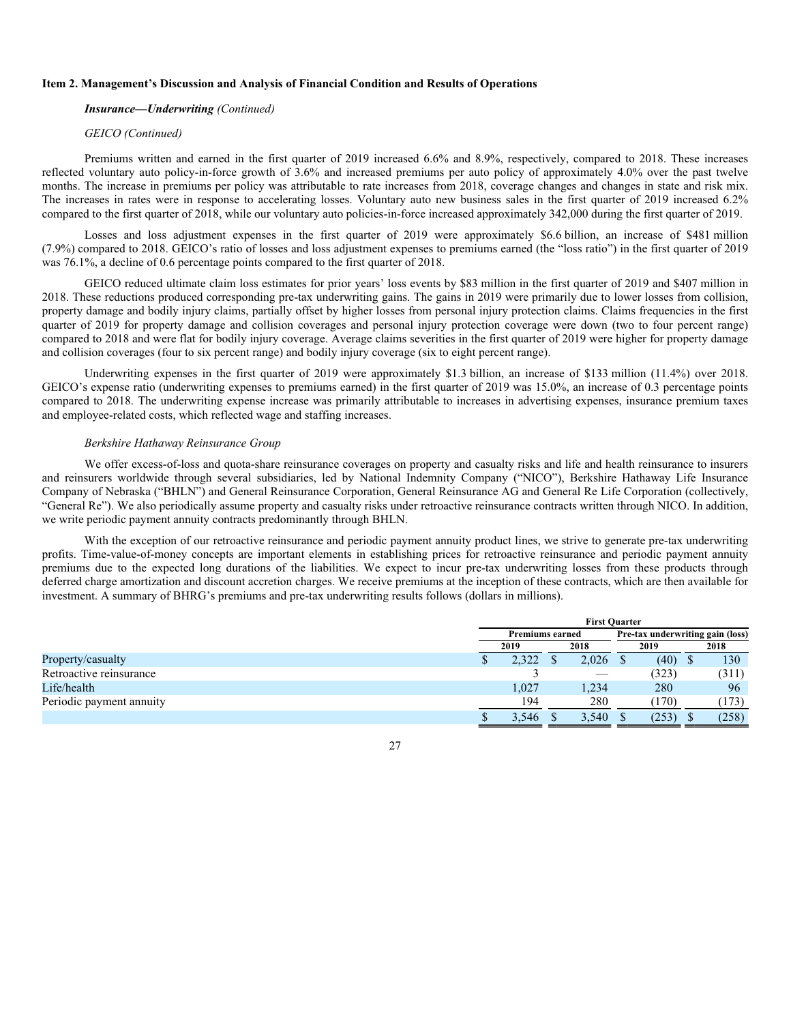#### *Insurance—Underwriting (Continued)*

### *GEICO (Continued)*

Premiums written and earned in the first quarter of 2019 increased 6.6% and 8.9%, respectively, compared to 2018. These increases reflected voluntary auto policy-in-force growth of 3.6% and increased premiums per auto policy of approximately 4.0% over the past twelve months. The increase in premiums per policy was attributable to rate increases from 2018, coverage changes and changes in state and risk mix. The increases in rates were in response to accelerating losses. Voluntary auto new business sales in the first quarter of 2019 increased 6.2% compared to the first quarter of 2018, while our voluntary auto policies-in-force increased approximately 342,000 during the first quarter of 2019.

Losses and loss adjustment expenses in the first quarter of 2019 were approximately \$6.6 billion, an increase of \$481 million (7.9%) compared to 2018. GEICO's ratio of losses and loss adjustment expenses to premiums earned (the "loss ratio") in the first quarter of 2019 was 76.1%, a decline of 0.6 percentage points compared to the first quarter of 2018.

GEICO reduced ultimate claim loss estimates for prior years' loss events by \$83 million in the first quarter of 2019 and \$407 million in 2018. These reductions produced corresponding pre-tax underwriting gains. The gains in 2019 were primarily due to lower losses from collision, property damage and bodily injury claims, partially offset by higher losses from personal injury protection claims. Claims frequencies in the first quarter of 2019 for property damage and collision coverages and personal injury protection coverage were down (two to four percent range) compared to 2018 and were flat for bodily injury coverage. Average claims severities in the first quarter of 2019 were higher for property damage and collision coverages (four to six percent range) and bodily injury coverage (six to eight percent range).

Underwriting expenses in the first quarter of 2019 were approximately \$1.3 billion, an increase of \$133 million (11.4%) over 2018. GEICO's expense ratio (underwriting expenses to premiums earned) in the first quarter of 2019 was 15.0%, an increase of 0.3 percentage points compared to 2018. The underwriting expense increase was primarily attributable to increases in advertising expenses, insurance premium taxes and employee-related costs, which reflected wage and staffing increases.

### *Berkshire Hathaway Reinsurance Group*

We offer excess-of-loss and quota-share reinsurance coverages on property and casualty risks and life and health reinsurance to insurers and reinsurers worldwide through several subsidiaries, led by National Indemnity Company ("NICO"), Berkshire Hathaway Life Insurance Company of Nebraska ("BHLN") and General Reinsurance Corporation, General Reinsurance AG and General Re Life Corporation (collectively, "General Re"). We also periodically assume property and casualty risks under retroactive reinsurance contracts written through NICO. In addition, we write periodic payment annuity contracts predominantly through BHLN.

With the exception of our retroactive reinsurance and periodic payment annuity product lines, we strive to generate pre-tax underwriting profits. Time-value-of-money concepts are important elements in establishing prices for retroactive reinsurance and periodic payment annuity premiums due to the expected long durations of the liabilities. We expect to incur pre-tax underwriting losses from these products through deferred charge amortization and discount accretion charges. We receive premiums at the inception of these contracts, which are then available for investment. A summary of BHRG's premiums and pre-tax underwriting results follows (dollars in millions).

|                          |  | <b>First Quarter</b>   |  |       |      |       |                                  |       |  |  |  |
|--------------------------|--|------------------------|--|-------|------|-------|----------------------------------|-------|--|--|--|
|                          |  | <b>Premiums earned</b> |  |       |      |       | Pre-tax underwriting gain (loss) |       |  |  |  |
|                          |  | 2019                   |  | 2018  | 2019 |       | 2018                             |       |  |  |  |
| Property/casualty        |  |                        |  | 2,026 |      | (40)  |                                  | 130   |  |  |  |
| Retroactive reinsurance  |  |                        |  |       |      | (323) |                                  | (311) |  |  |  |
| Life/health              |  | 1,027                  |  | 1.234 |      | 280   |                                  | 96    |  |  |  |
| Periodic payment annuity |  | 194                    |  | 280   |      | (170) |                                  | (173) |  |  |  |
|                          |  | 3.546                  |  | 3,540 |      | (253) |                                  | (258) |  |  |  |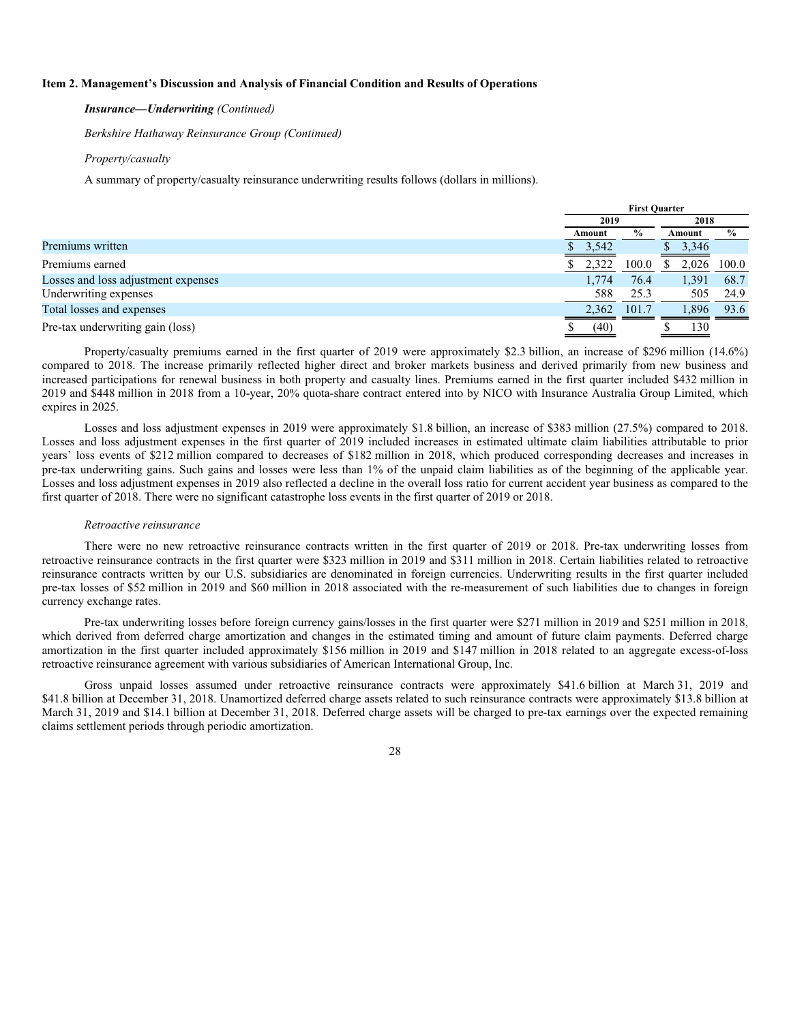### *Insurance—Underwriting (Continued)*

*Berkshire Hathaway Reinsurance Group (Continued)* 

#### *Property/casualty*

A summary of property/casualty reinsurance underwriting results follows (dollars in millions).

|                                     |        |       | <b>First Quarter</b> |        |       |               |
|-------------------------------------|--------|-------|----------------------|--------|-------|---------------|
|                                     | 2019   |       |                      | 2018   |       |               |
|                                     | Amount |       | $\%$                 | Amount |       | $\frac{9}{6}$ |
| Premiums written                    |        | 3,542 |                      |        | 3,346 |               |
| Premiums earned                     |        | 2.322 | 100.0                |        | 2.026 | 100.0         |
| Losses and loss adjustment expenses |        | 1.774 | 76.4                 |        | 1,391 | 68.7          |
| Underwriting expenses               |        | 588   | 25.3                 |        | 505   | 24.9          |
| Total losses and expenses           |        | 2.362 | 101.7                |        | 1.896 | 93.6          |
| Pre-tax underwriting gain (loss)    |        | (40)  |                      |        | 130   |               |

Property/casualty premiums earned in the first quarter of 2019 were approximately \$2.3 billion, an increase of \$296 million (14.6%) compared to 2018. The increase primarily reflected higher direct and broker markets business and derived primarily from new business and increased participations for renewal business in both property and casualty lines. Premiums earned in the first quarter included \$432 million in 2019 and \$448 million in 2018 from a 10-year, 20% quota-share contract entered into by NICO with Insurance Australia Group Limited, which expires in 2025.

Losses and loss adjustment expenses in 2019 were approximately \$1.8 billion, an increase of \$383 million (27.5%) compared to 2018. Losses and loss adjustment expenses in the first quarter of 2019 included increases in estimated ultimate claim liabilities attributable to prior years' loss events of \$212 million compared to decreases of \$182 million in 2018, which produced corresponding decreases and increases in pre-tax underwriting gains. Such gains and losses were less than 1% of the unpaid claim liabilities as of the beginning of the applicable year. Losses and loss adjustment expenses in 2019 also reflected a decline in the overall loss ratio for current accident year business as compared to the first quarter of 2018. There were no significant catastrophe loss events in the first quarter of 2019 or 2018.

### *Retroactive reinsurance*

There were no new retroactive reinsurance contracts written in the first quarter of 2019 or 2018. Pre-tax underwriting losses from retroactive reinsurance contracts in the first quarter were \$323 million in 2019 and \$311 million in 2018. Certain liabilities related to retroactive reinsurance contracts written by our U.S. subsidiaries are denominated in foreign currencies. Underwriting results in the first quarter included pre-tax losses of \$52 million in 2019 and \$60 million in 2018 associated with the re-measurement of such liabilities due to changes in foreign currency exchange rates.

Pre-tax underwriting losses before foreign currency gains/losses in the first quarter were \$271 million in 2019 and \$251 million in 2018, which derived from deferred charge amortization and changes in the estimated timing and amount of future claim payments. Deferred charge amortization in the first quarter included approximately \$156 million in 2019 and \$147 million in 2018 related to an aggregate excess-of-loss retroactive reinsurance agreement with various subsidiaries of American International Group, Inc.

Gross unpaid losses assumed under retroactive reinsurance contracts were approximately \$41.6 billion at March 31, 2019 and \$41.8 billion at December 31, 2018. Unamortized deferred charge assets related to such reinsurance contracts were approximately \$13.8 billion at March 31, 2019 and \$14.1 billion at December 31, 2018. Deferred charge assets will be charged to pre-tax earnings over the expected remaining claims settlement periods through periodic amortization.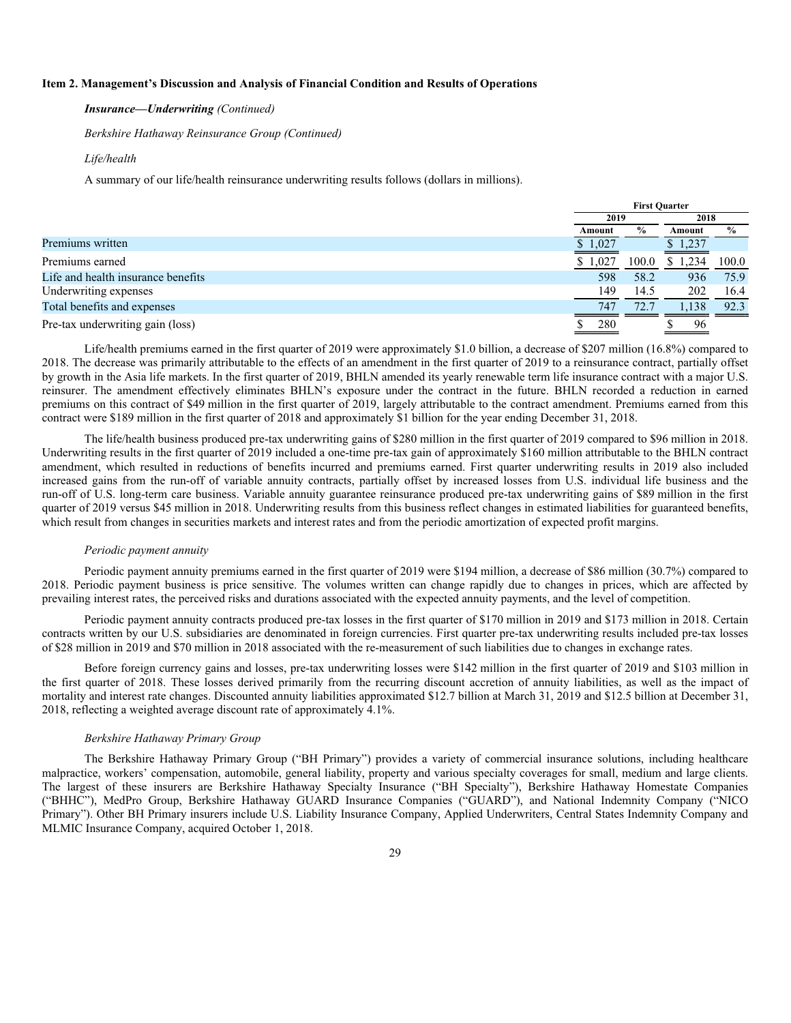### *Insurance—Underwriting (Continued)*

*Berkshire Hathaway Reinsurance Group (Continued)* 

#### *Life/health*

A summary of our life/health reinsurance underwriting results follows (dollars in millions).

|                                    |         | <b>First Quarter</b><br>2018<br>2019<br>$\frac{9}{6}$<br>Amount |       |       |  |  |  |  |
|------------------------------------|---------|-----------------------------------------------------------------|-------|-------|--|--|--|--|
|                                    |         |                                                                 |       |       |  |  |  |  |
|                                    | Amount  |                                                                 |       | $\%$  |  |  |  |  |
| Premiums written                   | \$1,027 |                                                                 | 1,237 |       |  |  |  |  |
| Premiums earned                    | \$1,027 | 100.0                                                           | .234  | 100.0 |  |  |  |  |
| Life and health insurance benefits | 598     | 58.2                                                            | 936   | 75.9  |  |  |  |  |
| Underwriting expenses              | 149     | 14.5                                                            | 202   | 16.4  |  |  |  |  |
| Total benefits and expenses        | 747     | 72.7                                                            | 1.138 | 92.3  |  |  |  |  |
| Pre-tax underwriting gain (loss)   | 280     |                                                                 | 96    |       |  |  |  |  |

Life/health premiums earned in the first quarter of 2019 were approximately \$1.0 billion, a decrease of \$207 million (16.8%) compared to 2018. The decrease was primarily attributable to the effects of an amendment in the first quarter of 2019 to a reinsurance contract, partially offset by growth in the Asia life markets. In the first quarter of 2019, BHLN amended its yearly renewable term life insurance contract with a major U.S. reinsurer. The amendment effectively eliminates BHLN's exposure under the contract in the future. BHLN recorded a reduction in earned premiums on this contract of \$49 million in the first quarter of 2019, largely attributable to the contract amendment. Premiums earned from this contract were \$189 million in the first quarter of 2018 and approximately \$1 billion for the year ending December 31, 2018.

The life/health business produced pre-tax underwriting gains of \$280 million in the first quarter of 2019 compared to \$96 million in 2018. Underwriting results in the first quarter of 2019 included a one-time pre-tax gain of approximately \$160 million attributable to the BHLN contract amendment, which resulted in reductions of benefits incurred and premiums earned. First quarter underwriting results in 2019 also included increased gains from the run-off of variable annuity contracts, partially offset by increased losses from U.S. individual life business and the run-off of U.S. long-term care business. Variable annuity guarantee reinsurance produced pre-tax underwriting gains of \$89 million in the first quarter of 2019 versus \$45 million in 2018. Underwriting results from this business reflect changes in estimated liabilities for guaranteed benefits, which result from changes in securities markets and interest rates and from the periodic amortization of expected profit margins.

### *Periodic payment annuity*

Periodic payment annuity premiums earned in the first quarter of 2019 were \$194 million, a decrease of \$86 million (30.7%) compared to 2018. Periodic payment business is price sensitive. The volumes written can change rapidly due to changes in prices, which are affected by prevailing interest rates, the perceived risks and durations associated with the expected annuity payments, and the level of competition.

Periodic payment annuity contracts produced pre-tax losses in the first quarter of \$170 million in 2019 and \$173 million in 2018. Certain contracts written by our U.S. subsidiaries are denominated in foreign currencies. First quarter pre-tax underwriting results included pre-tax losses of \$28 million in 2019 and \$70 million in 2018 associated with the re-measurement of such liabilities due to changes in exchange rates.

Before foreign currency gains and losses, pre-tax underwriting losses were \$142 million in the first quarter of 2019 and \$103 million in the first quarter of 2018. These losses derived primarily from the recurring discount accretion of annuity liabilities, as well as the impact of mortality and interest rate changes. Discounted annuity liabilities approximated \$12.7 billion at March 31, 2019 and \$12.5 billion at December 31, 2018, reflecting a weighted average discount rate of approximately 4.1%.

#### *Berkshire Hathaway Primary Group*

The Berkshire Hathaway Primary Group ("BH Primary") provides a variety of commercial insurance solutions, including healthcare malpractice, workers' compensation, automobile, general liability, property and various specialty coverages for small, medium and large clients. The largest of these insurers are Berkshire Hathaway Specialty Insurance ("BH Specialty"), Berkshire Hathaway Homestate Companies ("BHHC"), MedPro Group, Berkshire Hathaway GUARD Insurance Companies ("GUARD"), and National Indemnity Company ("NICO Primary"). Other BH Primary insurers include U.S. Liability Insurance Company, Applied Underwriters, Central States Indemnity Company and MLMIC Insurance Company, acquired October 1, 2018.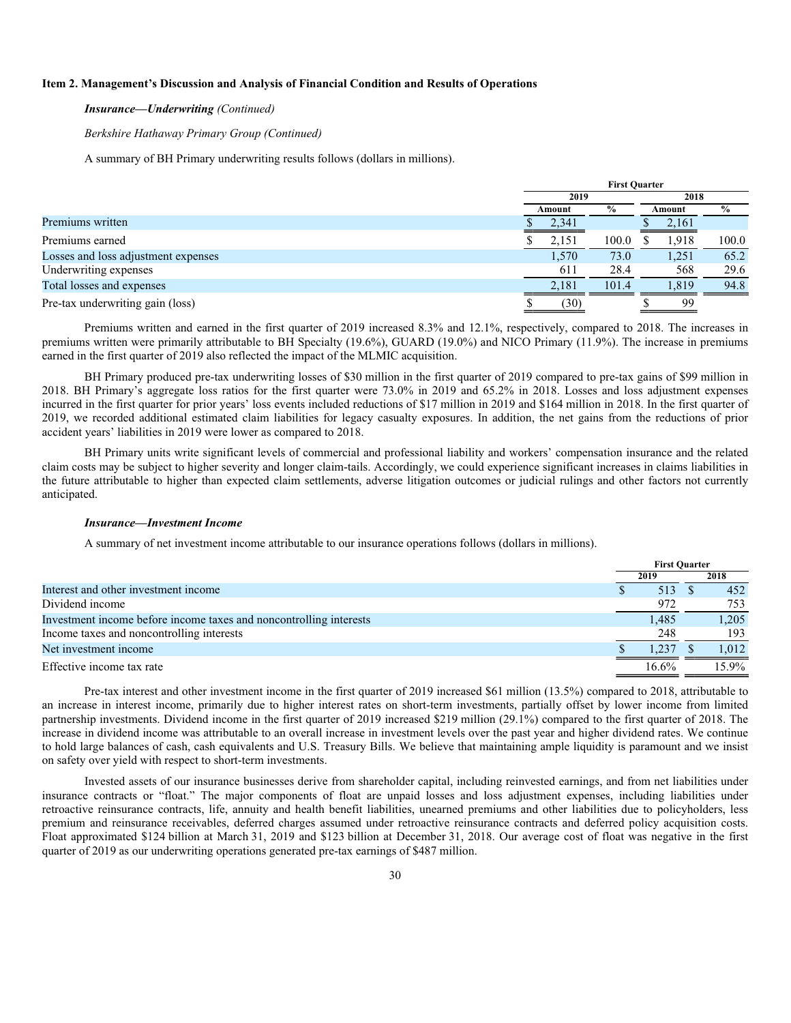#### *Insurance—Underwriting (Continued)*

### *Berkshire Hathaway Primary Group (Continued)*

A summary of BH Primary underwriting results follows (dollars in millions).

|                                     | <b>First Quarter</b>    |       |  |        |       |  |  |
|-------------------------------------|-------------------------|-------|--|--------|-------|--|--|
|                                     | 2019                    |       |  | 2018   |       |  |  |
|                                     | $\frac{6}{9}$<br>Amount |       |  | Amount | $\%$  |  |  |
| Premiums written                    | 2.341                   |       |  | 2,161  |       |  |  |
| Premiums earned                     | 2.151                   | 100.0 |  | .918   | 100.0 |  |  |
| Losses and loss adjustment expenses | 1,570                   | 73.0  |  | 1,251  | 65.2  |  |  |
| Underwriting expenses               | 611                     | 28.4  |  | 568    | 29.6  |  |  |
| Total losses and expenses           | 2.181                   | 101.4 |  | 1,819  | 94.8  |  |  |
| Pre-tax underwriting gain (loss)    | (30)                    |       |  | 99     |       |  |  |

Premiums written and earned in the first quarter of 2019 increased 8.3% and 12.1%, respectively, compared to 2018. The increases in premiums written were primarily attributable to BH Specialty (19.6%), GUARD (19.0%) and NICO Primary (11.9%). The increase in premiums earned in the first quarter of 2019 also reflected the impact of the MLMIC acquisition.

BH Primary produced pre-tax underwriting losses of \$30 million in the first quarter of 2019 compared to pre-tax gains of \$99 million in 2018. BH Primary's aggregate loss ratios for the first quarter were 73.0% in 2019 and 65.2% in 2018. Losses and loss adjustment expenses incurred in the first quarter for prior years' loss events included reductions of \$17 million in 2019 and \$164 million in 2018. In the first quarter of 2019, we recorded additional estimated claim liabilities for legacy casualty exposures. In addition, the net gains from the reductions of prior accident years' liabilities in 2019 were lower as compared to 2018.

BH Primary units write significant levels of commercial and professional liability and workers' compensation insurance and the related claim costs may be subject to higher severity and longer claim-tails. Accordingly, we could experience significant increases in claims liabilities in the future attributable to higher than expected claim settlements, adverse litigation outcomes or judicial rulings and other factors not currently anticipated.

#### *Insurance—Investment Income*

A summary of net investment income attributable to our insurance operations follows (dollars in millions).

|                                                                    | <b>First Quarter</b><br>2019<br>513<br>972<br>1.485<br>248<br>1.237 |  |       |  |
|--------------------------------------------------------------------|---------------------------------------------------------------------|--|-------|--|
|                                                                    |                                                                     |  | 2018  |  |
| Interest and other investment income                               |                                                                     |  | 452   |  |
| Dividend income                                                    |                                                                     |  | 753   |  |
| Investment income before income taxes and noncontrolling interests |                                                                     |  | 1,205 |  |
| Income taxes and noncontrolling interests                          |                                                                     |  | 193   |  |
| Net investment income                                              |                                                                     |  | 1.012 |  |
| Effective income tax rate                                          | 16.6%                                                               |  | 15.9% |  |
|                                                                    |                                                                     |  |       |  |

Pre-tax interest and other investment income in the first quarter of 2019 increased \$61 million (13.5%) compared to 2018, attributable to an increase in interest income, primarily due to higher interest rates on short-term investments, partially offset by lower income from limited partnership investments. Dividend income in the first quarter of 2019 increased \$219 million (29.1%) compared to the first quarter of 2018. The increase in dividend income was attributable to an overall increase in investment levels over the past year and higher dividend rates. We continue to hold large balances of cash, cash equivalents and U.S. Treasury Bills. We believe that maintaining ample liquidity is paramount and we insist on safety over yield with respect to short-term investments.

Invested assets of our insurance businesses derive from shareholder capital, including reinvested earnings, and from net liabilities under insurance contracts or "float." The major components of float are unpaid losses and loss adjustment expenses, including liabilities under retroactive reinsurance contracts, life, annuity and health benefit liabilities, unearned premiums and other liabilities due to policyholders, less premium and reinsurance receivables, deferred charges assumed under retroactive reinsurance contracts and deferred policy acquisition costs. Float approximated \$124 billion at March 31, 2019 and \$123 billion at December 31, 2018. Our average cost of float was negative in the first quarter of 2019 as our underwriting operations generated pre-tax earnings of \$487 million.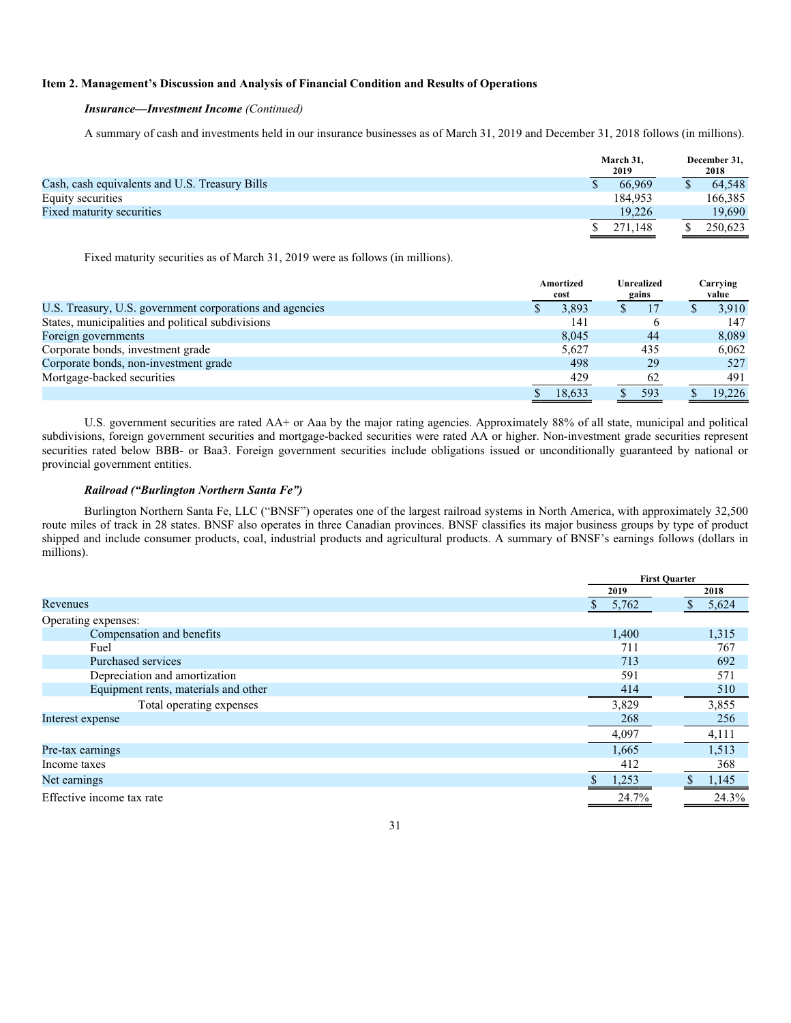### *Insurance—Investment Income (Continued)*

A summary of cash and investments held in our insurance businesses as of March 31, 2019 and December 31, 2018 follows (in millions).

|                                                |  | March 31,<br>2019 | December 31,<br>2018 |  |
|------------------------------------------------|--|-------------------|----------------------|--|
| Cash, cash equivalents and U.S. Treasury Bills |  | 66.969            | 64,548               |  |
| Equity securities                              |  | 184.953           | 166,385              |  |
| Fixed maturity securities                      |  | 19.226            | 19.690               |  |
|                                                |  | 271.148           | 250.623              |  |

Fixed maturity securities as of March 31, 2019 were as follows (in millions).

|                                                          | Amortized<br>cost |  | Unrealized<br>gains |  | Carrying<br>value |
|----------------------------------------------------------|-------------------|--|---------------------|--|-------------------|
| U.S. Treasury, U.S. government corporations and agencies | 3.893             |  |                     |  | 3.910             |
| States, municipalities and political subdivisions        | 141               |  |                     |  | 147               |
| Foreign governments                                      | 8.045             |  | 44                  |  | 8,089             |
| Corporate bonds, investment grade                        | 5.627             |  | 435                 |  | 6,062             |
| Corporate bonds, non-investment grade                    | 498               |  | 29                  |  | 527               |
| Mortgage-backed securities                               | 429               |  | 62                  |  | 491               |
|                                                          | 18.633            |  | 593                 |  | 19.226            |

U.S. government securities are rated AA+ or Aaa by the major rating agencies. Approximately 88% of all state, municipal and political subdivisions, foreign government securities and mortgage-backed securities were rated AA or higher. Non-investment grade securities represent securities rated below BBB- or Baa3. Foreign government securities include obligations issued or unconditionally guaranteed by national or provincial government entities.

## *Railroad ("Burlington Northern Santa Fe")*

Burlington Northern Santa Fe, LLC ("BNSF") operates one of the largest railroad systems in North America, with approximately 32,500 route miles of track in 28 states. BNSF also operates in three Canadian provinces. BNSF classifies its major business groups by type of product shipped and include consumer products, coal, industrial products and agricultural products. A summary of BNSF's earnings follows (dollars in millions).

|                                      |            | <b>First Quarter</b> |
|--------------------------------------|------------|----------------------|
|                                      | 2019       | 2018                 |
| Revenues                             | 5,762<br>Ъ | 5,624<br>S           |
| Operating expenses:                  |            |                      |
| Compensation and benefits            | 1,400      | 1,315                |
| Fuel                                 | 711        | 767                  |
| Purchased services                   | 713        | 692                  |
| Depreciation and amortization        | 591        | 571                  |
| Equipment rents, materials and other | 414        | 510                  |
| Total operating expenses             | 3,829      | 3,855                |
| Interest expense                     | 268        | 256                  |
|                                      | 4,097      | 4,111                |
| Pre-tax earnings                     | 1,665      | 1,513                |
| Income taxes                         | 412        | 368                  |
| Net earnings                         | 1,253      | 1,145                |
| Effective income tax rate            | 24.7%      | 24.3%                |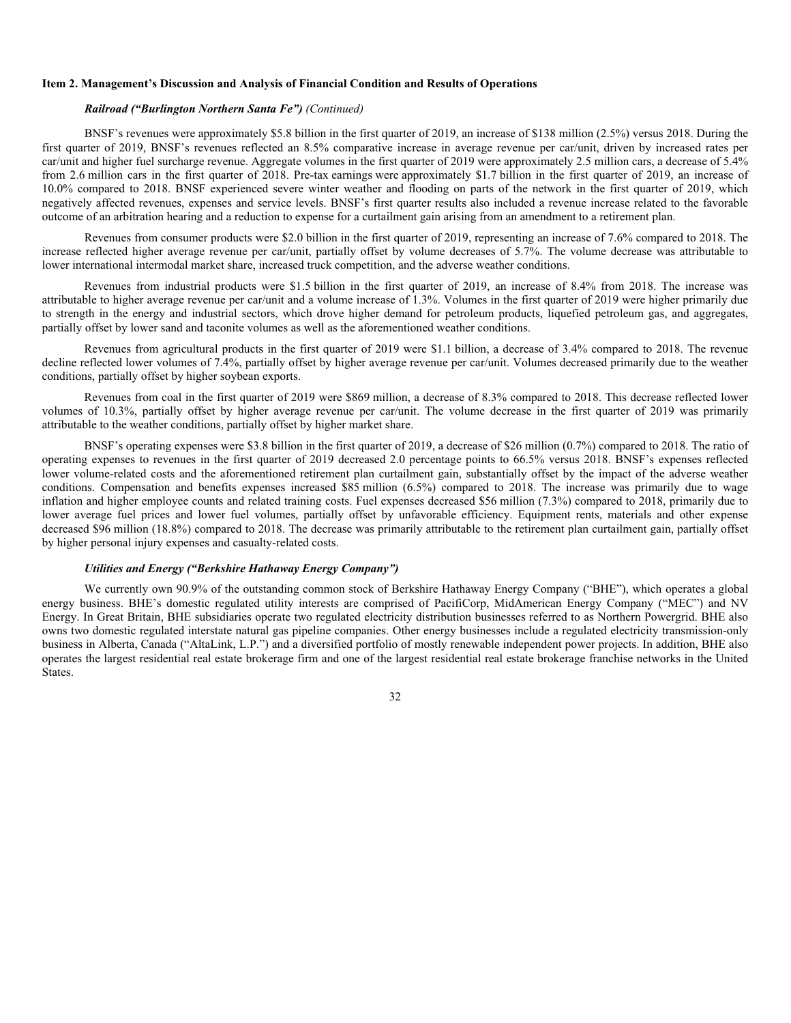### *Railroad ("Burlington Northern Santa Fe") (Continued)*

BNSF's revenues were approximately \$5.8 billion in the first quarter of 2019, an increase of \$138 million (2.5%) versus 2018. During the first quarter of 2019, BNSF's revenues reflected an 8.5% comparative increase in average revenue per car/unit, driven by increased rates per car/unit and higher fuel surcharge revenue. Aggregate volumes in the first quarter of 2019 were approximately 2.5 million cars, a decrease of 5.4% from 2.6 million cars in the first quarter of 2018. Pre-tax earnings were approximately \$1.7 billion in the first quarter of 2019, an increase of 10.0% compared to 2018. BNSF experienced severe winter weather and flooding on parts of the network in the first quarter of 2019, which negatively affected revenues, expenses and service levels. BNSF's first quarter results also included a revenue increase related to the favorable outcome of an arbitration hearing and a reduction to expense for a curtailment gain arising from an amendment to a retirement plan.

Revenues from consumer products were \$2.0 billion in the first quarter of 2019, representing an increase of 7.6% compared to 2018. The increase reflected higher average revenue per car/unit, partially offset by volume decreases of 5.7%. The volume decrease was attributable to lower international intermodal market share, increased truck competition, and the adverse weather conditions.

Revenues from industrial products were \$1.5 billion in the first quarter of 2019, an increase of 8.4% from 2018. The increase was attributable to higher average revenue per car/unit and a volume increase of 1.3%. Volumes in the first quarter of 2019 were higher primarily due to strength in the energy and industrial sectors, which drove higher demand for petroleum products, liquefied petroleum gas, and aggregates, partially offset by lower sand and taconite volumes as well as the aforementioned weather conditions.

Revenues from agricultural products in the first quarter of 2019 were \$1.1 billion, a decrease of 3.4% compared to 2018. The revenue decline reflected lower volumes of 7.4%, partially offset by higher average revenue per car/unit. Volumes decreased primarily due to the weather conditions, partially offset by higher soybean exports.

Revenues from coal in the first quarter of 2019 were \$869 million, a decrease of 8.3% compared to 2018. This decrease reflected lower volumes of 10.3%, partially offset by higher average revenue per car/unit. The volume decrease in the first quarter of 2019 was primarily attributable to the weather conditions, partially offset by higher market share.

BNSF's operating expenses were \$3.8 billion in the first quarter of 2019, a decrease of \$26 million (0.7%) compared to 2018. The ratio of operating expenses to revenues in the first quarter of 2019 decreased 2.0 percentage points to 66.5% versus 2018. BNSF's expenses reflected lower volume-related costs and the aforementioned retirement plan curtailment gain, substantially offset by the impact of the adverse weather conditions. Compensation and benefits expenses increased \$85 million (6.5%) compared to 2018. The increase was primarily due to wage inflation and higher employee counts and related training costs. Fuel expenses decreased \$56 million (7.3%) compared to 2018, primarily due to lower average fuel prices and lower fuel volumes, partially offset by unfavorable efficiency. Equipment rents, materials and other expense decreased \$96 million (18.8%) compared to 2018. The decrease was primarily attributable to the retirement plan curtailment gain, partially offset by higher personal injury expenses and casualty-related costs.

### *Utilities and Energy ("Berkshire Hathaway Energy Company")*

We currently own 90.9% of the outstanding common stock of Berkshire Hathaway Energy Company ("BHE"), which operates a global energy business. BHE's domestic regulated utility interests are comprised of PacifiCorp, MidAmerican Energy Company ("MEC") and NV Energy. In Great Britain, BHE subsidiaries operate two regulated electricity distribution businesses referred to as Northern Powergrid. BHE also owns two domestic regulated interstate natural gas pipeline companies. Other energy businesses include a regulated electricity transmission-only business in Alberta, Canada ("AltaLink, L.P.") and a diversified portfolio of mostly renewable independent power projects. In addition, BHE also operates the largest residential real estate brokerage firm and one of the largest residential real estate brokerage franchise networks in the United States.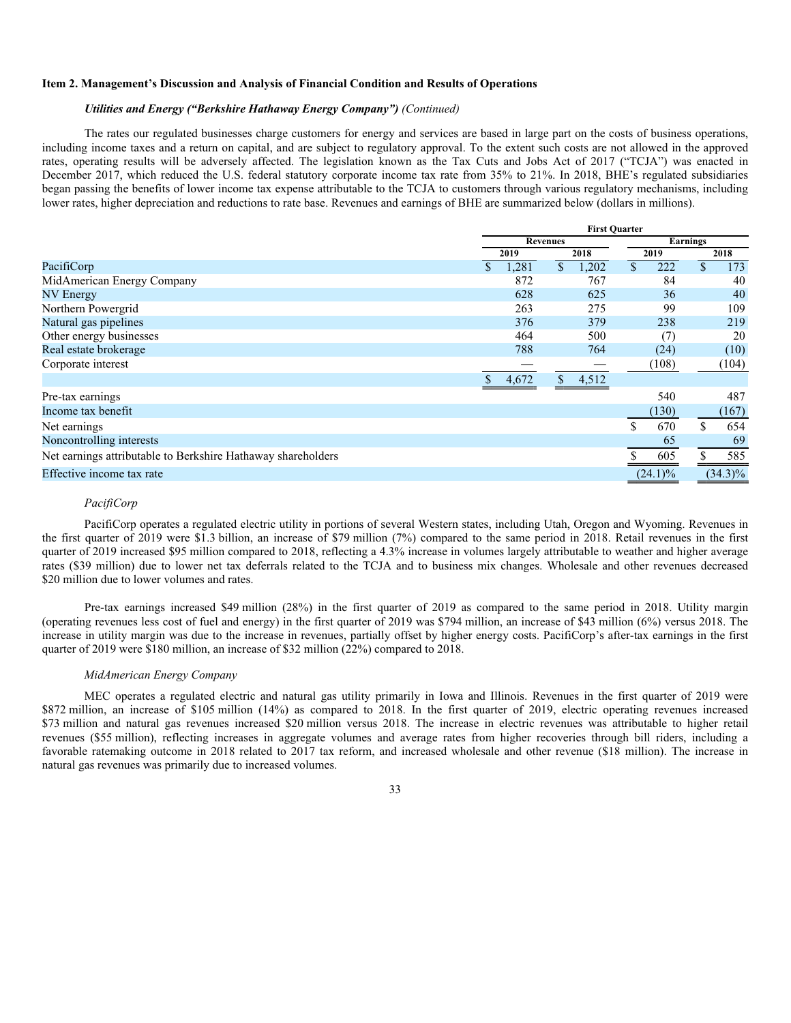### *Utilities and Energy ("Berkshire Hathaway Energy Company") (Continued)*

The rates our regulated businesses charge customers for energy and services are based in large part on the costs of business operations, including income taxes and a return on capital, and are subject to regulatory approval. To the extent such costs are not allowed in the approved rates, operating results will be adversely affected. The legislation known as the Tax Cuts and Jobs Act of 2017 ("TCJA") was enacted in December 2017, which reduced the U.S. federal statutory corporate income tax rate from 35% to 21%. In 2018, BHE's regulated subsidiaries began passing the benefits of lower income tax expense attributable to the TCJA to customers through various regulatory mechanisms, including lower rates, higher depreciation and reductions to rate base. Revenues and earnings of BHE are summarized below (dollars in millions).

|                                                              |             | <b>First Quarter</b>  |                     |                     |  |  |  |  |  |
|--------------------------------------------------------------|-------------|-----------------------|---------------------|---------------------|--|--|--|--|--|
|                                                              |             | Revenues              |                     | Earnings            |  |  |  |  |  |
|                                                              | 2019        | 2018                  | 2019                | 2018                |  |  |  |  |  |
| PacifiCorp                                                   | 1,281<br>\$ | $\mathbb{S}$<br>1,202 | $\mathbb{S}$<br>222 | $\mathbb{S}$<br>173 |  |  |  |  |  |
| MidAmerican Energy Company                                   | 872         | 767                   | 84                  | 40                  |  |  |  |  |  |
| <b>NV Energy</b>                                             | 628         | 625                   | 36                  | 40                  |  |  |  |  |  |
| Northern Powergrid                                           | 263         | 275                   | 99                  | 109                 |  |  |  |  |  |
| Natural gas pipelines                                        | 376         | 379                   | 238                 | 219                 |  |  |  |  |  |
| Other energy businesses                                      | 464         | 500                   | (7)                 | 20                  |  |  |  |  |  |
| Real estate brokerage                                        | 788         | 764                   | (24)                | (10)                |  |  |  |  |  |
| Corporate interest                                           |             |                       | (108)               | (104)               |  |  |  |  |  |
|                                                              | 4,672       | 4,512                 |                     |                     |  |  |  |  |  |
| Pre-tax earnings                                             |             |                       | 540                 | 487                 |  |  |  |  |  |
| Income tax benefit                                           |             |                       | (130)               | (167)               |  |  |  |  |  |
| Net earnings                                                 |             |                       | \$<br>670           | S<br>654            |  |  |  |  |  |
| Noncontrolling interests                                     |             |                       | 65                  | 69                  |  |  |  |  |  |
| Net earnings attributable to Berkshire Hathaway shareholders |             |                       | 605                 | 585                 |  |  |  |  |  |
| Effective income tax rate                                    |             |                       | $(24.1)\%$          | $(34.3)\%$          |  |  |  |  |  |

### *PacifiCorp*

PacifiCorp operates a regulated electric utility in portions of several Western states, including Utah, Oregon and Wyoming. Revenues in the first quarter of 2019 were \$1.3 billion, an increase of \$79 million (7%) compared to the same period in 2018. Retail revenues in the first quarter of 2019 increased \$95 million compared to 2018, reflecting a 4.3% increase in volumes largely attributable to weather and higher average rates (\$39 million) due to lower net tax deferrals related to the TCJA and to business mix changes. Wholesale and other revenues decreased \$20 million due to lower volumes and rates.

Pre-tax earnings increased \$49 million (28%) in the first quarter of 2019 as compared to the same period in 2018. Utility margin (operating revenues less cost of fuel and energy) in the first quarter of 2019 was \$794 million, an increase of \$43 million (6%) versus 2018. The increase in utility margin was due to the increase in revenues, partially offset by higher energy costs. PacifiCorp's after-tax earnings in the first quarter of 2019 were \$180 million, an increase of \$32 million (22%) compared to 2018.

### *MidAmerican Energy Company*

MEC operates a regulated electric and natural gas utility primarily in Iowa and Illinois. Revenues in the first quarter of 2019 were \$872 million, an increase of \$105 million (14%) as compared to 2018. In the first quarter of 2019, electric operating revenues increased \$73 million and natural gas revenues increased \$20 million versus 2018. The increase in electric revenues was attributable to higher retail revenues (\$55 million), reflecting increases in aggregate volumes and average rates from higher recoveries through bill riders, including a favorable ratemaking outcome in 2018 related to 2017 tax reform, and increased wholesale and other revenue (\$18 million). The increase in natural gas revenues was primarily due to increased volumes.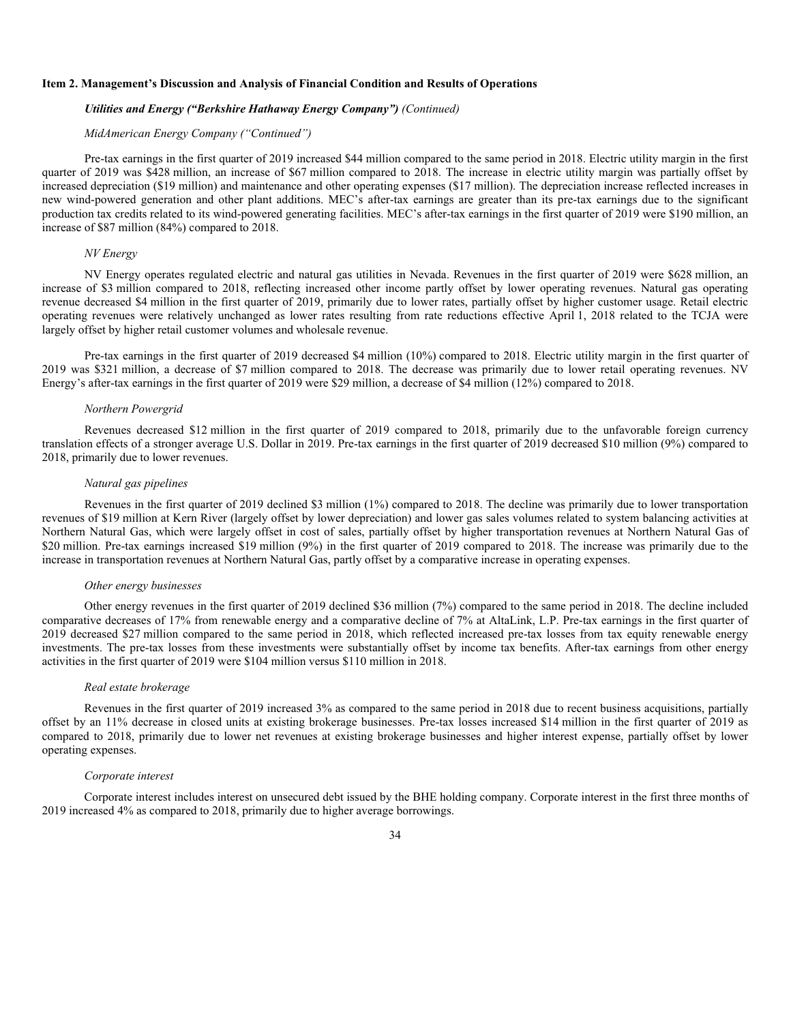### *Utilities and Energy ("Berkshire Hathaway Energy Company") (Continued)*

### *MidAmerican Energy Company ("Continued")*

Pre-tax earnings in the first quarter of 2019 increased \$44 million compared to the same period in 2018. Electric utility margin in the first quarter of 2019 was \$428 million, an increase of \$67 million compared to 2018. The increase in electric utility margin was partially offset by increased depreciation (\$19 million) and maintenance and other operating expenses (\$17 million). The depreciation increase reflected increases in new wind-powered generation and other plant additions. MEC's after-tax earnings are greater than its pre-tax earnings due to the significant production tax credits related to its wind-powered generating facilities. MEC's after-tax earnings in the first quarter of 2019 were \$190 million, an increase of \$87 million (84%) compared to 2018.

### *NV Energy*

NV Energy operates regulated electric and natural gas utilities in Nevada. Revenues in the first quarter of 2019 were \$628 million, an increase of \$3 million compared to 2018, reflecting increased other income partly offset by lower operating revenues. Natural gas operating revenue decreased \$4 million in the first quarter of 2019, primarily due to lower rates, partially offset by higher customer usage. Retail electric operating revenues were relatively unchanged as lower rates resulting from rate reductions effective April 1, 2018 related to the TCJA were largely offset by higher retail customer volumes and wholesale revenue.

Pre-tax earnings in the first quarter of 2019 decreased \$4 million (10%) compared to 2018. Electric utility margin in the first quarter of 2019 was \$321 million, a decrease of \$7 million compared to 2018. The decrease was primarily due to lower retail operating revenues. NV Energy's after-tax earnings in the first quarter of 2019 were \$29 million, a decrease of \$4 million (12%) compared to 2018.

#### *Northern Powergrid*

Revenues decreased \$12 million in the first quarter of 2019 compared to 2018, primarily due to the unfavorable foreign currency translation effects of a stronger average U.S. Dollar in 2019. Pre-tax earnings in the first quarter of 2019 decreased \$10 million (9%) compared to 2018, primarily due to lower revenues.

### *Natural gas pipelines*

Revenues in the first quarter of 2019 declined \$3 million (1%) compared to 2018. The decline was primarily due to lower transportation revenues of \$19 million at Kern River (largely offset by lower depreciation) and lower gas sales volumes related to system balancing activities at Northern Natural Gas, which were largely offset in cost of sales, partially offset by higher transportation revenues at Northern Natural Gas of \$20 million. Pre-tax earnings increased \$19 million (9%) in the first quarter of 2019 compared to 2018. The increase was primarily due to the increase in transportation revenues at Northern Natural Gas, partly offset by a comparative increase in operating expenses.

#### *Other energy businesses*

Other energy revenues in the first quarter of 2019 declined \$36 million (7%) compared to the same period in 2018. The decline included comparative decreases of 17% from renewable energy and a comparative decline of 7% at AltaLink, L.P. Pre-tax earnings in the first quarter of 2019 decreased \$27 million compared to the same period in 2018, which reflected increased pre-tax losses from tax equity renewable energy investments. The pre-tax losses from these investments were substantially offset by income tax benefits. After-tax earnings from other energy activities in the first quarter of 2019 were \$104 million versus \$110 million in 2018.

#### *Real estate brokerage*

Revenues in the first quarter of 2019 increased 3% as compared to the same period in 2018 due to recent business acquisitions, partially offset by an 11% decrease in closed units at existing brokerage businesses. Pre-tax losses increased \$14 million in the first quarter of 2019 as compared to 2018, primarily due to lower net revenues at existing brokerage businesses and higher interest expense, partially offset by lower operating expenses.

### *Corporate interest*

Corporate interest includes interest on unsecured debt issued by the BHE holding company. Corporate interest in the first three months of 2019 increased 4% as compared to 2018, primarily due to higher average borrowings.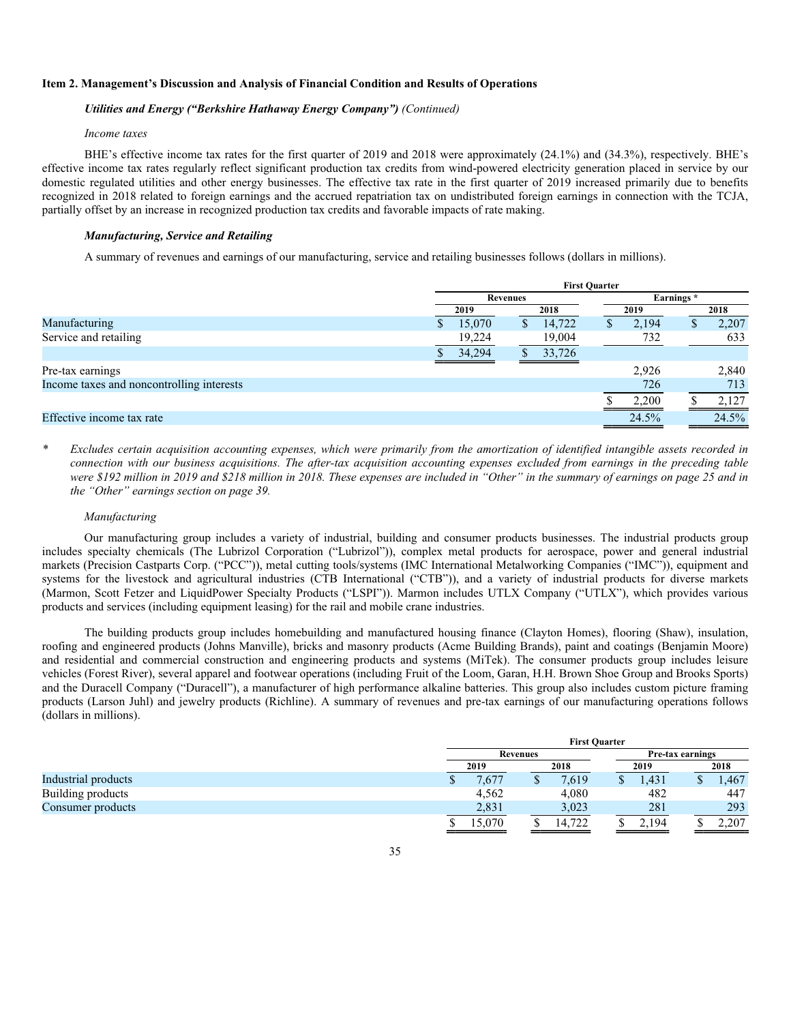### *Utilities and Energy ("Berkshire Hathaway Energy Company") (Continued)*

### *Income taxes*

BHE's effective income tax rates for the first quarter of 2019 and 2018 were approximately (24.1%) and (34.3%), respectively. BHE's effective income tax rates regularly reflect significant production tax credits from wind-powered electricity generation placed in service by our domestic regulated utilities and other energy businesses. The effective tax rate in the first quarter of 2019 increased primarily due to benefits recognized in 2018 related to foreign earnings and the accrued repatriation tax on undistributed foreign earnings in connection with the TCJA, partially offset by an increase in recognized production tax credits and favorable impacts of rate making.

### *Manufacturing, Service and Retailing*

A summary of revenues and earnings of our manufacturing, service and retailing businesses follows (dollars in millions).

|                                           | <b>First Ouarter</b> |        |       |           |  |  |  |  |
|-------------------------------------------|----------------------|--------|-------|-----------|--|--|--|--|
|                                           | Revenues             |        |       | Earnings* |  |  |  |  |
|                                           | 2018<br>2019         |        | 2019  | 2018      |  |  |  |  |
| Manufacturing                             | 15,070               | 14,722 | 2,194 | 2,207     |  |  |  |  |
| Service and retailing                     | 19,224               | 19,004 | 732   | 633       |  |  |  |  |
|                                           | 34,294               | 33,726 |       |           |  |  |  |  |
| Pre-tax earnings                          |                      |        | 2,926 | 2,840     |  |  |  |  |
| Income taxes and noncontrolling interests |                      |        | 726   | 713       |  |  |  |  |
|                                           |                      |        | 2,200 | 2.127     |  |  |  |  |
| Effective income tax rate                 |                      |        | 24.5% | 24.5%     |  |  |  |  |

*\* Excludes certain acquisition accounting expenses, which were primarily from the amortization of identified intangible assets recorded in connection with our business acquisitions. The after-tax acquisition accounting expenses excluded from earnings in the preceding table were \$192 million in 2019 and \$218 million in 2018. These expenses are included in "Other" in the summary of earnings on page 25 and in the "Other" earnings section on page 39.* 

### *Manufacturing*

Our manufacturing group includes a variety of industrial, building and consumer products businesses. The industrial products group includes specialty chemicals (The Lubrizol Corporation ("Lubrizol")), complex metal products for aerospace, power and general industrial markets (Precision Castparts Corp. ("PCC")), metal cutting tools/systems (IMC International Metalworking Companies ("IMC")), equipment and systems for the livestock and agricultural industries (CTB International ("CTB")), and a variety of industrial products for diverse markets (Marmon, Scott Fetzer and LiquidPower Specialty Products ("LSPI")). Marmon includes UTLX Company ("UTLX"), which provides various products and services (including equipment leasing) for the rail and mobile crane industries.

The building products group includes homebuilding and manufactured housing finance (Clayton Homes), flooring (Shaw), insulation, roofing and engineered products (Johns Manville), bricks and masonry products (Acme Building Brands), paint and coatings (Benjamin Moore) and residential and commercial construction and engineering products and systems (MiTek). The consumer products group includes leisure vehicles (Forest River), several apparel and footwear operations (including Fruit of the Loom, Garan, H.H. Brown Shoe Group and Brooks Sports) and the Duracell Company ("Duracell"), a manufacturer of high performance alkaline batteries. This group also includes custom picture framing products (Larson Juhl) and jewelry products (Richline). A summary of revenues and pre-tax earnings of our manufacturing operations follows (dollars in millions).

|                     |  |          |  |              | <b>First Quarter</b> |       |  |      |
|---------------------|--|----------|--|--------------|----------------------|-------|--|------|
|                     |  | Revenues |  |              | Pre-tax earnings     |       |  |      |
|                     |  | 2019     |  | 2018<br>2019 |                      |       |  | 2018 |
| Industrial products |  | ,677     |  | 7,619        |                      | 1.431 |  | ,467 |
| Building products   |  | 4.562    |  | 4,080        |                      | 482   |  | 447  |
| Consumer products   |  | 2,831    |  | 3,023        |                      | 281   |  | 293  |
|                     |  | 15,070   |  | 14.722       |                      | .194  |  | .207 |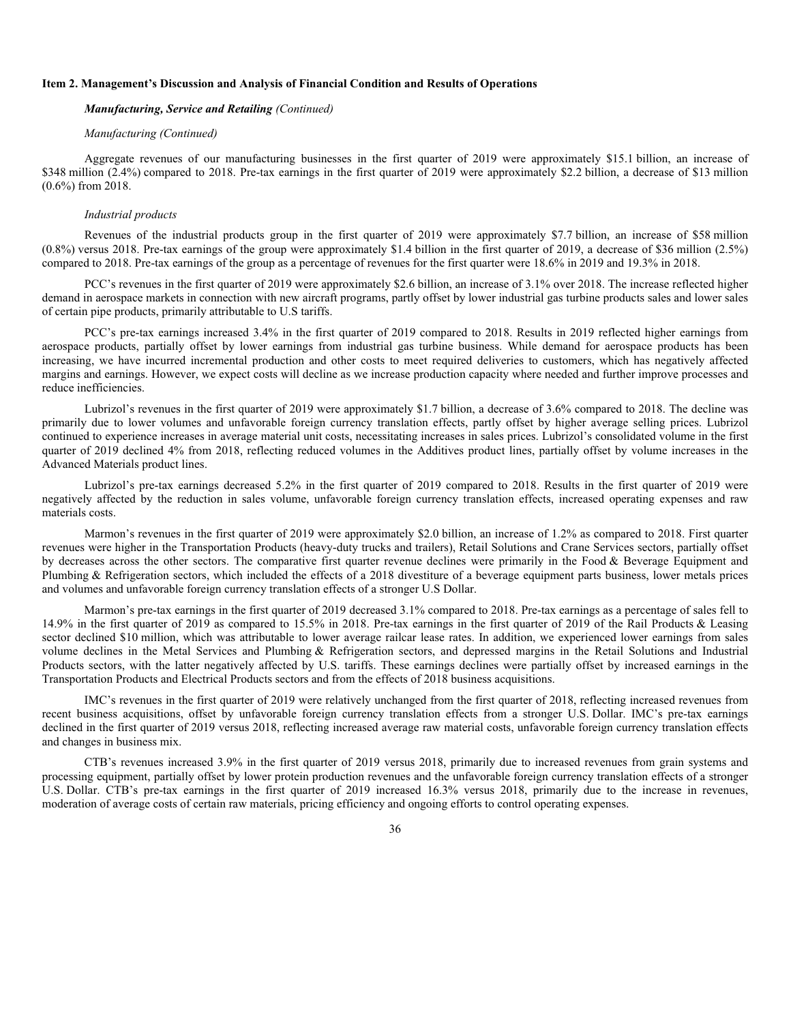### *Manufacturing, Service and Retailing (Continued)*

### *Manufacturing (Continued)*

Aggregate revenues of our manufacturing businesses in the first quarter of 2019 were approximately \$15.1 billion, an increase of \$348 million (2.4%) compared to 2018. Pre-tax earnings in the first quarter of 2019 were approximately \$2.2 billion, a decrease of \$13 million (0.6%) from 2018.

### *Industrial products*

Revenues of the industrial products group in the first quarter of 2019 were approximately \$7.7 billion, an increase of \$58 million (0.8%) versus 2018. Pre-tax earnings of the group were approximately \$1.4 billion in the first quarter of 2019, a decrease of \$36 million (2.5%) compared to 2018. Pre-tax earnings of the group as a percentage of revenues for the first quarter were 18.6% in 2019 and 19.3% in 2018.

PCC's revenues in the first quarter of 2019 were approximately \$2.6 billion, an increase of 3.1% over 2018. The increase reflected higher demand in aerospace markets in connection with new aircraft programs, partly offset by lower industrial gas turbine products sales and lower sales of certain pipe products, primarily attributable to U.S tariffs.

PCC's pre-tax earnings increased 3.4% in the first quarter of 2019 compared to 2018. Results in 2019 reflected higher earnings from aerospace products, partially offset by lower earnings from industrial gas turbine business. While demand for aerospace products has been increasing, we have incurred incremental production and other costs to meet required deliveries to customers, which has negatively affected margins and earnings. However, we expect costs will decline as we increase production capacity where needed and further improve processes and reduce inefficiencies.

Lubrizol's revenues in the first quarter of 2019 were approximately \$1.7 billion, a decrease of 3.6% compared to 2018. The decline was primarily due to lower volumes and unfavorable foreign currency translation effects, partly offset by higher average selling prices. Lubrizol continued to experience increases in average material unit costs, necessitating increases in sales prices. Lubrizol's consolidated volume in the first quarter of 2019 declined 4% from 2018, reflecting reduced volumes in the Additives product lines, partially offset by volume increases in the Advanced Materials product lines.

Lubrizol's pre-tax earnings decreased 5.2% in the first quarter of 2019 compared to 2018. Results in the first quarter of 2019 were negatively affected by the reduction in sales volume, unfavorable foreign currency translation effects, increased operating expenses and raw materials costs.

Marmon's revenues in the first quarter of 2019 were approximately \$2.0 billion, an increase of 1.2% as compared to 2018. First quarter revenues were higher in the Transportation Products (heavy-duty trucks and trailers), Retail Solutions and Crane Services sectors, partially offset by decreases across the other sectors. The comparative first quarter revenue declines were primarily in the Food & Beverage Equipment and Plumbing & Refrigeration sectors, which included the effects of a 2018 divestiture of a beverage equipment parts business, lower metals prices and volumes and unfavorable foreign currency translation effects of a stronger U.S Dollar.

Marmon's pre-tax earnings in the first quarter of 2019 decreased 3.1% compared to 2018. Pre-tax earnings as a percentage of sales fell to 14.9% in the first quarter of 2019 as compared to 15.5% in 2018. Pre-tax earnings in the first quarter of 2019 of the Rail Products & Leasing sector declined \$10 million, which was attributable to lower average railcar lease rates. In addition, we experienced lower earnings from sales volume declines in the Metal Services and Plumbing & Refrigeration sectors, and depressed margins in the Retail Solutions and Industrial Products sectors, with the latter negatively affected by U.S. tariffs. These earnings declines were partially offset by increased earnings in the Transportation Products and Electrical Products sectors and from the effects of 2018 business acquisitions.

IMC's revenues in the first quarter of 2019 were relatively unchanged from the first quarter of 2018, reflecting increased revenues from recent business acquisitions, offset by unfavorable foreign currency translation effects from a stronger U.S. Dollar. IMC's pre-tax earnings declined in the first quarter of 2019 versus 2018, reflecting increased average raw material costs, unfavorable foreign currency translation effects and changes in business mix.

CTB's revenues increased 3.9% in the first quarter of 2019 versus 2018, primarily due to increased revenues from grain systems and processing equipment, partially offset by lower protein production revenues and the unfavorable foreign currency translation effects of a stronger U.S. Dollar. CTB's pre-tax earnings in the first quarter of 2019 increased 16.3% versus 2018, primarily due to the increase in revenues, moderation of average costs of certain raw materials, pricing efficiency and ongoing efforts to control operating expenses.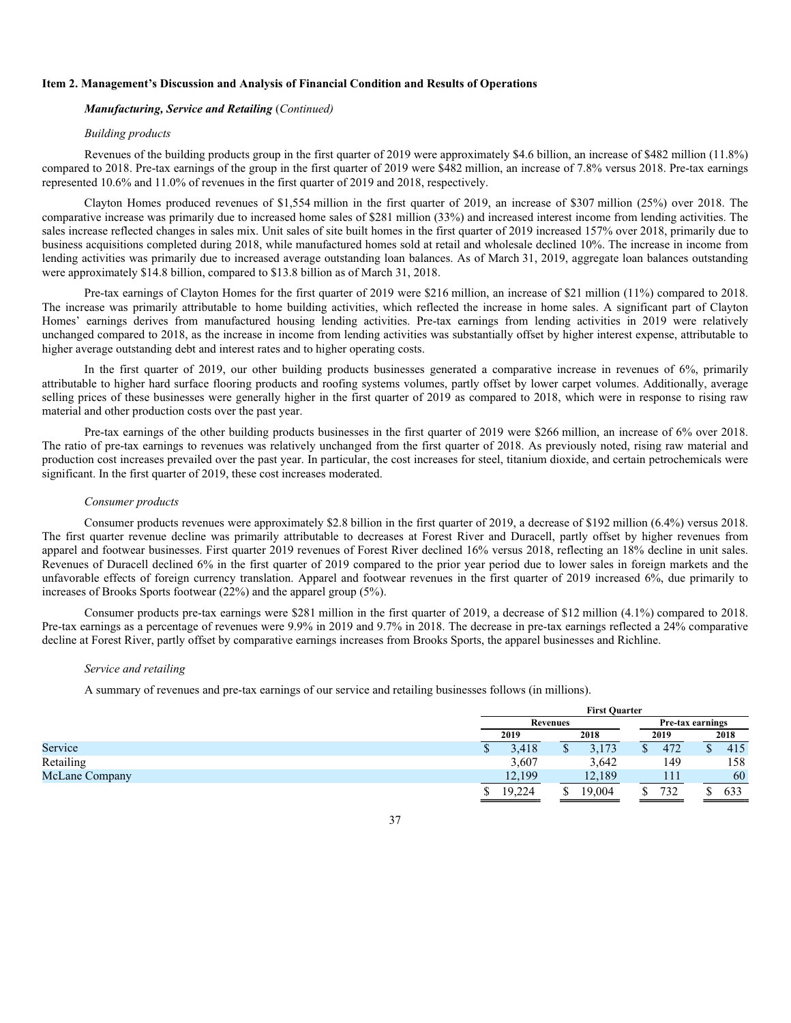### *Manufacturing, Service and Retailing* (*Continued)*

### *Building products*

Revenues of the building products group in the first quarter of 2019 were approximately \$4.6 billion, an increase of \$482 million (11.8%) compared to 2018. Pre-tax earnings of the group in the first quarter of 2019 were \$482 million, an increase of 7.8% versus 2018. Pre-tax earnings represented 10.6% and 11.0% of revenues in the first quarter of 2019 and 2018, respectively.

Clayton Homes produced revenues of \$1,554 million in the first quarter of 2019, an increase of \$307 million (25%) over 2018. The comparative increase was primarily due to increased home sales of \$281 million (33%) and increased interest income from lending activities. The sales increase reflected changes in sales mix. Unit sales of site built homes in the first quarter of 2019 increased 157% over 2018, primarily due to business acquisitions completed during 2018, while manufactured homes sold at retail and wholesale declined 10%. The increase in income from lending activities was primarily due to increased average outstanding loan balances. As of March 31, 2019, aggregate loan balances outstanding were approximately \$14.8 billion, compared to \$13.8 billion as of March 31, 2018.

Pre-tax earnings of Clayton Homes for the first quarter of 2019 were \$216 million, an increase of \$21 million (11%) compared to 2018. The increase was primarily attributable to home building activities, which reflected the increase in home sales. A significant part of Clayton Homes' earnings derives from manufactured housing lending activities. Pre-tax earnings from lending activities in 2019 were relatively unchanged compared to 2018, as the increase in income from lending activities was substantially offset by higher interest expense, attributable to higher average outstanding debt and interest rates and to higher operating costs.

In the first quarter of 2019, our other building products businesses generated a comparative increase in revenues of 6%, primarily attributable to higher hard surface flooring products and roofing systems volumes, partly offset by lower carpet volumes. Additionally, average selling prices of these businesses were generally higher in the first quarter of 2019 as compared to 2018, which were in response to rising raw material and other production costs over the past year.

Pre-tax earnings of the other building products businesses in the first quarter of 2019 were \$266 million, an increase of 6% over 2018. The ratio of pre-tax earnings to revenues was relatively unchanged from the first quarter of 2018. As previously noted, rising raw material and production cost increases prevailed over the past year. In particular, the cost increases for steel, titanium dioxide, and certain petrochemicals were significant. In the first quarter of 2019, these cost increases moderated.

### *Consumer products*

Consumer products revenues were approximately \$2.8 billion in the first quarter of 2019, a decrease of \$192 million (6.4%) versus 2018. The first quarter revenue decline was primarily attributable to decreases at Forest River and Duracell, partly offset by higher revenues from apparel and footwear businesses. First quarter 2019 revenues of Forest River declined 16% versus 2018, reflecting an 18% decline in unit sales. Revenues of Duracell declined 6% in the first quarter of 2019 compared to the prior year period due to lower sales in foreign markets and the unfavorable effects of foreign currency translation. Apparel and footwear revenues in the first quarter of 2019 increased 6%, due primarily to increases of Brooks Sports footwear (22%) and the apparel group (5%).

Consumer products pre-tax earnings were \$281 million in the first quarter of 2019, a decrease of \$12 million (4.1%) compared to 2018. Pre-tax earnings as a percentage of revenues were 9.9% in 2019 and 9.7% in 2018. The decrease in pre-tax earnings reflected a 24% comparative decline at Forest River, partly offset by comparative earnings increases from Brooks Sports, the apparel businesses and Richline.

### *Service and retailing*

A summary of revenues and pre-tax earnings of our service and retailing businesses follows (in millions).

|                |      | <b>First Ouarter</b> |        |  |                  |  |      |  |  |  |
|----------------|------|----------------------|--------|--|------------------|--|------|--|--|--|
|                |      | <b>Revenues</b>      |        |  | Pre-tax earnings |  |      |  |  |  |
|                | 2019 |                      | 2018   |  | 2019             |  | 2018 |  |  |  |
| Service        |      | 3,418                | 3,173  |  | 472              |  | 415  |  |  |  |
| Retailing      |      | 3,607                | 3,642  |  | 149              |  | 158  |  |  |  |
| McLane Company |      | 12,199               | 12,189 |  |                  |  | 60   |  |  |  |
|                |      | 19,224               | 19,004 |  | 732              |  | 633  |  |  |  |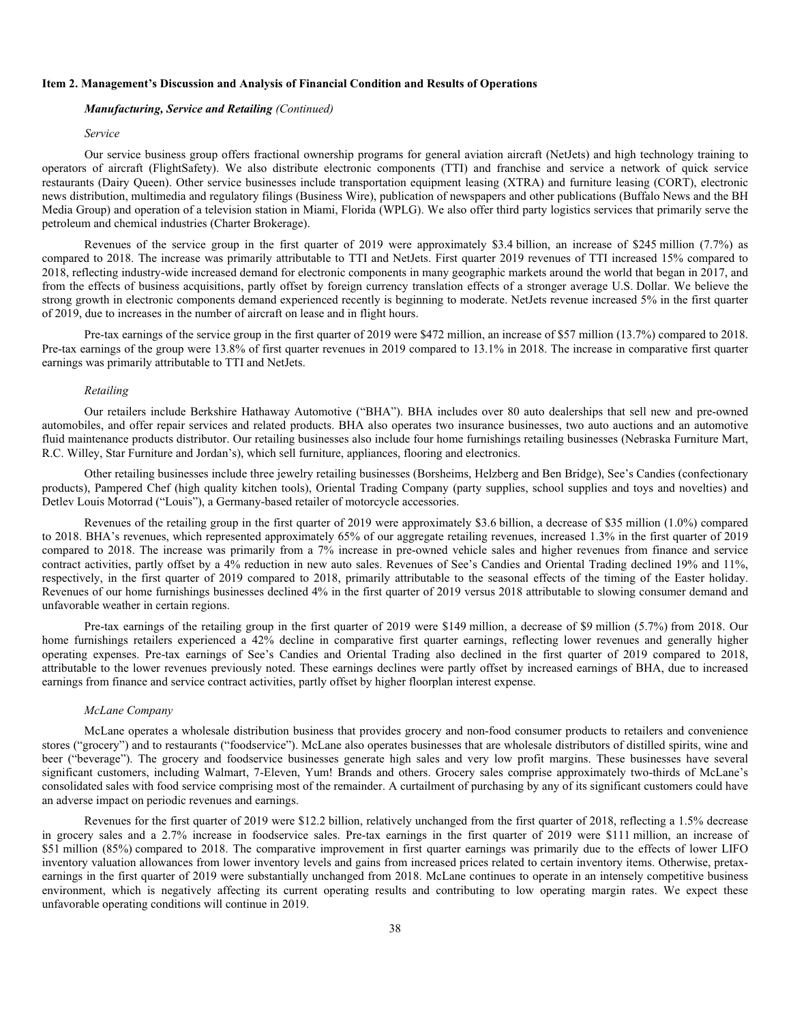### *Manufacturing, Service and Retailing (Continued)*

### *Service*

Our service business group offers fractional ownership programs for general aviation aircraft (NetJets) and high technology training to operators of aircraft (FlightSafety). We also distribute electronic components (TTI) and franchise and service a network of quick service restaurants (Dairy Queen). Other service businesses include transportation equipment leasing (XTRA) and furniture leasing (CORT), electronic news distribution, multimedia and regulatory filings (Business Wire), publication of newspapers and other publications (Buffalo News and the BH Media Group) and operation of a television station in Miami, Florida (WPLG). We also offer third party logistics services that primarily serve the petroleum and chemical industries (Charter Brokerage).

Revenues of the service group in the first quarter of 2019 were approximately \$3.4 billion, an increase of \$245 million (7.7%) as compared to 2018. The increase was primarily attributable to TTI and NetJets. First quarter 2019 revenues of TTI increased 15% compared to 2018, reflecting industry-wide increased demand for electronic components in many geographic markets around the world that began in 2017, and from the effects of business acquisitions, partly offset by foreign currency translation effects of a stronger average U.S. Dollar. We believe the strong growth in electronic components demand experienced recently is beginning to moderate. NetJets revenue increased 5% in the first quarter of 2019, due to increases in the number of aircraft on lease and in flight hours.

Pre-tax earnings of the service group in the first quarter of 2019 were \$472 million, an increase of \$57 million (13.7%) compared to 2018. Pre-tax earnings of the group were 13.8% of first quarter revenues in 2019 compared to 13.1% in 2018. The increase in comparative first quarter earnings was primarily attributable to TTI and NetJets.

### *Retailing*

Our retailers include Berkshire Hathaway Automotive ("BHA"). BHA includes over 80 auto dealerships that sell new and pre-owned automobiles, and offer repair services and related products. BHA also operates two insurance businesses, two auto auctions and an automotive fluid maintenance products distributor. Our retailing businesses also include four home furnishings retailing businesses (Nebraska Furniture Mart, R.C. Willey, Star Furniture and Jordan's), which sell furniture, appliances, flooring and electronics.

Other retailing businesses include three jewelry retailing businesses (Borsheims, Helzberg and Ben Bridge), See's Candies (confectionary products), Pampered Chef (high quality kitchen tools), Oriental Trading Company (party supplies, school supplies and toys and novelties) and Detlev Louis Motorrad ("Louis"), a Germany-based retailer of motorcycle accessories.

Revenues of the retailing group in the first quarter of 2019 were approximately \$3.6 billion, a decrease of \$35 million (1.0%) compared to 2018. BHA's revenues, which represented approximately 65% of our aggregate retailing revenues, increased 1.3% in the first quarter of 2019 compared to 2018. The increase was primarily from a 7% increase in pre-owned vehicle sales and higher revenues from finance and service contract activities, partly offset by a 4% reduction in new auto sales. Revenues of See's Candies and Oriental Trading declined 19% and 11%, respectively, in the first quarter of 2019 compared to 2018, primarily attributable to the seasonal effects of the timing of the Easter holiday. Revenues of our home furnishings businesses declined 4% in the first quarter of 2019 versus 2018 attributable to slowing consumer demand and unfavorable weather in certain regions.

Pre-tax earnings of the retailing group in the first quarter of 2019 were \$149 million, a decrease of \$9 million (5.7%) from 2018. Our home furnishings retailers experienced a 42% decline in comparative first quarter earnings, reflecting lower revenues and generally higher operating expenses. Pre-tax earnings of See's Candies and Oriental Trading also declined in the first quarter of 2019 compared to 2018, attributable to the lower revenues previously noted. These earnings declines were partly offset by increased earnings of BHA, due to increased earnings from finance and service contract activities, partly offset by higher floorplan interest expense.

### *McLane Company*

McLane operates a wholesale distribution business that provides grocery and non-food consumer products to retailers and convenience stores ("grocery") and to restaurants ("foodservice"). McLane also operates businesses that are wholesale distributors of distilled spirits, wine and beer ("beverage"). The grocery and foodservice businesses generate high sales and very low profit margins. These businesses have several significant customers, including Walmart, 7-Eleven, Yum! Brands and others. Grocery sales comprise approximately two-thirds of McLane's consolidated sales with food service comprising most of the remainder. A curtailment of purchasing by any of its significant customers could have an adverse impact on periodic revenues and earnings.

Revenues for the first quarter of 2019 were \$12.2 billion, relatively unchanged from the first quarter of 2018, reflecting a 1.5% decrease in grocery sales and a 2.7% increase in foodservice sales. Pre-tax earnings in the first quarter of 2019 were \$111 million, an increase of \$51 million (85%) compared to 2018. The comparative improvement in first quarter earnings was primarily due to the effects of lower LIFO inventory valuation allowances from lower inventory levels and gains from increased prices related to certain inventory items. Otherwise, pretaxearnings in the first quarter of 2019 were substantially unchanged from 2018. McLane continues to operate in an intensely competitive business environment, which is negatively affecting its current operating results and contributing to low operating margin rates. We expect these unfavorable operating conditions will continue in 2019.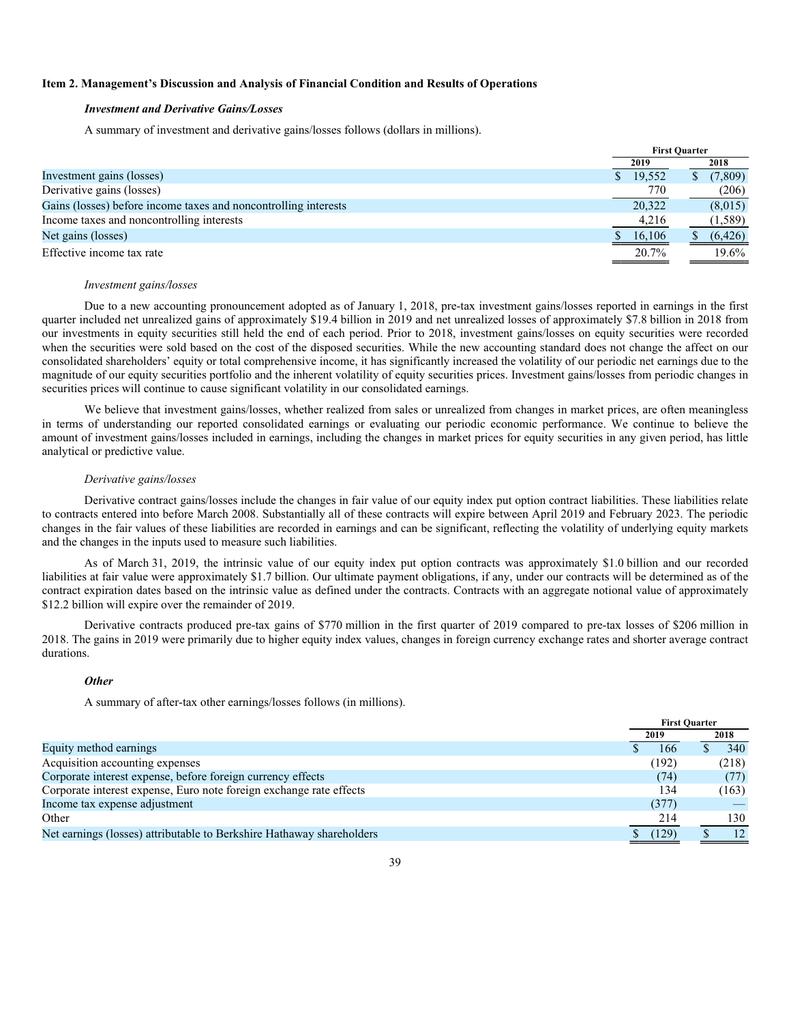### *Investment and Derivative Gains/Losses*

A summary of investment and derivative gains/losses follows (dollars in millions).

|                                                                 | <b>First Ouarter</b> |        |  |          |
|-----------------------------------------------------------------|----------------------|--------|--|----------|
|                                                                 |                      | 2019   |  | 2018     |
| Investment gains (losses)                                       |                      | 19,552 |  | (7,809)  |
| Derivative gains (losses)                                       |                      | 770    |  | (206)    |
| Gains (losses) before income taxes and noncontrolling interests |                      | 20,322 |  | (8,015)  |
| Income taxes and noncontrolling interests                       |                      | 4,216  |  | (1,589)  |
| Net gains (losses)                                              |                      | 16,106 |  | (6, 426) |
| Effective income tax rate                                       |                      | 20.7%  |  | $19.6\%$ |

### *Investment gains/losses*

Due to a new accounting pronouncement adopted as of January 1, 2018, pre-tax investment gains/losses reported in earnings in the first quarter included net unrealized gains of approximately \$19.4 billion in 2019 and net unrealized losses of approximately \$7.8 billion in 2018 from our investments in equity securities still held the end of each period. Prior to 2018, investment gains/losses on equity securities were recorded when the securities were sold based on the cost of the disposed securities. While the new accounting standard does not change the affect on our consolidated shareholders' equity or total comprehensive income, it has significantly increased the volatility of our periodic net earnings due to the magnitude of our equity securities portfolio and the inherent volatility of equity securities prices. Investment gains/losses from periodic changes in securities prices will continue to cause significant volatility in our consolidated earnings.

We believe that investment gains/losses, whether realized from sales or unrealized from changes in market prices, are often meaningless in terms of understanding our reported consolidated earnings or evaluating our periodic economic performance. We continue to believe the amount of investment gains/losses included in earnings, including the changes in market prices for equity securities in any given period, has little analytical or predictive value.

#### *Derivative gains/losses*

Derivative contract gains/losses include the changes in fair value of our equity index put option contract liabilities. These liabilities relate to contracts entered into before March 2008. Substantially all of these contracts will expire between April 2019 and February 2023. The periodic changes in the fair values of these liabilities are recorded in earnings and can be significant, reflecting the volatility of underlying equity markets and the changes in the inputs used to measure such liabilities.

As of March 31, 2019, the intrinsic value of our equity index put option contracts was approximately \$1.0 billion and our recorded liabilities at fair value were approximately \$1.7 billion. Our ultimate payment obligations, if any, under our contracts will be determined as of the contract expiration dates based on the intrinsic value as defined under the contracts. Contracts with an aggregate notional value of approximately \$12.2 billion will expire over the remainder of 2019.

Derivative contracts produced pre-tax gains of \$770 million in the first quarter of 2019 compared to pre-tax losses of \$206 million in 2018. The gains in 2019 were primarily due to higher equity index values, changes in foreign currency exchange rates and shorter average contract durations.

### *Other*

A summary of after-tax other earnings/losses follows (in millions).

|                                                                       | <b>First Ouarter</b> |       |  |       |  |
|-----------------------------------------------------------------------|----------------------|-------|--|-------|--|
|                                                                       | 2019                 |       |  | 2018  |  |
| Equity method earnings                                                |                      | 166   |  | 340   |  |
| Acquisition accounting expenses                                       |                      | (192) |  | (218) |  |
| Corporate interest expense, before foreign currency effects           |                      | (74)  |  | (77)  |  |
| Corporate interest expense, Euro note foreign exchange rate effects   |                      | 134   |  | (163) |  |
| Income tax expense adjustment                                         |                      | (377) |  |       |  |
| Other                                                                 |                      | 214   |  | 130   |  |
| Net earnings (losses) attributable to Berkshire Hathaway shareholders |                      | (129) |  | 12    |  |
|                                                                       |                      |       |  |       |  |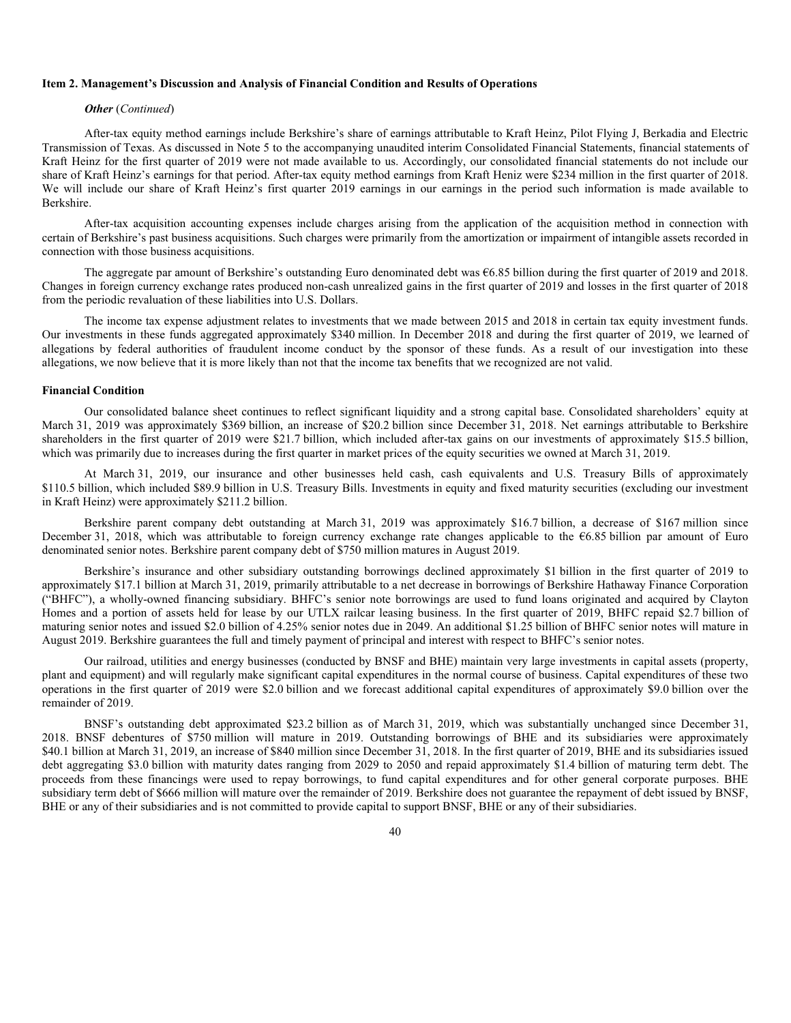#### *Other* (*Continued*)

After-tax equity method earnings include Berkshire's share of earnings attributable to Kraft Heinz, Pilot Flying J, Berkadia and Electric Transmission of Texas. As discussed in Note 5 to the accompanying unaudited interim Consolidated Financial Statements, financial statements of Kraft Heinz for the first quarter of 2019 were not made available to us. Accordingly, our consolidated financial statements do not include our share of Kraft Heinz's earnings for that period. After-tax equity method earnings from Kraft Heniz were \$234 million in the first quarter of 2018. We will include our share of Kraft Heinz's first quarter 2019 earnings in our earnings in the period such information is made available to Berkshire.

After-tax acquisition accounting expenses include charges arising from the application of the acquisition method in connection with certain of Berkshire's past business acquisitions. Such charges were primarily from the amortization or impairment of intangible assets recorded in connection with those business acquisitions.

The aggregate par amount of Berkshire's outstanding Euro denominated debt was €6.85 billion during the first quarter of 2019 and 2018. Changes in foreign currency exchange rates produced non-cash unrealized gains in the first quarter of 2019 and losses in the first quarter of 2018 from the periodic revaluation of these liabilities into U.S. Dollars.

The income tax expense adjustment relates to investments that we made between 2015 and 2018 in certain tax equity investment funds. Our investments in these funds aggregated approximately \$340 million. In December 2018 and during the first quarter of 2019, we learned of allegations by federal authorities of fraudulent income conduct by the sponsor of these funds. As a result of our investigation into these allegations, we now believe that it is more likely than not that the income tax benefits that we recognized are not valid.

### **Financial Condition**

Our consolidated balance sheet continues to reflect significant liquidity and a strong capital base. Consolidated shareholders' equity at March 31, 2019 was approximately \$369 billion, an increase of \$20.2 billion since December 31, 2018. Net earnings attributable to Berkshire shareholders in the first quarter of 2019 were \$21.7 billion, which included after-tax gains on our investments of approximately \$15.5 billion, which was primarily due to increases during the first quarter in market prices of the equity securities we owned at March 31, 2019.

At March 31, 2019, our insurance and other businesses held cash, cash equivalents and U.S. Treasury Bills of approximately \$110.5 billion, which included \$89.9 billion in U.S. Treasury Bills. Investments in equity and fixed maturity securities (excluding our investment in Kraft Heinz) were approximately \$211.2 billion.

Berkshire parent company debt outstanding at March 31, 2019 was approximately \$16.7 billion, a decrease of \$167 million since December 31, 2018, which was attributable to foreign currency exchange rate changes applicable to the €6.85 billion par amount of Euro denominated senior notes. Berkshire parent company debt of \$750 million matures in August 2019.

Berkshire's insurance and other subsidiary outstanding borrowings declined approximately \$1 billion in the first quarter of 2019 to approximately \$17.1 billion at March 31, 2019, primarily attributable to a net decrease in borrowings of Berkshire Hathaway Finance Corporation ("BHFC"), a wholly-owned financing subsidiary. BHFC's senior note borrowings are used to fund loans originated and acquired by Clayton Homes and a portion of assets held for lease by our UTLX railcar leasing business. In the first quarter of 2019, BHFC repaid \$2.7 billion of maturing senior notes and issued \$2.0 billion of 4.25% senior notes due in 2049. An additional \$1.25 billion of BHFC senior notes will mature in August 2019. Berkshire guarantees the full and timely payment of principal and interest with respect to BHFC's senior notes.

Our railroad, utilities and energy businesses (conducted by BNSF and BHE) maintain very large investments in capital assets (property, plant and equipment) and will regularly make significant capital expenditures in the normal course of business. Capital expenditures of these two operations in the first quarter of 2019 were \$2.0 billion and we forecast additional capital expenditures of approximately \$9.0 billion over the remainder of 2019.

BNSF's outstanding debt approximated \$23.2 billion as of March 31, 2019, which was substantially unchanged since December 31, 2018. BNSF debentures of \$750 million will mature in 2019. Outstanding borrowings of BHE and its subsidiaries were approximately \$40.1 billion at March 31, 2019, an increase of \$840 million since December 31, 2018. In the first quarter of 2019, BHE and its subsidiaries issued debt aggregating \$3.0 billion with maturity dates ranging from 2029 to 2050 and repaid approximately \$1.4 billion of maturing term debt. The proceeds from these financings were used to repay borrowings, to fund capital expenditures and for other general corporate purposes. BHE subsidiary term debt of \$666 million will mature over the remainder of 2019. Berkshire does not guarantee the repayment of debt issued by BNSF, BHE or any of their subsidiaries and is not committed to provide capital to support BNSF, BHE or any of their subsidiaries.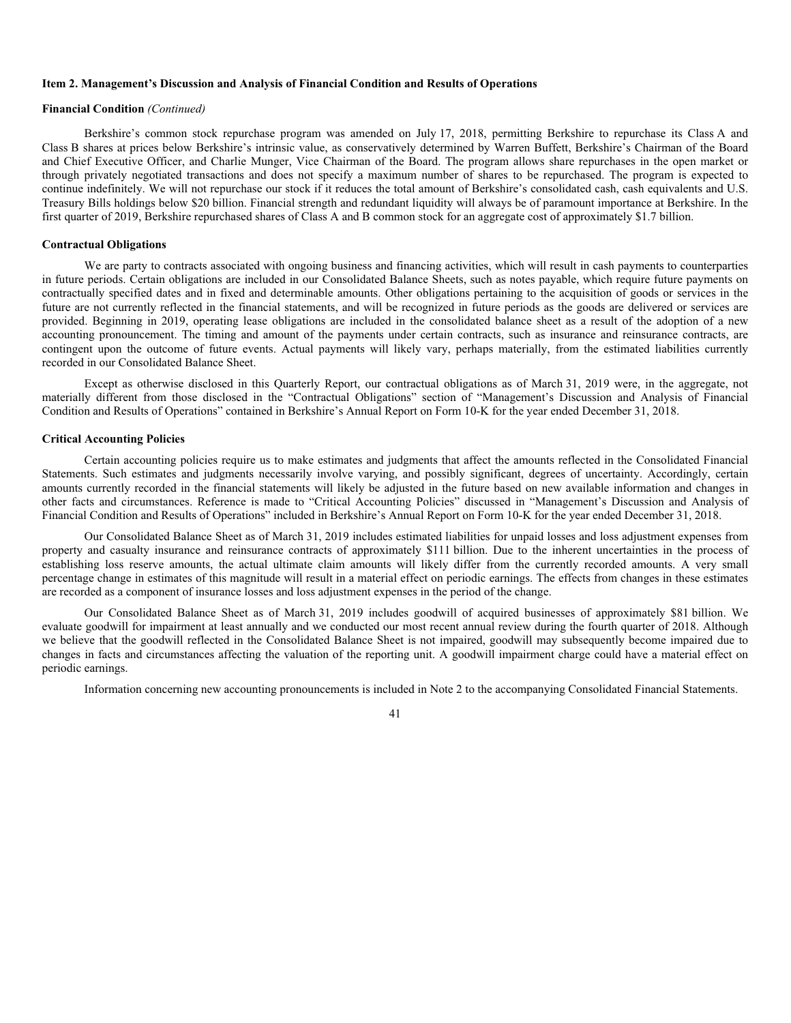#### **Financial Condition** *(Continued)*

Berkshire's common stock repurchase program was amended on July 17, 2018, permitting Berkshire to repurchase its Class A and Class B shares at prices below Berkshire's intrinsic value, as conservatively determined by Warren Buffett, Berkshire's Chairman of the Board and Chief Executive Officer, and Charlie Munger, Vice Chairman of the Board. The program allows share repurchases in the open market or through privately negotiated transactions and does not specify a maximum number of shares to be repurchased. The program is expected to continue indefinitely. We will not repurchase our stock if it reduces the total amount of Berkshire's consolidated cash, cash equivalents and U.S. Treasury Bills holdings below \$20 billion. Financial strength and redundant liquidity will always be of paramount importance at Berkshire. In the first quarter of 2019, Berkshire repurchased shares of Class A and B common stock for an aggregate cost of approximately \$1.7 billion.

### **Contractual Obligations**

We are party to contracts associated with ongoing business and financing activities, which will result in cash payments to counterparties in future periods. Certain obligations are included in our Consolidated Balance Sheets, such as notes payable, which require future payments on contractually specified dates and in fixed and determinable amounts. Other obligations pertaining to the acquisition of goods or services in the future are not currently reflected in the financial statements, and will be recognized in future periods as the goods are delivered or services are provided. Beginning in 2019, operating lease obligations are included in the consolidated balance sheet as a result of the adoption of a new accounting pronouncement. The timing and amount of the payments under certain contracts, such as insurance and reinsurance contracts, are contingent upon the outcome of future events. Actual payments will likely vary, perhaps materially, from the estimated liabilities currently recorded in our Consolidated Balance Sheet.

Except as otherwise disclosed in this Quarterly Report, our contractual obligations as of March 31, 2019 were, in the aggregate, not materially different from those disclosed in the "Contractual Obligations" section of "Management's Discussion and Analysis of Financial Condition and Results of Operations" contained in Berkshire's Annual Report on Form 10-K for the year ended December 31, 2018.

### **Critical Accounting Policies**

Certain accounting policies require us to make estimates and judgments that affect the amounts reflected in the Consolidated Financial Statements. Such estimates and judgments necessarily involve varying, and possibly significant, degrees of uncertainty. Accordingly, certain amounts currently recorded in the financial statements will likely be adjusted in the future based on new available information and changes in other facts and circumstances. Reference is made to "Critical Accounting Policies" discussed in "Management's Discussion and Analysis of Financial Condition and Results of Operations" included in Berkshire's Annual Report on Form 10-K for the year ended December 31, 2018.

Our Consolidated Balance Sheet as of March 31, 2019 includes estimated liabilities for unpaid losses and loss adjustment expenses from property and casualty insurance and reinsurance contracts of approximately \$111 billion. Due to the inherent uncertainties in the process of establishing loss reserve amounts, the actual ultimate claim amounts will likely differ from the currently recorded amounts. A very small percentage change in estimates of this magnitude will result in a material effect on periodic earnings. The effects from changes in these estimates are recorded as a component of insurance losses and loss adjustment expenses in the period of the change.

Our Consolidated Balance Sheet as of March 31, 2019 includes goodwill of acquired businesses of approximately \$81 billion. We evaluate goodwill for impairment at least annually and we conducted our most recent annual review during the fourth quarter of 2018. Although we believe that the goodwill reflected in the Consolidated Balance Sheet is not impaired, goodwill may subsequently become impaired due to changes in facts and circumstances affecting the valuation of the reporting unit. A goodwill impairment charge could have a material effect on periodic earnings.

Information concerning new accounting pronouncements is included in Note 2 to the accompanying Consolidated Financial Statements.

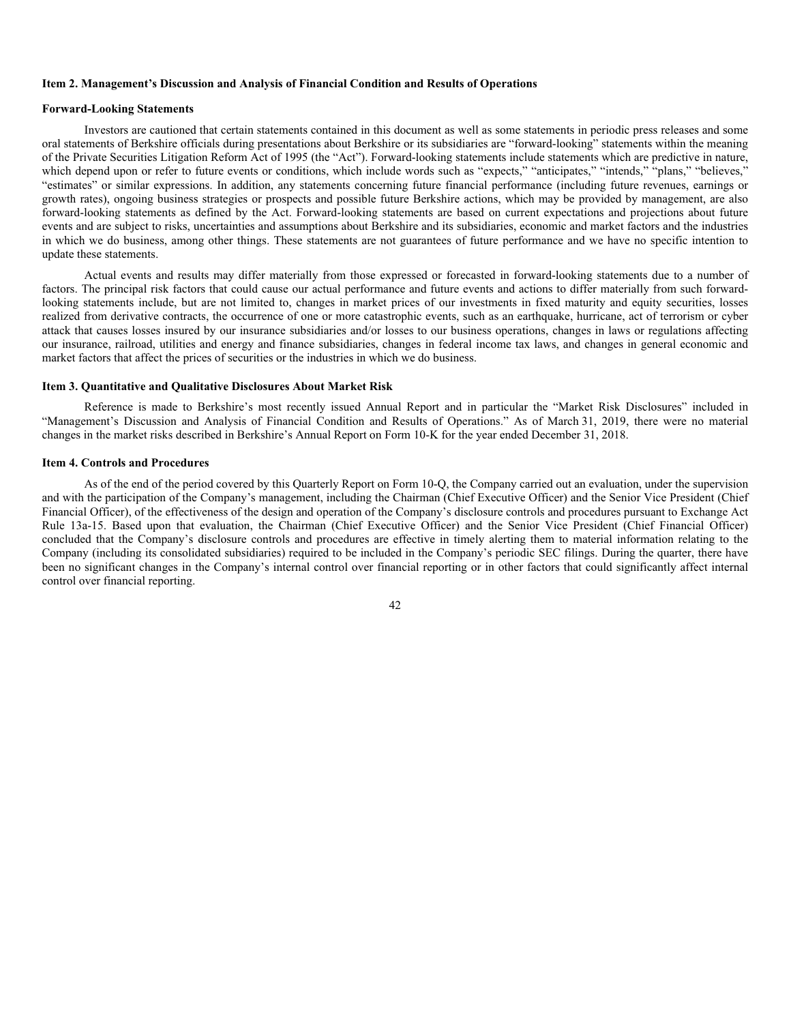#### **Forward-Looking Statements**

Investors are cautioned that certain statements contained in this document as well as some statements in periodic press releases and some oral statements of Berkshire officials during presentations about Berkshire or its subsidiaries are "forward-looking" statements within the meaning of the Private Securities Litigation Reform Act of 1995 (the "Act"). Forward-looking statements include statements which are predictive in nature, which depend upon or refer to future events or conditions, which include words such as "expects," "anticipates," "intends," "plans," "believes," "estimates" or similar expressions. In addition, any statements concerning future financial performance (including future revenues, earnings or growth rates), ongoing business strategies or prospects and possible future Berkshire actions, which may be provided by management, are also forward-looking statements as defined by the Act. Forward-looking statements are based on current expectations and projections about future events and are subject to risks, uncertainties and assumptions about Berkshire and its subsidiaries, economic and market factors and the industries in which we do business, among other things. These statements are not guarantees of future performance and we have no specific intention to update these statements.

Actual events and results may differ materially from those expressed or forecasted in forward-looking statements due to a number of factors. The principal risk factors that could cause our actual performance and future events and actions to differ materially from such forwardlooking statements include, but are not limited to, changes in market prices of our investments in fixed maturity and equity securities, losses realized from derivative contracts, the occurrence of one or more catastrophic events, such as an earthquake, hurricane, act of terrorism or cyber attack that causes losses insured by our insurance subsidiaries and/or losses to our business operations, changes in laws or regulations affecting our insurance, railroad, utilities and energy and finance subsidiaries, changes in federal income tax laws, and changes in general economic and market factors that affect the prices of securities or the industries in which we do business.

### **Item 3. Quantitative and Qualitative Disclosures About Market Risk**

Reference is made to Berkshire's most recently issued Annual Report and in particular the "Market Risk Disclosures" included in "Management's Discussion and Analysis of Financial Condition and Results of Operations." As of March 31, 2019, there were no material changes in the market risks described in Berkshire's Annual Report on Form 10-K for the year ended December 31, 2018.

### **Item 4. Controls and Procedures**

As of the end of the period covered by this Quarterly Report on Form 10-Q, the Company carried out an evaluation, under the supervision and with the participation of the Company's management, including the Chairman (Chief Executive Officer) and the Senior Vice President (Chief Financial Officer), of the effectiveness of the design and operation of the Company's disclosure controls and procedures pursuant to Exchange Act Rule 13a-15. Based upon that evaluation, the Chairman (Chief Executive Officer) and the Senior Vice President (Chief Financial Officer) concluded that the Company's disclosure controls and procedures are effective in timely alerting them to material information relating to the Company (including its consolidated subsidiaries) required to be included in the Company's periodic SEC filings. During the quarter, there have been no significant changes in the Company's internal control over financial reporting or in other factors that could significantly affect internal control over financial reporting.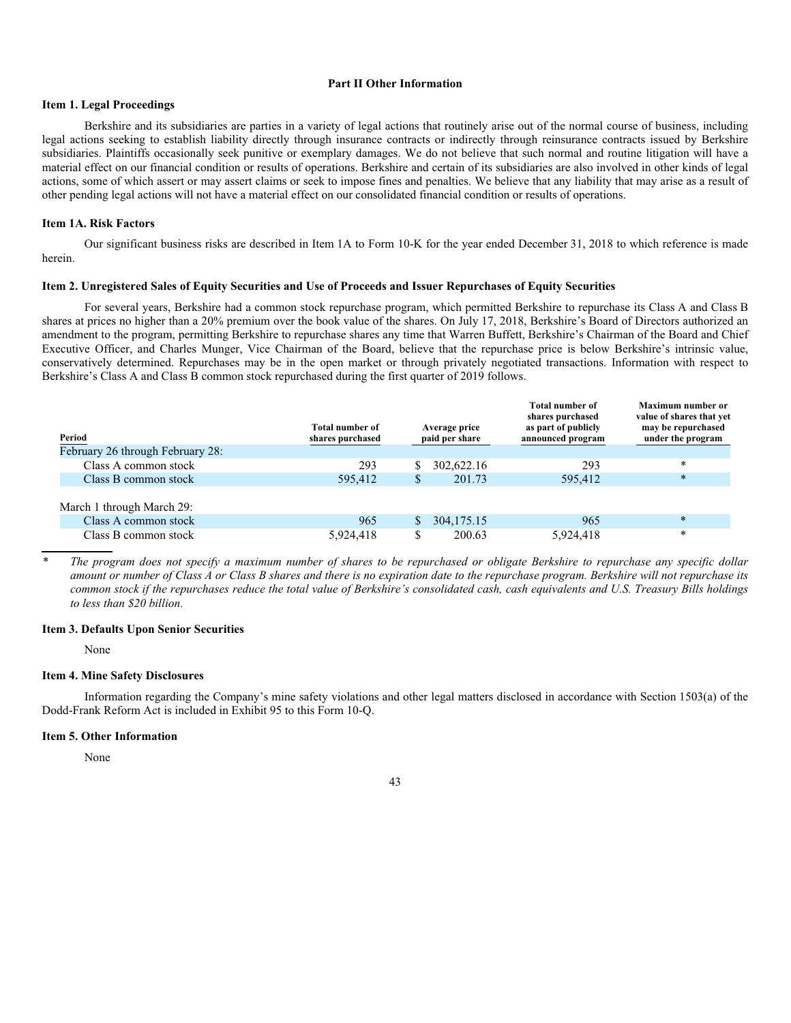### **Part II Other Information**

### **Item 1. Legal Proceedings**

Berkshire and its subsidiaries are parties in a variety of legal actions that routinely arise out of the normal course of business, including legal actions seeking to establish liability directly through insurance contracts or indirectly through reinsurance contracts issued by Berkshire subsidiaries. Plaintiffs occasionally seek punitive or exemplary damages. We do not believe that such normal and routine litigation will have a material effect on our financial condition or results of operations. Berkshire and certain of its subsidiaries are also involved in other kinds of legal actions, some of which assert or may assert claims or seek to impose fines and penalties. We believe that any liability that may arise as a result of other pending legal actions will not have a material effect on our consolidated financial condition or results of operations.

### **Item 1A. Risk Factors**

Our significant business risks are described in Item 1A to Form 10-K for the year ended December 31, 2018 to which reference is made herein.

### **Item 2. Unregistered Sales of Equity Securities and Use of Proceeds and Issuer Repurchases of Equity Securities**

For several years, Berkshire had a common stock repurchase program, which permitted Berkshire to repurchase its Class A and Class B shares at prices no higher than a 20% premium over the book value of the shares. On July 17, 2018, Berkshire's Board of Directors authorized an amendment to the program, permitting Berkshire to repurchase shares any time that Warren Buffett, Berkshire's Chairman of the Board and Chief Executive Officer, and Charles Munger, Vice Chairman of the Board, believe that the repurchase price is below Berkshire's intrinsic value, conservatively determined. Repurchases may be in the open market or through privately negotiated transactions. Information with respect to Berkshire's Class A and Class B common stock repurchased during the first quarter of 2019 follows.

| Period                           | <b>Total number of</b><br>shares purchased | Average price<br>paid per share |            | <b>Total number of</b><br>shares purchased<br>as part of publicly<br>announced program | Maximum number or<br>value of shares that yet<br>may be repurchased<br>under the program |  |
|----------------------------------|--------------------------------------------|---------------------------------|------------|----------------------------------------------------------------------------------------|------------------------------------------------------------------------------------------|--|
| February 26 through February 28: |                                            |                                 |            |                                                                                        |                                                                                          |  |
| Class A common stock             | 293                                        | S                               | 302,622.16 | 293                                                                                    | $\ast$                                                                                   |  |
| Class B common stock             | 595,412                                    | \$                              | 201.73     | 595,412                                                                                | $\ast$                                                                                   |  |
| March 1 through March 29:        |                                            |                                 |            |                                                                                        |                                                                                          |  |
| Class A common stock             | 965                                        | S.                              | 304,175.15 | 965                                                                                    | $\ast$                                                                                   |  |
| Class B common stock             | 5,924,418                                  | \$                              | 200.63     | 5,924,418                                                                              | $\ast$                                                                                   |  |

*\* The program does not specify a maximum number of shares to be repurchased or obligate Berkshire to repurchase any specific dollar amount or number of Class A or Class B shares and there is no expiration date to the repurchase program. Berkshire will not repurchase its common stock if the repurchases reduce the total value of Berkshire's consolidated cash, cash equivalents and U.S. Treasury Bills holdings to less than \$20 billion.* 

### **Item 3. Defaults Upon Senior Securities**

None

### **Item 4. Mine Safety Disclosures**

Information regarding the Company's mine safety violations and other legal matters disclosed in accordance with Section 1503(a) of the Dodd-Frank Reform Act is included in Exhibit 95 to this Form 10-Q.

#### **Item 5. Other Information**

None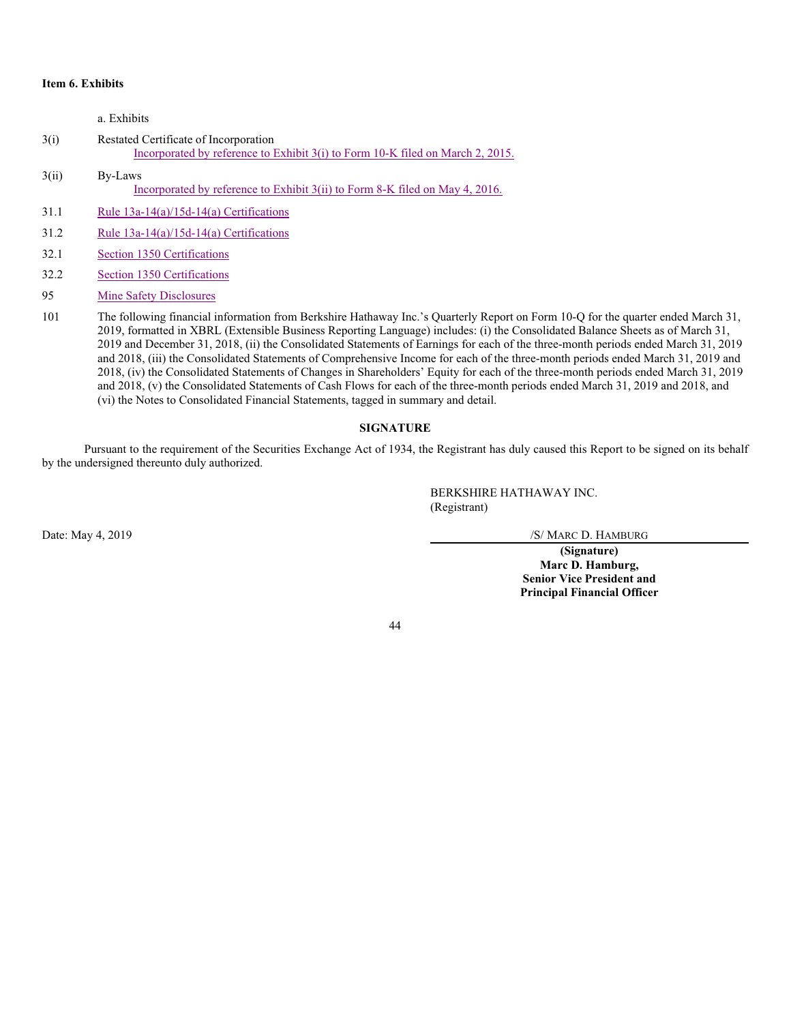### **Item 6. Exhibits**

a. Exhibits

| 3(i) | Restated Certificate of Incorporation                                            |
|------|----------------------------------------------------------------------------------|
|      | Incorporated by reference to Exhibit $3(i)$ to Form 10-K filed on March 2, 2015. |

3(ii) By-Laws Incorporated by reference to Exhibit 3(ii) to Form 8-K filed on May 4, 2016.

- 31.1 Rule 13a-14(a)/15d-14(a) Certifications
- 31.2 Rule 13a-14(a)/15d-14(a) Certifications
- 32.1 Section 1350 Certifications
- 32.2 Section 1350 Certifications
- 95 Mine Safety Disclosures

101 The following financial information from Berkshire Hathaway Inc.'s Quarterly Report on Form 10-Q for the quarter ended March 31, 2019, formatted in XBRL (Extensible Business Reporting Language) includes: (i) the Consolidated Balance Sheets as of March 31, 2019 and December 31, 2018, (ii) the Consolidated Statements of Earnings for each of the three-month periods ended March 31, 2019 and 2018, (iii) the Consolidated Statements of Comprehensive Income for each of the three-month periods ended March 31, 2019 and 2018, (iv) the Consolidated Statements of Changes in Shareholders' Equity for each of the three-month periods ended March 31, 2019 and 2018, (v) the Consolidated Statements of Cash Flows for each of the three-month periods ended March 31, 2019 and 2018, and (vi) the Notes to Consolidated Financial Statements, tagged in summary and detail.

## **SIGNATURE**

Pursuant to the requirement of the Securities Exchange Act of 1934, the Registrant has duly caused this Report to be signed on its behalf by the undersigned thereunto duly authorized.

> BERKSHIRE HATHAWAY INC. (Registrant)

Date: May 4, 2019 /S/ MARC D. HAMBURG

**(Signature) Marc D. Hamburg, Senior Vice President and Principal Financial Officer**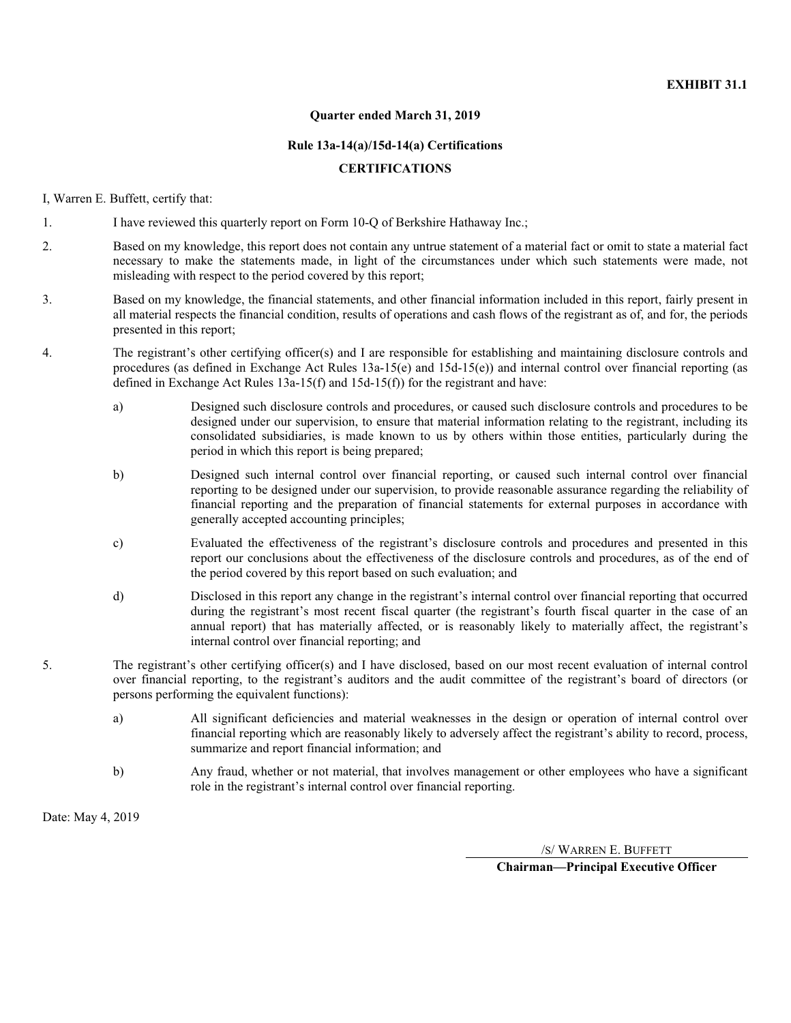## **Quarter ended March 31, 2019**

# **Rule 13a-14(a)/15d-14(a) Certifications CERTIFICATIONS**

## I, Warren E. Buffett, certify that:

- 1. I have reviewed this quarterly report on Form 10-Q of Berkshire Hathaway Inc.;
- 2. Based on my knowledge, this report does not contain any untrue statement of a material fact or omit to state a material fact necessary to make the statements made, in light of the circumstances under which such statements were made, not misleading with respect to the period covered by this report;
- 3. Based on my knowledge, the financial statements, and other financial information included in this report, fairly present in all material respects the financial condition, results of operations and cash flows of the registrant as of, and for, the periods presented in this report;
- 4. The registrant's other certifying officer(s) and I are responsible for establishing and maintaining disclosure controls and procedures (as defined in Exchange Act Rules 13a-15(e) and 15d-15(e)) and internal control over financial reporting (as defined in Exchange Act Rules 13a-15(f) and 15d-15(f)) for the registrant and have:
	- a) Designed such disclosure controls and procedures, or caused such disclosure controls and procedures to be designed under our supervision, to ensure that material information relating to the registrant, including its consolidated subsidiaries, is made known to us by others within those entities, particularly during the period in which this report is being prepared;
	- b) Designed such internal control over financial reporting, or caused such internal control over financial reporting to be designed under our supervision, to provide reasonable assurance regarding the reliability of financial reporting and the preparation of financial statements for external purposes in accordance with generally accepted accounting principles;
	- c) Evaluated the effectiveness of the registrant's disclosure controls and procedures and presented in this report our conclusions about the effectiveness of the disclosure controls and procedures, as of the end of the period covered by this report based on such evaluation; and
	- d) Disclosed in this report any change in the registrant's internal control over financial reporting that occurred during the registrant's most recent fiscal quarter (the registrant's fourth fiscal quarter in the case of an annual report) that has materially affected, or is reasonably likely to materially affect, the registrant's internal control over financial reporting; and
- 5. The registrant's other certifying officer(s) and I have disclosed, based on our most recent evaluation of internal control over financial reporting, to the registrant's auditors and the audit committee of the registrant's board of directors (or persons performing the equivalent functions):
	- a) All significant deficiencies and material weaknesses in the design or operation of internal control over financial reporting which are reasonably likely to adversely affect the registrant's ability to record, process, summarize and report financial information; and
	- b) Any fraud, whether or not material, that involves management or other employees who have a significant role in the registrant's internal control over financial reporting.

Date: May 4, 2019

/S/ WARREN E. BUFFETT **Chairman—Principal Executive Officer**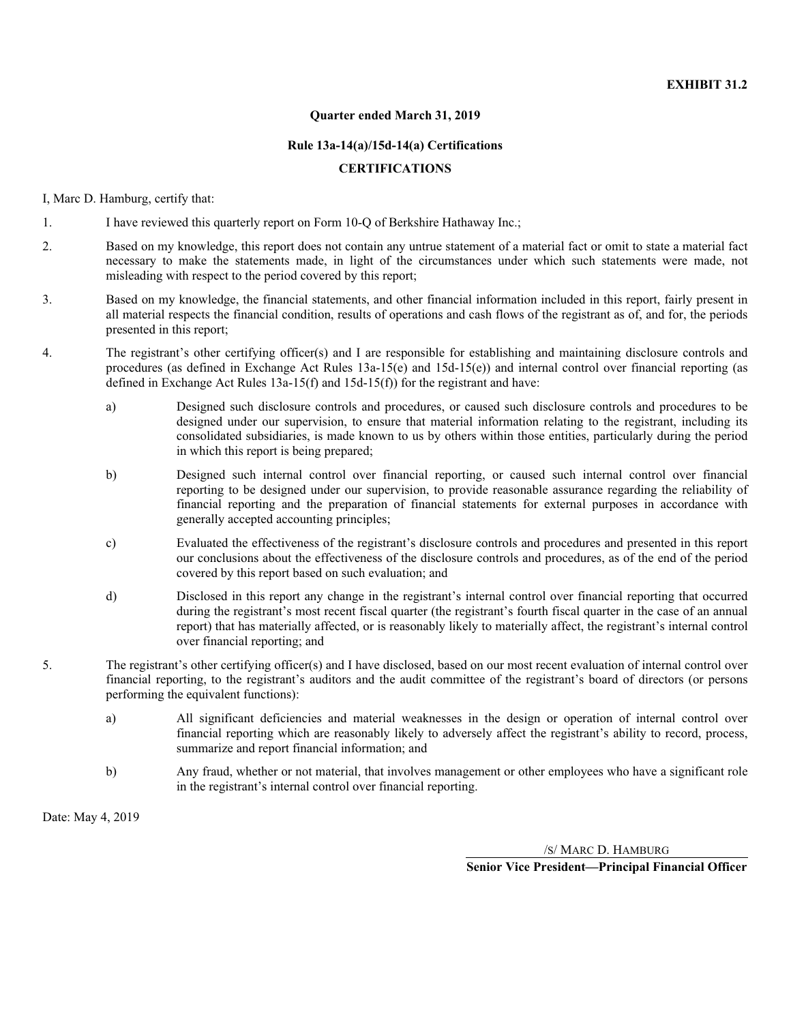## **Quarter ended March 31, 2019**

# **Rule 13a-14(a)/15d-14(a) Certifications CERTIFICATIONS**

## I, Marc D. Hamburg, certify that:

- 1. I have reviewed this quarterly report on Form 10-Q of Berkshire Hathaway Inc.;
- 2. Based on my knowledge, this report does not contain any untrue statement of a material fact or omit to state a material fact necessary to make the statements made, in light of the circumstances under which such statements were made, not misleading with respect to the period covered by this report;
- 3. Based on my knowledge, the financial statements, and other financial information included in this report, fairly present in all material respects the financial condition, results of operations and cash flows of the registrant as of, and for, the periods presented in this report;
- 4. The registrant's other certifying officer(s) and I are responsible for establishing and maintaining disclosure controls and procedures (as defined in Exchange Act Rules 13a-15(e) and 15d-15(e)) and internal control over financial reporting (as defined in Exchange Act Rules 13a-15(f) and 15d-15(f)) for the registrant and have:
	- a) Designed such disclosure controls and procedures, or caused such disclosure controls and procedures to be designed under our supervision, to ensure that material information relating to the registrant, including its consolidated subsidiaries, is made known to us by others within those entities, particularly during the period in which this report is being prepared;
	- b) Designed such internal control over financial reporting, or caused such internal control over financial reporting to be designed under our supervision, to provide reasonable assurance regarding the reliability of financial reporting and the preparation of financial statements for external purposes in accordance with generally accepted accounting principles;
	- c) Evaluated the effectiveness of the registrant's disclosure controls and procedures and presented in this report our conclusions about the effectiveness of the disclosure controls and procedures, as of the end of the period covered by this report based on such evaluation; and
	- d) Disclosed in this report any change in the registrant's internal control over financial reporting that occurred during the registrant's most recent fiscal quarter (the registrant's fourth fiscal quarter in the case of an annual report) that has materially affected, or is reasonably likely to materially affect, the registrant's internal control over financial reporting; and
- 5. The registrant's other certifying officer(s) and I have disclosed, based on our most recent evaluation of internal control over financial reporting, to the registrant's auditors and the audit committee of the registrant's board of directors (or persons performing the equivalent functions):
	- a) All significant deficiencies and material weaknesses in the design or operation of internal control over financial reporting which are reasonably likely to adversely affect the registrant's ability to record, process, summarize and report financial information; and
	- b) Any fraud, whether or not material, that involves management or other employees who have a significant role in the registrant's internal control over financial reporting.

Date: May 4, 2019

/S/ MARC D. HAMBURG

**Senior Vice President—Principal Financial Officer**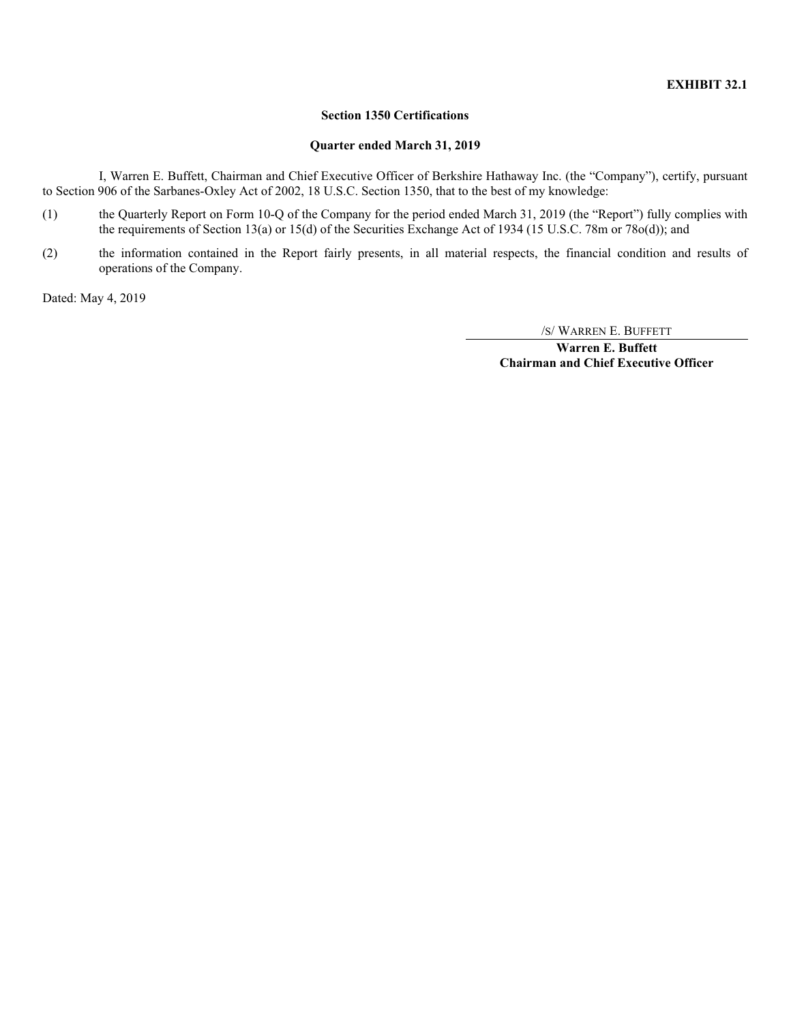## **EXHIBIT 32.1**

## **Section 1350 Certifications**

## **Quarter ended March 31, 2019**

I, Warren E. Buffett, Chairman and Chief Executive Officer of Berkshire Hathaway Inc. (the "Company"), certify, pursuant to Section 906 of the Sarbanes-Oxley Act of 2002, 18 U.S.C. Section 1350, that to the best of my knowledge:

- (1) the Quarterly Report on Form 10-Q of the Company for the period ended March 31, 2019 (the "Report") fully complies with the requirements of Section 13(a) or 15(d) of the Securities Exchange Act of 1934 (15 U.S.C. 78m or 78o(d)); and
- (2) the information contained in the Report fairly presents, in all material respects, the financial condition and results of operations of the Company.

Dated: May 4, 2019

/S/ WARREN E. BUFFETT

**Warren E. Buffett Chairman and Chief Executive Officer**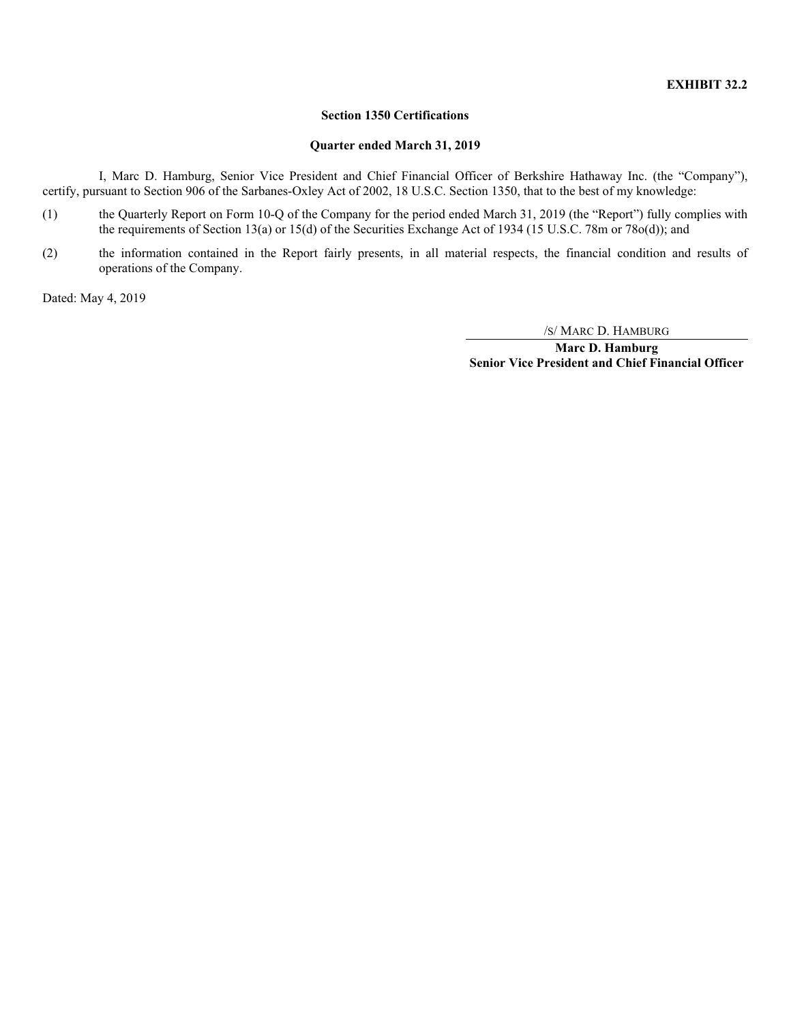## **EXHIBIT 32.2**

## **Section 1350 Certifications**

## **Quarter ended March 31, 2019**

I, Marc D. Hamburg, Senior Vice President and Chief Financial Officer of Berkshire Hathaway Inc. (the "Company"), certify, pursuant to Section 906 of the Sarbanes-Oxley Act of 2002, 18 U.S.C. Section 1350, that to the best of my knowledge:

- (1) the Quarterly Report on Form 10-Q of the Company for the period ended March 31, 2019 (the "Report") fully complies with the requirements of Section 13(a) or 15(d) of the Securities Exchange Act of 1934 (15 U.S.C. 78m or 78o(d)); and
- (2) the information contained in the Report fairly presents, in all material respects, the financial condition and results of operations of the Company.

Dated: May 4, 2019

/S/ MARC D. HAMBURG

**Marc D. Hamburg Senior Vice President and Chief Financial Officer**